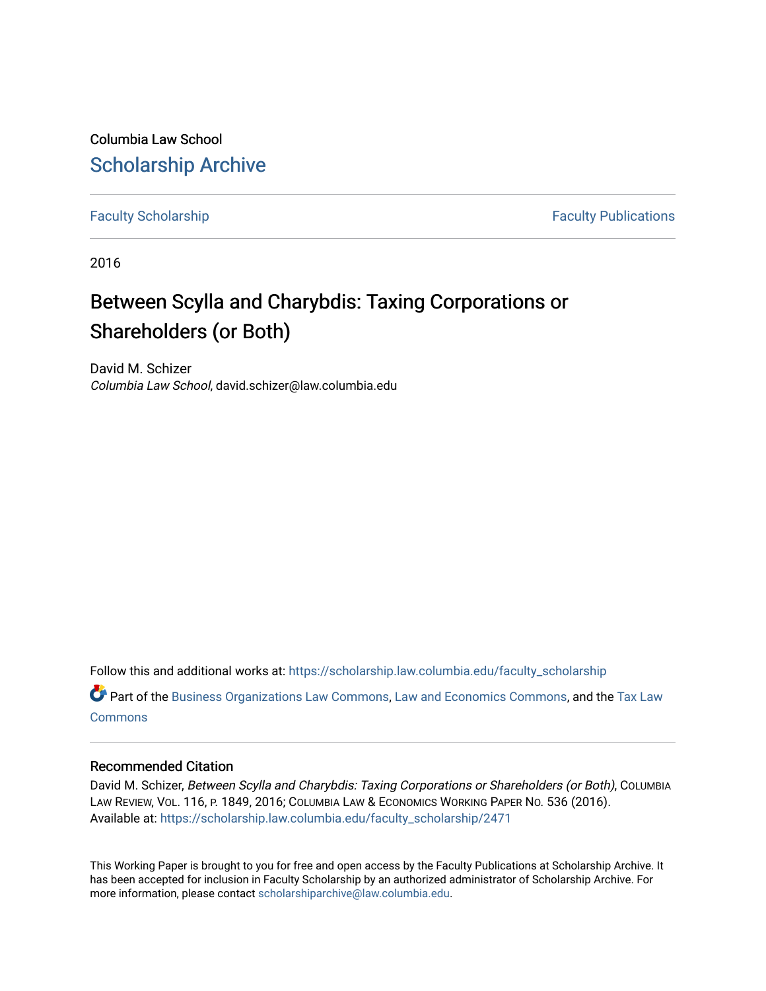Columbia Law School [Scholarship Archive](https://scholarship.law.columbia.edu/) 

[Faculty Scholarship](https://scholarship.law.columbia.edu/faculty_scholarship) **Faculty Scholarship Faculty Publications** 

2016

# Between Scylla and Charybdis: Taxing Corporations or Shareholders (or Both)

David M. Schizer Columbia Law School, david.schizer@law.columbia.edu

Follow this and additional works at: [https://scholarship.law.columbia.edu/faculty\\_scholarship](https://scholarship.law.columbia.edu/faculty_scholarship?utm_source=scholarship.law.columbia.edu%2Ffaculty_scholarship%2F2471&utm_medium=PDF&utm_campaign=PDFCoverPages)

Part of the [Business Organizations Law Commons](http://network.bepress.com/hgg/discipline/900?utm_source=scholarship.law.columbia.edu%2Ffaculty_scholarship%2F2471&utm_medium=PDF&utm_campaign=PDFCoverPages), [Law and Economics Commons](http://network.bepress.com/hgg/discipline/612?utm_source=scholarship.law.columbia.edu%2Ffaculty_scholarship%2F2471&utm_medium=PDF&utm_campaign=PDFCoverPages), and the [Tax Law](http://network.bepress.com/hgg/discipline/898?utm_source=scholarship.law.columbia.edu%2Ffaculty_scholarship%2F2471&utm_medium=PDF&utm_campaign=PDFCoverPages) [Commons](http://network.bepress.com/hgg/discipline/898?utm_source=scholarship.law.columbia.edu%2Ffaculty_scholarship%2F2471&utm_medium=PDF&utm_campaign=PDFCoverPages)

# Recommended Citation

David M. Schizer, Between Scylla and Charybdis: Taxing Corporations or Shareholders (or Both), COLUMBIA LAW REVIEW, VOL. 116, P. 1849, 2016; COLUMBIA LAW & ECONOMICS WORKING PAPER NO. 536 (2016). Available at: [https://scholarship.law.columbia.edu/faculty\\_scholarship/2471](https://scholarship.law.columbia.edu/faculty_scholarship/2471?utm_source=scholarship.law.columbia.edu%2Ffaculty_scholarship%2F2471&utm_medium=PDF&utm_campaign=PDFCoverPages)

This Working Paper is brought to you for free and open access by the Faculty Publications at Scholarship Archive. It has been accepted for inclusion in Faculty Scholarship by an authorized administrator of Scholarship Archive. For more information, please contact [scholarshiparchive@law.columbia.edu.](mailto:scholarshiparchive@law.columbia.edu)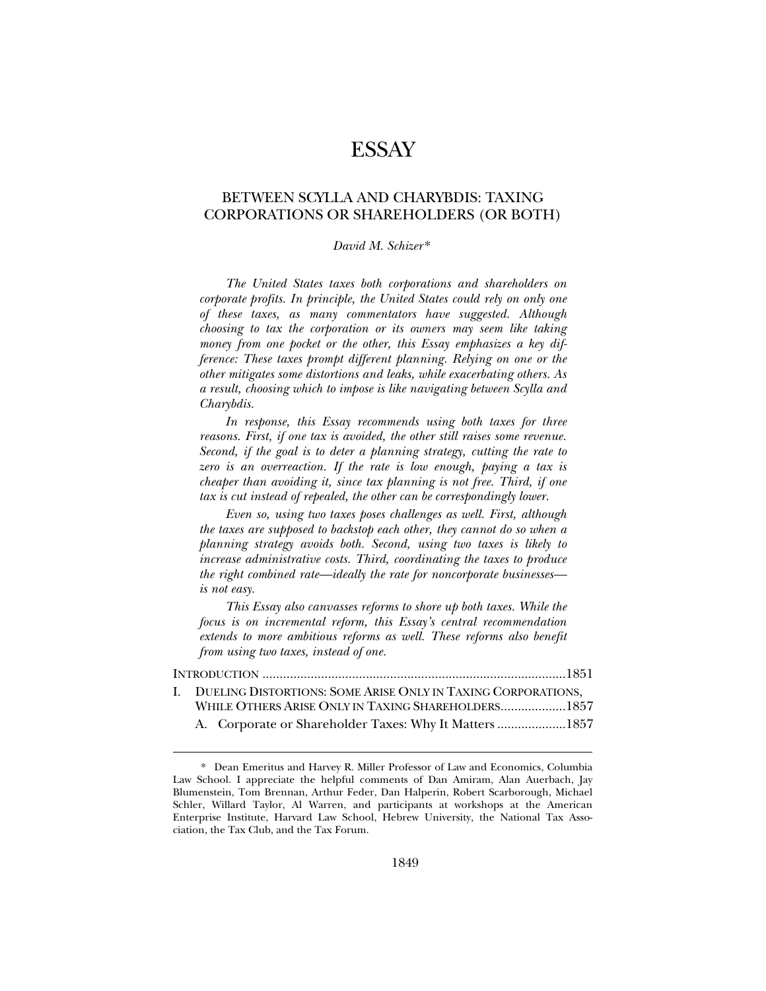# **ESSAY**

## BETWEEN SCYLLA AND CHARYBDIS: TAXING CORPORATIONS OR SHAREHOLDERS (OR BOTH)

#### *David M. Schizer* \*

*The United States taxes both corporations and shareholders on corporate profits. In principle, the United States could rely on only one of these taxes, as many commentators have suggested. Although choosing to tax the corporation or its owners may seem like taking money from one pocket or the other, this Essay emphasizes a key difference: These taxes prompt different planning. Relying on one or the other mitigates some distortions and leaks, while exacerbating others. As a result, choosing which to impose is like navigating between Scylla and Charybdis.* 

*In response, this Essay recommends using both taxes for three reasons. First, if one tax is avoided, the other still raises some revenue. Second, if the goal is to deter a planning strategy, cutting the rate to*  zero is an overreaction. If the rate is low enough, paying a tax is *cheaper than avoiding it, since tax planning is not free. Third, if one tax is cut instead of repealed, the other can be correspondingly lower.* 

*Even so, using two taxes poses challenges as well. First, although the taxes are supposed to backstop each other, they cannot do so when a planning strategy avoids both. Second, using two taxes is likely to increase administrative costs. Third, coordinating the taxes to produce the right combined rate—ideally the rate for noncorporate businesses is not easy.* 

*This Essay also canvasses reforms to shore up both taxes. While the focus is on incremental reform, this Essay's central recommendation extends to more ambitious reforms as well. These reforms also benefit from using two taxes, instead of one.* 

| I. DUELING DISTORTIONS: SOME ARISE ONLY IN TAXING CORPORATIONS, |  |
|-----------------------------------------------------------------|--|
| WHILE OTHERS ARISE ONLY IN TAXING SHAREHOLDERS1857              |  |
| A. Corporate or Shareholder Taxes: Why It Matters 1857          |  |

<sup>\*.</sup> Dean Emeritus and Harvey R. Miller Professor of Law and Economics, Columbia Law School. I appreciate the helpful comments of Dan Amiram, Alan Auerbach, Jay Blumenstein, Tom Brennan, Arthur Feder, Dan Halperin, Robert Scarborough, Michael Schler, Willard Taylor, Al Warren, and participants at workshops at the American Enterprise Institute, Harvard Law School, Hebrew University, the National Tax Association, the Tax Club, and the Tax Forum.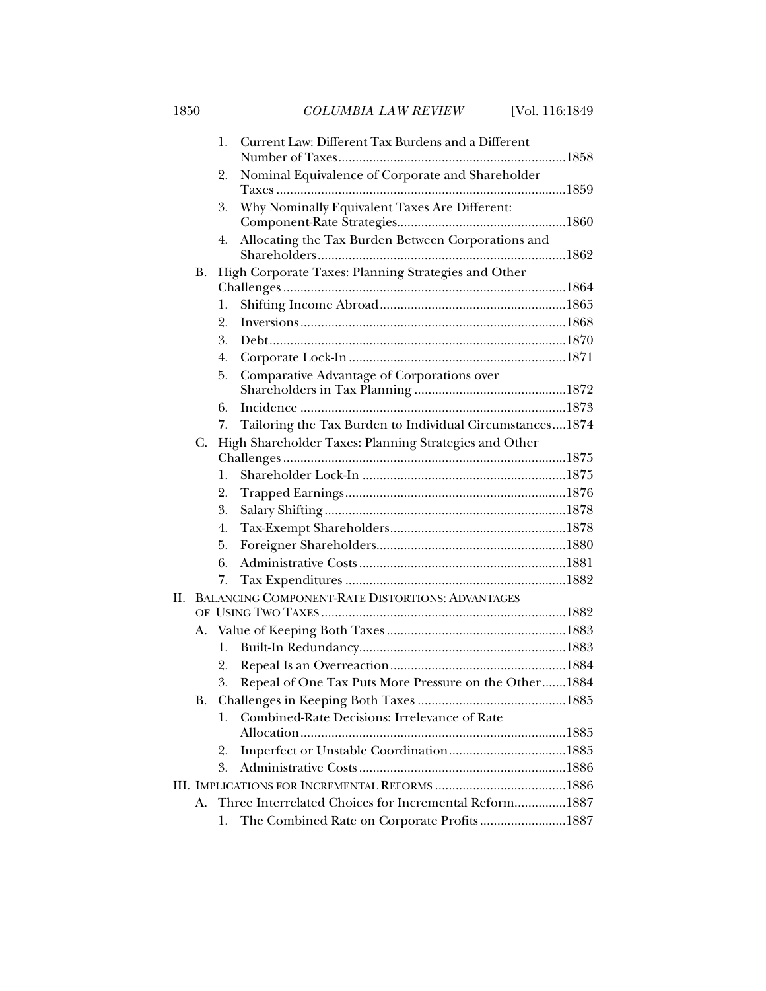1850 *COLUMBIA LAW REVIEW* [Vol. 116:1849

|     |                                                             | 1.             | Current Law: Different Tax Burdens and a Different       |  |
|-----|-------------------------------------------------------------|----------------|----------------------------------------------------------|--|
|     |                                                             | 2.             | Nominal Equivalence of Corporate and Shareholder         |  |
|     |                                                             |                |                                                          |  |
|     |                                                             | 3.             | Why Nominally Equivalent Taxes Are Different:            |  |
|     |                                                             | 4.             | Allocating the Tax Burden Between Corporations and       |  |
|     | В.                                                          |                | High Corporate Taxes: Planning Strategies and Other      |  |
|     |                                                             |                |                                                          |  |
|     |                                                             | 1.             |                                                          |  |
|     |                                                             | 2.             |                                                          |  |
|     |                                                             | 3.             |                                                          |  |
|     |                                                             | 4.             |                                                          |  |
|     |                                                             | 5.             | Comparative Advantage of Corporations over               |  |
|     |                                                             |                |                                                          |  |
|     |                                                             | 6.             |                                                          |  |
|     |                                                             | 7.             | Tailoring the Tax Burden to Individual Circumstances1874 |  |
|     | C.                                                          |                | High Shareholder Taxes: Planning Strategies and Other    |  |
|     |                                                             |                |                                                          |  |
|     |                                                             | $\mathbf{1}$ . |                                                          |  |
|     |                                                             | 2.             |                                                          |  |
|     |                                                             | 3.             |                                                          |  |
|     |                                                             | 4.             |                                                          |  |
|     |                                                             | 5.             |                                                          |  |
|     |                                                             | 6.             |                                                          |  |
|     |                                                             | 7.             |                                                          |  |
| II. |                                                             |                | <b>BALANCING COMPONENT-RATE DISTORTIONS: ADVANTAGES</b>  |  |
|     |                                                             |                |                                                          |  |
|     |                                                             |                |                                                          |  |
|     |                                                             | 1.             |                                                          |  |
|     |                                                             | 2.             |                                                          |  |
|     |                                                             | 3.             | Repeal of One Tax Puts More Pressure on the Other 1884   |  |
|     | В.                                                          |                |                                                          |  |
|     |                                                             | 1.             | Combined-Rate Decisions: Irrelevance of Rate             |  |
|     |                                                             |                |                                                          |  |
|     |                                                             | 2.             |                                                          |  |
|     |                                                             | 3.             |                                                          |  |
|     |                                                             |                |                                                          |  |
|     | Three Interrelated Choices for Incremental Reform1887<br>А. |                |                                                          |  |
|     |                                                             | 1.             | The Combined Rate on Corporate Profits1887               |  |
|     |                                                             |                |                                                          |  |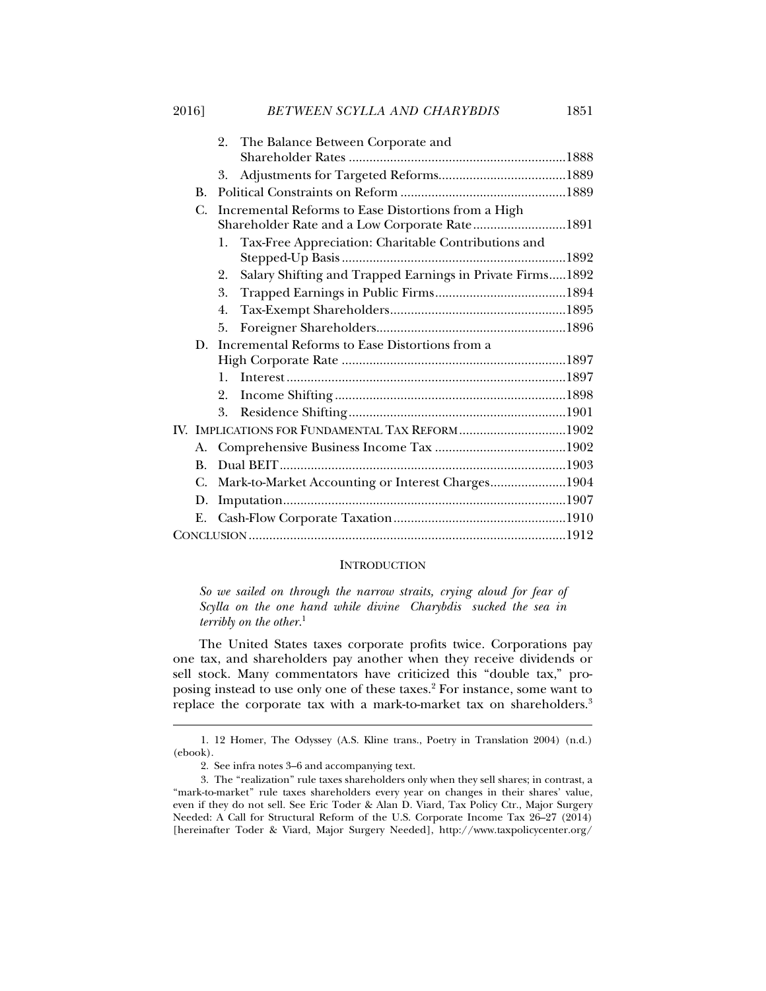l

|    |                                                | 2. The Balance Between Corporate and                      |  |  |
|----|------------------------------------------------|-----------------------------------------------------------|--|--|
|    |                                                |                                                           |  |  |
|    | 3.                                             |                                                           |  |  |
| В. |                                                |                                                           |  |  |
| C. |                                                | Incremental Reforms to Ease Distortions from a High       |  |  |
|    |                                                | Shareholder Rate and a Low Corporate Rate1891             |  |  |
|    | 1.                                             | Tax-Free Appreciation: Charitable Contributions and       |  |  |
|    |                                                |                                                           |  |  |
|    | 2.                                             | Salary Shifting and Trapped Earnings in Private Firms1892 |  |  |
|    | 3.                                             |                                                           |  |  |
|    | 4.                                             |                                                           |  |  |
|    | 5.                                             |                                                           |  |  |
| D. | Incremental Reforms to Ease Distortions from a |                                                           |  |  |
|    |                                                |                                                           |  |  |
|    | 1.                                             |                                                           |  |  |
|    | 2.                                             |                                                           |  |  |
|    | 3.                                             |                                                           |  |  |
|    |                                                |                                                           |  |  |

|  | IV. IMPLICATIONS FOR FUNDAMENTAL TAX REFORM 1902     |  |
|--|------------------------------------------------------|--|
|  |                                                      |  |
|  |                                                      |  |
|  | C. Mark-to-Market Accounting or Interest Charges1904 |  |
|  |                                                      |  |
|  |                                                      |  |
|  |                                                      |  |

#### **INTRODUCTION**

*So we sailed on through the narrow straits, crying aloud for fear of Scylla on the one hand while divine Charybdis sucked the sea in terribly on the other.*<sup>1</sup>

The United States taxes corporate profits twice. Corporations pay one tax, and shareholders pay another when they receive dividends or sell stock. Many commentators have criticized this "double tax," proposing instead to use only one of these taxes.<sup>2</sup> For instance, some want to replace the corporate tax with a mark-to-market tax on shareholders.<sup>3</sup>

 <sup>1. 12</sup> Homer, The Odyssey (A.S. Kline trans., Poetry in Translation 2004) (n.d.) (ebook).

 <sup>2.</sup> See infra notes 3–6 and accompanying text.

 <sup>3.</sup> The "realization" rule taxes shareholders only when they sell shares; in contrast, a "mark-to-market" rule taxes shareholders every year on changes in their shares' value, even if they do not sell. See Eric Toder & Alan D. Viard, Tax Policy Ctr., Major Surgery Needed: A Call for Structural Reform of the U.S. Corporate Income Tax 26–27 (2014) [hereinafter Toder & Viard, Major Surgery Needed], http://www.taxpolicycenter.org/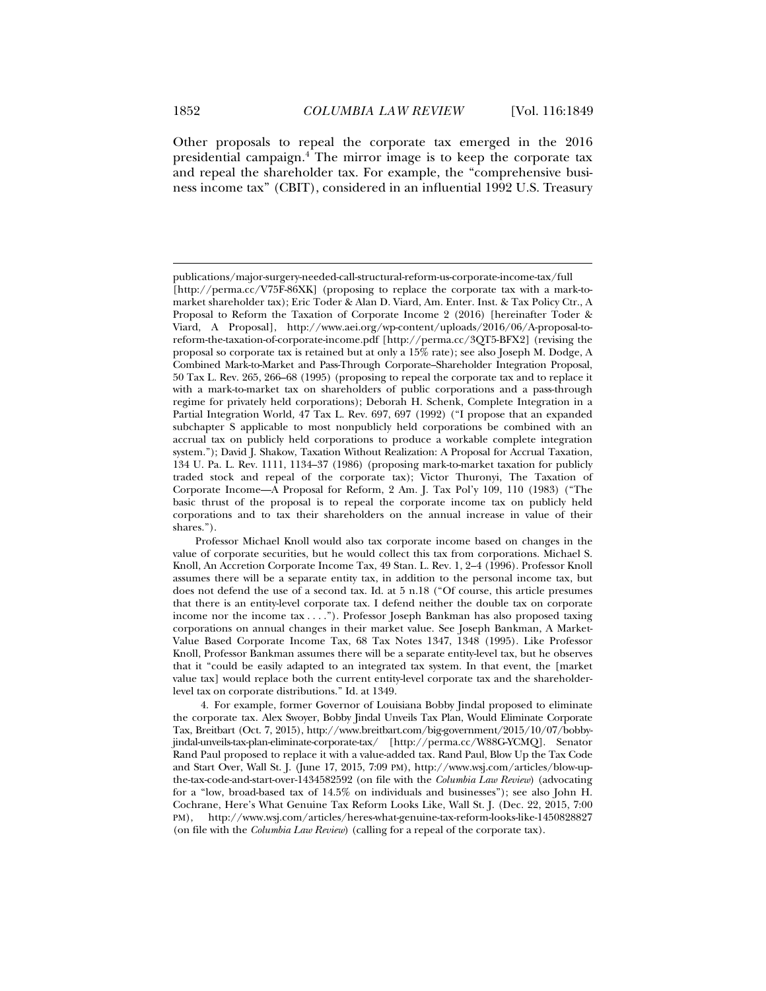Other proposals to repeal the corporate tax emerged in the 2016 presidential campaign.4 The mirror image is to keep the corporate tax and repeal the shareholder tax. For example, the "comprehensive business income tax" (CBIT), considered in an influential 1992 U.S. Treasury

 4. For example, former Governor of Louisiana Bobby Jindal proposed to eliminate the corporate tax. Alex Swoyer, Bobby Jindal Unveils Tax Plan, Would Eliminate Corporate Tax, Breitbart (Oct. 7, 2015), http://www.breitbart.com/big-government/2015/10/07/bobbyjindal-unveils-tax-plan-eliminate-corporate-tax/ [http://perma.cc/W88G-YCMQ]. Senator Rand Paul proposed to replace it with a value-added tax. Rand Paul, Blow Up the Tax Code and Start Over, Wall St. J. (June 17, 2015, 7:09 PM), http://www.wsj.com/articles/blow-upthe-tax-code-and-start-over-1434582592 (on file with the *Columbia Law Review*) (advocating for a "low, broad-based tax of 14.5% on individuals and businesses"); see also John H. Cochrane, Here's What Genuine Tax Reform Looks Like, Wall St. J. (Dec. 22, 2015, 7:00 PM), http://www.wsj.com/articles/heres-what-genuine-tax-reform-looks-like-1450828827 (on file with the *Columbia Law Review*) (calling for a repeal of the corporate tax).

publications/major-surgery-needed-call-structural-reform-us-corporate-income-tax/full [http://perma.cc/V75F-86XK] (proposing to replace the corporate tax with a mark-tomarket shareholder tax); Eric Toder & Alan D. Viard, Am. Enter. Inst. & Tax Policy Ctr., A Proposal to Reform the Taxation of Corporate Income 2 (2016) [hereinafter Toder & Viard, A Proposal], http://www.aei.org/wp-content/uploads/2016/06/A-proposal-toreform-the-taxation-of-corporate-income.pdf [http://perma.cc/3QT5-BFX2] (revising the proposal so corporate tax is retained but at only a 15% rate); see also Joseph M. Dodge, A Combined Mark-to-Market and Pass-Through Corporate–Shareholder Integration Proposal, 50 Tax L. Rev. 265, 266–68 (1995) (proposing to repeal the corporate tax and to replace it with a mark-to-market tax on shareholders of public corporations and a pass-through regime for privately held corporations); Deborah H. Schenk, Complete Integration in a Partial Integration World*,* 47 Tax L. Rev. 697, 697 (1992) ("I propose that an expanded subchapter S applicable to most nonpublicly held corporations be combined with an accrual tax on publicly held corporations to produce a workable complete integration system."); David J. Shakow, Taxation Without Realization: A Proposal for Accrual Taxation, 134 U. Pa. L. Rev. 1111, 1134–37 (1986) (proposing mark-to-market taxation for publicly traded stock and repeal of the corporate tax); Victor Thuronyi, The Taxation of Corporate Income—A Proposal for Reform, 2 Am. J. Tax Pol'y 109, 110 (1983) ("The basic thrust of the proposal is to repeal the corporate income tax on publicly held corporations and to tax their shareholders on the annual increase in value of their shares.").

Professor Michael Knoll would also tax corporate income based on changes in the value of corporate securities, but he would collect this tax from corporations. Michael S. Knoll, An Accretion Corporate Income Tax, 49 Stan. L. Rev. 1, 2–4 (1996). Professor Knoll assumes there will be a separate entity tax, in addition to the personal income tax, but does not defend the use of a second tax. Id. at 5 n.18 ("Of course, this article presumes that there is an entity-level corporate tax. I defend neither the double tax on corporate income nor the income tax . . . ."). Professor Joseph Bankman has also proposed taxing corporations on annual changes in their market value. See Joseph Bankman, A Market-Value Based Corporate Income Tax, 68 Tax Notes 1347, 1348 (1995). Like Professor Knoll, Professor Bankman assumes there will be a separate entity-level tax, but he observes that it "could be easily adapted to an integrated tax system. In that event, the [market value tax] would replace both the current entity-level corporate tax and the shareholderlevel tax on corporate distributions." Id. at 1349.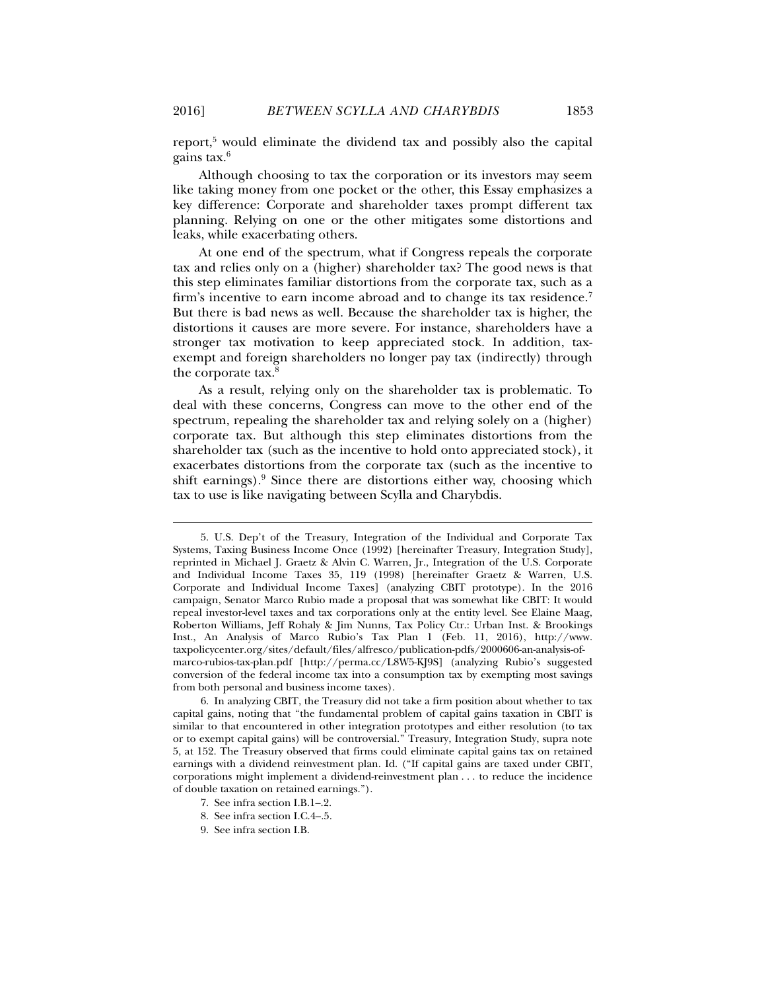report,<sup>5</sup> would eliminate the dividend tax and possibly also the capital gains tax.6

Although choosing to tax the corporation or its investors may seem like taking money from one pocket or the other, this Essay emphasizes a key difference: Corporate and shareholder taxes prompt different tax planning. Relying on one or the other mitigates some distortions and leaks, while exacerbating others.

At one end of the spectrum, what if Congress repeals the corporate tax and relies only on a (higher) shareholder tax? The good news is that this step eliminates familiar distortions from the corporate tax, such as a firm's incentive to earn income abroad and to change its tax residence.<sup>7</sup> But there is bad news as well. Because the shareholder tax is higher, the distortions it causes are more severe. For instance, shareholders have a stronger tax motivation to keep appreciated stock. In addition, taxexempt and foreign shareholders no longer pay tax (indirectly) through the corporate tax.<sup>8</sup>

As a result, relying only on the shareholder tax is problematic. To deal with these concerns, Congress can move to the other end of the spectrum, repealing the shareholder tax and relying solely on a (higher) corporate tax. But although this step eliminates distortions from the shareholder tax (such as the incentive to hold onto appreciated stock), it exacerbates distortions from the corporate tax (such as the incentive to shift earnings).<sup>9</sup> Since there are distortions either way, choosing which tax to use is like navigating between Scylla and Charybdis.

- 7. See infra section I.B.1–.2.
- 8. See infra section I.C.4–.5.
- 9. See infra section I.B.

 <sup>5.</sup> U.S. Dep't of the Treasury, Integration of the Individual and Corporate Tax Systems, Taxing Business Income Once (1992) [hereinafter Treasury, Integration Study], reprinted in Michael J. Graetz & Alvin C. Warren, Jr., Integration of the U.S. Corporate and Individual Income Taxes 35, 119 (1998) [hereinafter Graetz & Warren, U.S. Corporate and Individual Income Taxes] (analyzing CBIT prototype). In the 2016 campaign, Senator Marco Rubio made a proposal that was somewhat like CBIT: It would repeal investor-level taxes and tax corporations only at the entity level. See Elaine Maag, Roberton Williams, Jeff Rohaly & Jim Nunns, Tax Policy Ctr.: Urban Inst. & Brookings Inst., An Analysis of Marco Rubio's Tax Plan 1 (Feb. 11, 2016), http://www. taxpolicycenter.org/sites/default/files/alfresco/publication-pdfs/2000606-an-analysis-ofmarco-rubios-tax-plan.pdf [http://perma.cc/L8W5-KJ9S] (analyzing Rubio's suggested conversion of the federal income tax into a consumption tax by exempting most savings from both personal and business income taxes).

 <sup>6.</sup> In analyzing CBIT, the Treasury did not take a firm position about whether to tax capital gains, noting that "the fundamental problem of capital gains taxation in CBIT is similar to that encountered in other integration prototypes and either resolution (to tax or to exempt capital gains) will be controversial." Treasury, Integration Study, supra note 5, at 152. The Treasury observed that firms could eliminate capital gains tax on retained earnings with a dividend reinvestment plan. Id. ("If capital gains are taxed under CBIT, corporations might implement a dividend-reinvestment plan . . . to reduce the incidence of double taxation on retained earnings.").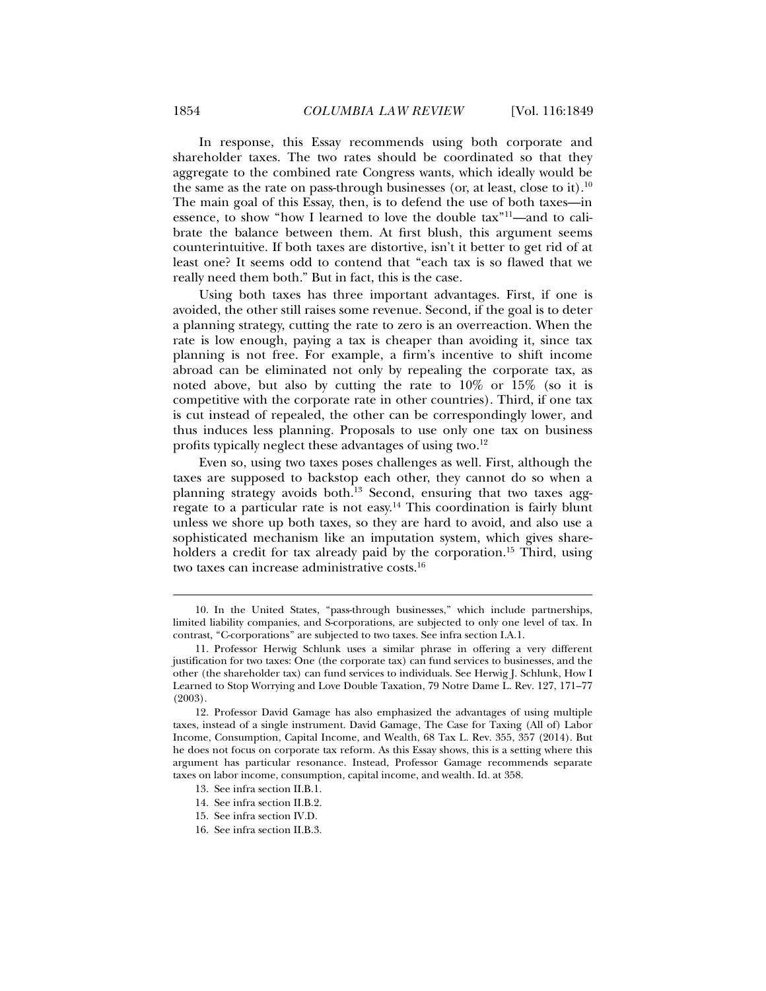In response, this Essay recommends using both corporate and shareholder taxes. The two rates should be coordinated so that they aggregate to the combined rate Congress wants, which ideally would be the same as the rate on pass-through businesses (or, at least, close to it).<sup>10</sup> The main goal of this Essay, then, is to defend the use of both taxes—in essence, to show "how I learned to love the double tax"11—and to calibrate the balance between them. At first blush, this argument seems counterintuitive. If both taxes are distortive, isn't it better to get rid of at least one? It seems odd to contend that "each tax is so flawed that we really need them both." But in fact, this is the case.

Using both taxes has three important advantages. First, if one is avoided, the other still raises some revenue. Second, if the goal is to deter a planning strategy, cutting the rate to zero is an overreaction. When the rate is low enough, paying a tax is cheaper than avoiding it, since tax planning is not free. For example, a firm's incentive to shift income abroad can be eliminated not only by repealing the corporate tax, as noted above, but also by cutting the rate to  $10\%$  or  $15\%$  (so it is competitive with the corporate rate in other countries). Third, if one tax is cut instead of repealed, the other can be correspondingly lower, and thus induces less planning. Proposals to use only one tax on business profits typically neglect these advantages of using two.12

Even so, using two taxes poses challenges as well. First, although the taxes are supposed to backstop each other, they cannot do so when a planning strategy avoids both.13 Second, ensuring that two taxes aggregate to a particular rate is not easy.14 This coordination is fairly blunt unless we shore up both taxes, so they are hard to avoid, and also use a sophisticated mechanism like an imputation system, which gives shareholders a credit for tax already paid by the corporation.<sup>15</sup> Third, using two taxes can increase administrative costs.16

 <sup>10.</sup> In the United States, "pass-through businesses," which include partnerships, limited liability companies, and S-corporations, are subjected to only one level of tax. In contrast, "C-corporations" are subjected to two taxes. See infra section I.A.1.

 <sup>11.</sup> Professor Herwig Schlunk uses a similar phrase in offering a very different justification for two taxes: One (the corporate tax) can fund services to businesses, and the other (the shareholder tax) can fund services to individuals. See Herwig J. Schlunk, How I Learned to Stop Worrying and Love Double Taxation, 79 Notre Dame L. Rev. 127, 171–77 (2003).

 <sup>12.</sup> Professor David Gamage has also emphasized the advantages of using multiple taxes, instead of a single instrument. David Gamage, The Case for Taxing (All of) Labor Income, Consumption, Capital Income, and Wealth, 68 Tax L. Rev. 355, 357 (2014). But he does not focus on corporate tax reform. As this Essay shows, this is a setting where this argument has particular resonance. Instead, Professor Gamage recommends separate taxes on labor income, consumption, capital income, and wealth. Id. at 358.

 <sup>13.</sup> See infra section II.B.1.

 <sup>14.</sup> See infra section II.B.2.

 <sup>15.</sup> See infra section IV.D.

 <sup>16.</sup> See infra section II.B.3.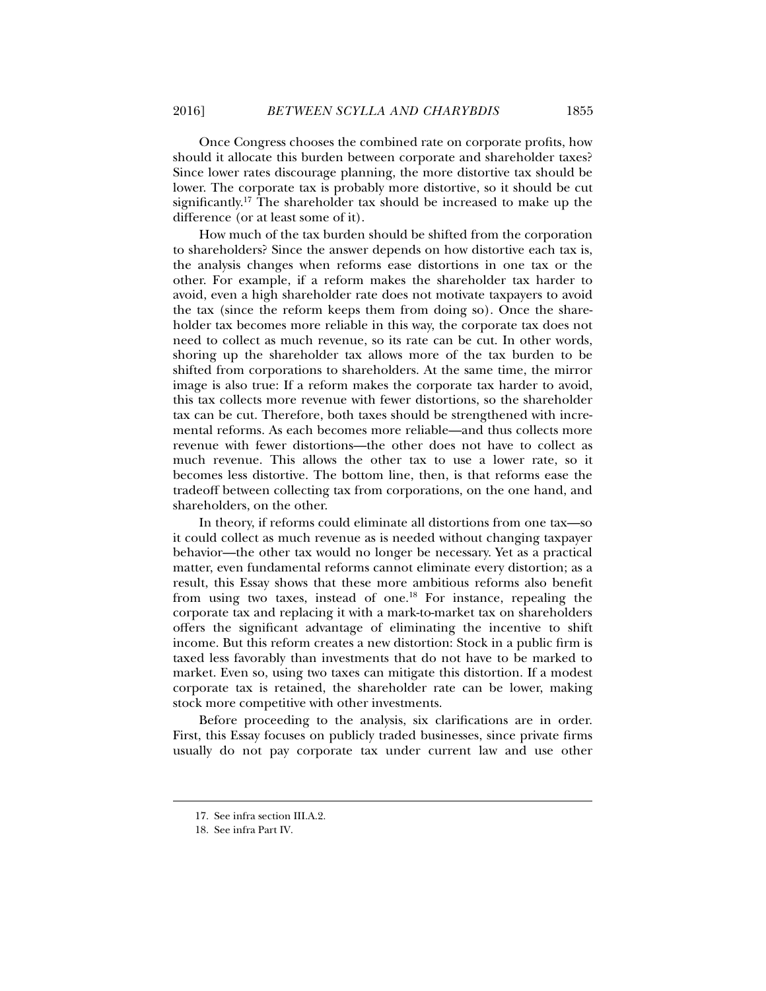Once Congress chooses the combined rate on corporate profits, how should it allocate this burden between corporate and shareholder taxes? Since lower rates discourage planning, the more distortive tax should be lower. The corporate tax is probably more distortive, so it should be cut significantly.17 The shareholder tax should be increased to make up the difference (or at least some of it).

How much of the tax burden should be shifted from the corporation to shareholders? Since the answer depends on how distortive each tax is, the analysis changes when reforms ease distortions in one tax or the other. For example, if a reform makes the shareholder tax harder to avoid, even a high shareholder rate does not motivate taxpayers to avoid the tax (since the reform keeps them from doing so). Once the shareholder tax becomes more reliable in this way, the corporate tax does not need to collect as much revenue, so its rate can be cut. In other words, shoring up the shareholder tax allows more of the tax burden to be shifted from corporations to shareholders. At the same time, the mirror image is also true: If a reform makes the corporate tax harder to avoid, this tax collects more revenue with fewer distortions, so the shareholder tax can be cut. Therefore, both taxes should be strengthened with incremental reforms. As each becomes more reliable—and thus collects more revenue with fewer distortions—the other does not have to collect as much revenue. This allows the other tax to use a lower rate, so it becomes less distortive. The bottom line, then, is that reforms ease the tradeoff between collecting tax from corporations, on the one hand, and shareholders, on the other.

In theory, if reforms could eliminate all distortions from one tax—so it could collect as much revenue as is needed without changing taxpayer behavior—the other tax would no longer be necessary. Yet as a practical matter, even fundamental reforms cannot eliminate every distortion; as a result, this Essay shows that these more ambitious reforms also benefit from using two taxes, instead of one.<sup>18</sup> For instance, repealing the corporate tax and replacing it with a mark-to-market tax on shareholders offers the significant advantage of eliminating the incentive to shift income. But this reform creates a new distortion: Stock in a public firm is taxed less favorably than investments that do not have to be marked to market. Even so, using two taxes can mitigate this distortion. If a modest corporate tax is retained, the shareholder rate can be lower, making stock more competitive with other investments.

Before proceeding to the analysis, six clarifications are in order. First, this Essay focuses on publicly traded businesses, since private firms usually do not pay corporate tax under current law and use other

 <sup>17.</sup> See infra section III.A.2.

 <sup>18.</sup> See infra Part IV.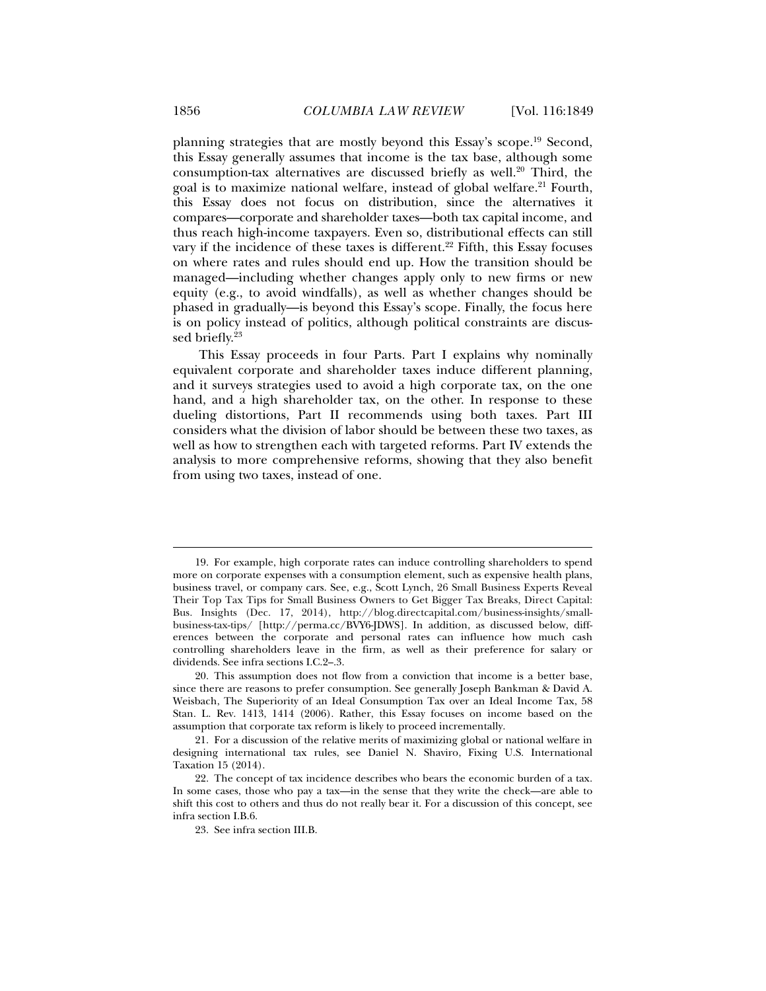planning strategies that are mostly beyond this Essay's scope.19 Second, this Essay generally assumes that income is the tax base, although some consumption-tax alternatives are discussed briefly as well.<sup>20</sup> Third, the goal is to maximize national welfare, instead of global welfare.<sup>21</sup> Fourth, this Essay does not focus on distribution, since the alternatives it compares—corporate and shareholder taxes—both tax capital income, and thus reach high-income taxpayers. Even so, distributional effects can still vary if the incidence of these taxes is different.<sup>22</sup> Fifth, this Essay focuses on where rates and rules should end up. How the transition should be managed—including whether changes apply only to new firms or new equity (e.g., to avoid windfalls), as well as whether changes should be phased in gradually—is beyond this Essay's scope. Finally, the focus here is on policy instead of politics, although political constraints are discussed briefly.23

This Essay proceeds in four Parts. Part I explains why nominally equivalent corporate and shareholder taxes induce different planning, and it surveys strategies used to avoid a high corporate tax, on the one hand, and a high shareholder tax, on the other. In response to these dueling distortions, Part II recommends using both taxes. Part III considers what the division of labor should be between these two taxes, as well as how to strengthen each with targeted reforms. Part IV extends the analysis to more comprehensive reforms, showing that they also benefit from using two taxes, instead of one.

 <sup>19.</sup> For example, high corporate rates can induce controlling shareholders to spend more on corporate expenses with a consumption element, such as expensive health plans, business travel, or company cars. See, e.g., Scott Lynch, 26 Small Business Experts Reveal Their Top Tax Tips for Small Business Owners to Get Bigger Tax Breaks, Direct Capital: Bus. Insights (Dec. 17, 2014), http://blog.directcapital.com/business-insights/smallbusiness-tax-tips/ [http://perma.cc/BVY6-JDWS]. In addition, as discussed below, differences between the corporate and personal rates can influence how much cash controlling shareholders leave in the firm, as well as their preference for salary or dividends. See infra sections I.C.2–.3.

 <sup>20.</sup> This assumption does not flow from a conviction that income is a better base, since there are reasons to prefer consumption. See generally Joseph Bankman & David A. Weisbach, The Superiority of an Ideal Consumption Tax over an Ideal Income Tax, 58 Stan. L. Rev. 1413, 1414 (2006). Rather, this Essay focuses on income based on the assumption that corporate tax reform is likely to proceed incrementally.

 <sup>21.</sup> For a discussion of the relative merits of maximizing global or national welfare in designing international tax rules, see Daniel N. Shaviro, Fixing U.S. International Taxation 15 (2014).

 <sup>22.</sup> The concept of tax incidence describes who bears the economic burden of a tax. In some cases, those who pay a tax—in the sense that they write the check—are able to shift this cost to others and thus do not really bear it. For a discussion of this concept, see infra section I.B.6.

 <sup>23.</sup> See infra section III.B.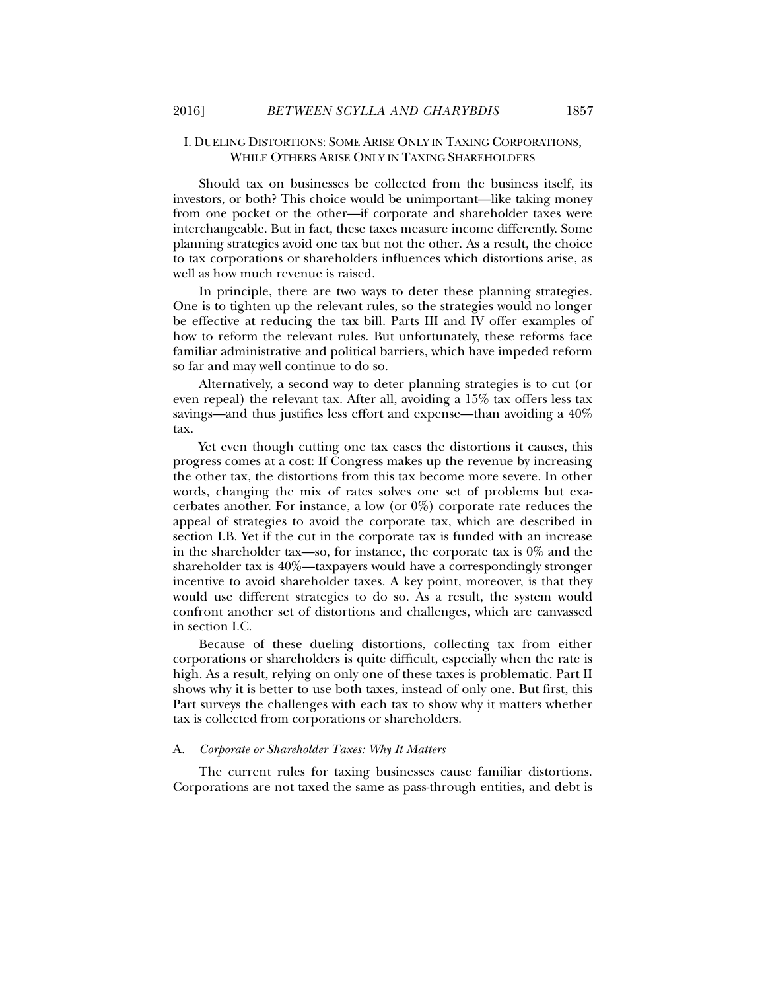#### I. DUELING DISTORTIONS: SOME ARISE ONLY IN TAXING CORPORATIONS, WHILE OTHERS ARISE ONLY IN TAXING SHAREHOLDERS

Should tax on businesses be collected from the business itself, its investors, or both? This choice would be unimportant—like taking money from one pocket or the other—if corporate and shareholder taxes were interchangeable. But in fact, these taxes measure income differently. Some planning strategies avoid one tax but not the other. As a result, the choice to tax corporations or shareholders influences which distortions arise, as well as how much revenue is raised.

In principle, there are two ways to deter these planning strategies. One is to tighten up the relevant rules, so the strategies would no longer be effective at reducing the tax bill. Parts III and IV offer examples of how to reform the relevant rules. But unfortunately, these reforms face familiar administrative and political barriers, which have impeded reform so far and may well continue to do so.

Alternatively, a second way to deter planning strategies is to cut (or even repeal) the relevant tax. After all, avoiding a 15% tax offers less tax savings—and thus justifies less effort and expense—than avoiding a 40% tax.

Yet even though cutting one tax eases the distortions it causes, this progress comes at a cost: If Congress makes up the revenue by increasing the other tax, the distortions from this tax become more severe. In other words, changing the mix of rates solves one set of problems but exacerbates another. For instance, a low (or 0%) corporate rate reduces the appeal of strategies to avoid the corporate tax, which are described in section I.B. Yet if the cut in the corporate tax is funded with an increase in the shareholder tax—so, for instance, the corporate tax is  $0\%$  and the shareholder tax is 40%—taxpayers would have a correspondingly stronger incentive to avoid shareholder taxes. A key point, moreover, is that they would use different strategies to do so. As a result, the system would confront another set of distortions and challenges, which are canvassed in section I.C.

Because of these dueling distortions, collecting tax from either corporations or shareholders is quite difficult, especially when the rate is high. As a result, relying on only one of these taxes is problematic. Part II shows why it is better to use both taxes, instead of only one. But first, this Part surveys the challenges with each tax to show why it matters whether tax is collected from corporations or shareholders.

#### A. *Corporate or Shareholder Taxes: Why It Matters*

The current rules for taxing businesses cause familiar distortions. Corporations are not taxed the same as pass-through entities, and debt is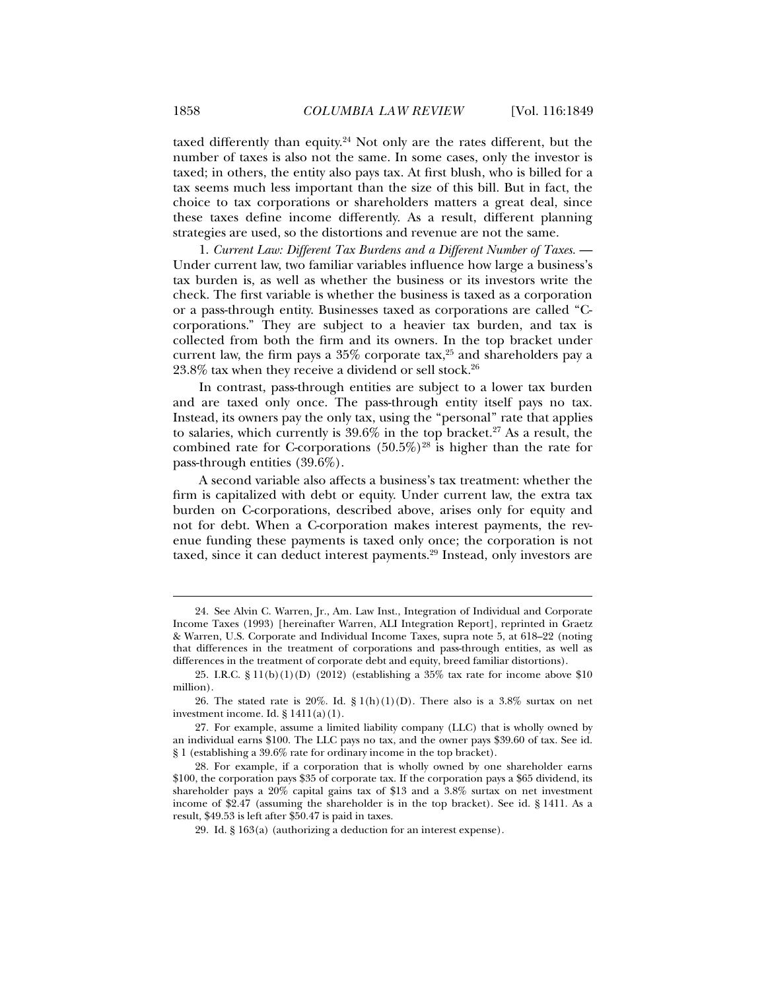taxed differently than equity.24 Not only are the rates different, but the number of taxes is also not the same. In some cases, only the investor is taxed; in others, the entity also pays tax. At first blush, who is billed for a tax seems much less important than the size of this bill. But in fact, the choice to tax corporations or shareholders matters a great deal, since these taxes define income differently. As a result, different planning strategies are used, so the distortions and revenue are not the same.

1. *Current Law: Different Tax Burdens and a Different Number of Taxes.* — Under current law, two familiar variables influence how large a business's tax burden is, as well as whether the business or its investors write the check. The first variable is whether the business is taxed as a corporation or a pass-through entity. Businesses taxed as corporations are called "Ccorporations." They are subject to a heavier tax burden, and tax is collected from both the firm and its owners. In the top bracket under current law, the firm pays a  $35\%$  corporate tax,<sup>25</sup> and shareholders pay a  $23.8\%$  tax when they receive a dividend or sell stock.<sup>26</sup>

In contrast, pass-through entities are subject to a lower tax burden and are taxed only once. The pass-through entity itself pays no tax. Instead, its owners pay the only tax, using the "personal" rate that applies to salaries, which currently is  $39.6\%$  in the top bracket.<sup>27</sup> As a result, the combined rate for C-corporations  $(50.5\%)^{28}$  is higher than the rate for pass-through entities (39.6%).

A second variable also affects a business's tax treatment: whether the firm is capitalized with debt or equity. Under current law, the extra tax burden on C-corporations, described above, arises only for equity and not for debt. When a C-corporation makes interest payments, the revenue funding these payments is taxed only once; the corporation is not taxed, since it can deduct interest payments.<sup>29</sup> Instead, only investors are

 <sup>24.</sup> See Alvin C. Warren, Jr., Am. Law Inst., Integration of Individual and Corporate Income Taxes (1993) [hereinafter Warren, ALI Integration Report], reprinted in Graetz & Warren, U.S. Corporate and Individual Income Taxes, supra note 5, at 618–22 (noting that differences in the treatment of corporations and pass-through entities, as well as differences in the treatment of corporate debt and equity, breed familiar distortions).

 <sup>25.</sup> I.R.C. § 11(b)(1)(D) (2012) (establishing a 35% tax rate for income above \$10 million).

<sup>26.</sup> The stated rate is 20%. Id.  $\S 1(h)(1)(D)$ . There also is a 3.8% surtax on net investment income. Id.  $\S 1411(a)(1)$ .

 <sup>27.</sup> For example, assume a limited liability company (LLC) that is wholly owned by an individual earns \$100. The LLC pays no tax, and the owner pays \$39.60 of tax. See id. § 1 (establishing a 39.6% rate for ordinary income in the top bracket).

 <sup>28.</sup> For example, if a corporation that is wholly owned by one shareholder earns \$100, the corporation pays \$35 of corporate tax. If the corporation pays a \$65 dividend, its shareholder pays a 20% capital gains tax of \$13 and a 3.8% surtax on net investment income of \$2.47 (assuming the shareholder is in the top bracket). See id. § 1411. As a result, \$49.53 is left after \$50.47 is paid in taxes.

 <sup>29.</sup> Id. § 163(a) (authorizing a deduction for an interest expense).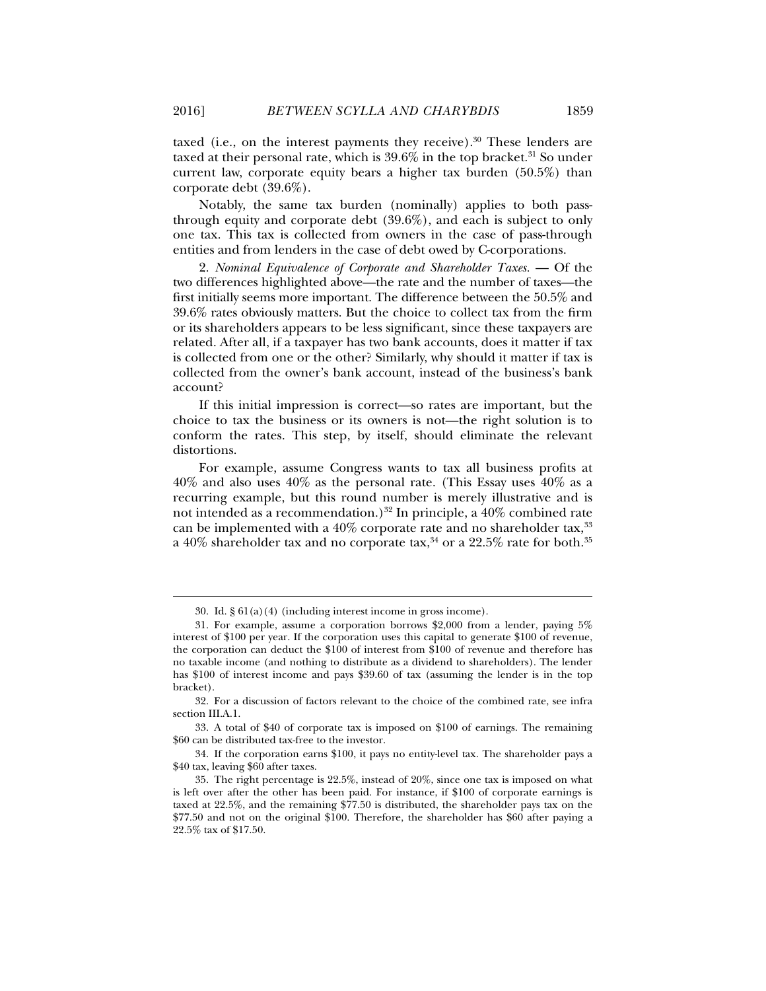taxed (i.e., on the interest payments they receive).<sup>30</sup> These lenders are taxed at their personal rate, which is  $39.6\%$  in the top bracket.<sup>31</sup> So under current law, corporate equity bears a higher tax burden (50.5%) than corporate debt (39.6%).

Notably, the same tax burden (nominally) applies to both passthrough equity and corporate debt (39.6%), and each is subject to only one tax. This tax is collected from owners in the case of pass-through entities and from lenders in the case of debt owed by C-corporations.

2. *Nominal Equivalence of Corporate and Shareholder Taxes.* — Of the two differences highlighted above—the rate and the number of taxes—the first initially seems more important. The difference between the 50.5% and 39.6% rates obviously matters. But the choice to collect tax from the firm or its shareholders appears to be less significant, since these taxpayers are related. After all, if a taxpayer has two bank accounts, does it matter if tax is collected from one or the other? Similarly, why should it matter if tax is collected from the owner's bank account, instead of the business's bank account?

If this initial impression is correct—so rates are important, but the choice to tax the business or its owners is not—the right solution is to conform the rates. This step, by itself, should eliminate the relevant distortions.

For example, assume Congress wants to tax all business profits at  $40\%$  and also uses  $40\%$  as the personal rate. (This Essay uses  $40\%$  as a recurring example, but this round number is merely illustrative and is not intended as a recommendation.)<sup>32</sup> In principle, a  $40\%$  combined rate can be implemented with a 40% corporate rate and no shareholder tax,<sup>33</sup> a 40% shareholder tax and no corporate tax,<sup>34</sup> or a 22.5% rate for both.<sup>35</sup>

 <sup>30.</sup> Id. § 61(a)(4) (including interest income in gross income).

 <sup>31.</sup> For example, assume a corporation borrows \$2,000 from a lender, paying 5% interest of \$100 per year. If the corporation uses this capital to generate \$100 of revenue, the corporation can deduct the \$100 of interest from \$100 of revenue and therefore has no taxable income (and nothing to distribute as a dividend to shareholders). The lender has \$100 of interest income and pays \$39.60 of tax (assuming the lender is in the top bracket).

 <sup>32.</sup> For a discussion of factors relevant to the choice of the combined rate, see infra section III.A.1.

 <sup>33.</sup> A total of \$40 of corporate tax is imposed on \$100 of earnings. The remaining \$60 can be distributed tax-free to the investor.

 <sup>34.</sup> If the corporation earns \$100, it pays no entity-level tax. The shareholder pays a \$40 tax, leaving \$60 after taxes.

 <sup>35.</sup> The right percentage is 22.5%, instead of 20%, since one tax is imposed on what is left over after the other has been paid. For instance, if \$100 of corporate earnings is taxed at 22.5%, and the remaining \$77.50 is distributed, the shareholder pays tax on the \$77.50 and not on the original \$100. Therefore, the shareholder has \$60 after paying a 22.5% tax of \$17.50.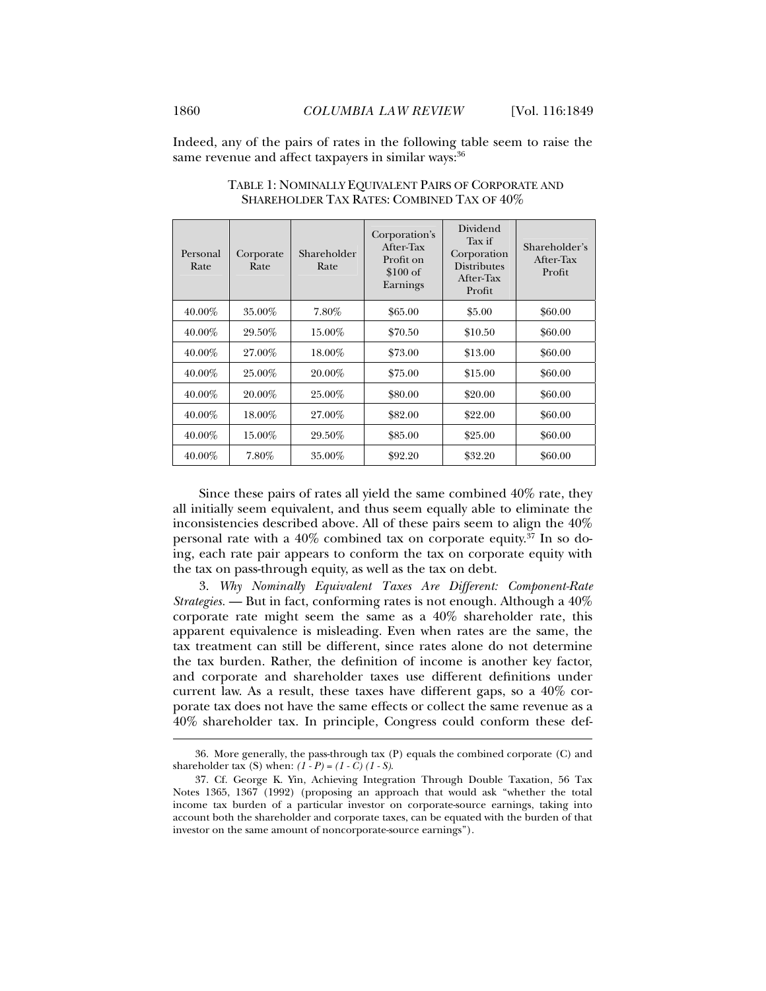Indeed, any of the pairs of rates in the following table seem to raise the same revenue and affect taxpayers in similar ways: 36

| Personal<br>Rate | Corporate<br>Rate | Shareholder<br>Rate | Corporation's<br>After-Tax<br>Profit on<br>\$100 of<br>Earnings | Dividend<br>Tax if<br>Corporation<br><b>Distributes</b><br>After-Tax<br>Profit | Shareholder's<br>After-Tax<br>Profit |
|------------------|-------------------|---------------------|-----------------------------------------------------------------|--------------------------------------------------------------------------------|--------------------------------------|
| 40.00%           | 35.00%            | $7.80\%$            | \$65.00                                                         | \$5.00                                                                         | \$60.00                              |
| $40.00\%$        | 29.50%            | 15.00%              | \$70.50                                                         | \$10.50                                                                        | \$60.00                              |
| 40.00%           | 27.00%            | 18.00%              | \$73.00                                                         | \$13.00                                                                        | \$60.00                              |
| 40.00%           | 25.00%            | 20.00%              | \$75.00                                                         | \$15.00                                                                        | \$60.00                              |
| 40.00%           | 20.00%            | 25.00%              | \$80.00                                                         | \$20.00                                                                        | \$60.00                              |
| 40.00%           | $18.00\%$         | 27.00%              | \$82.00                                                         | \$22.00                                                                        | \$60.00                              |
| 40.00%           | 15.00%            | 29.50%              | \$85.00                                                         | \$25.00                                                                        | \$60.00                              |
| 40.00%           | $7.80\%$          | 35.00%              | \$92.20                                                         | \$32.20                                                                        | \$60.00                              |

TABLE 1: NOMINALLY EQUIVALENT PAIRS OF CORPORATE AND SHAREHOLDER TAX RATES: COMBINED TAX OF 40%

Since these pairs of rates all yield the same combined 40% rate, they all initially seem equivalent, and thus seem equally able to eliminate the inconsistencies described above. All of these pairs seem to align the 40% personal rate with a  $40\%$  combined tax on corporate equity.<sup>37</sup> In so doing, each rate pair appears to conform the tax on corporate equity with the tax on pass-through equity, as well as the tax on debt.

3. *Why Nominally Equivalent Taxes Are Different: Component-Rate Strategies.* — But in fact, conforming rates is not enough. Although a 40% corporate rate might seem the same as a 40% shareholder rate, this apparent equivalence is misleading. Even when rates are the same, the tax treatment can still be different, since rates alone do not determine the tax burden. Rather, the definition of income is another key factor, and corporate and shareholder taxes use different definitions under current law. As a result, these taxes have different gaps, so a 40% corporate tax does not have the same effects or collect the same revenue as a 40% shareholder tax. In principle, Congress could conform these def-

 <sup>36.</sup> More generally, the pass-through tax (P) equals the combined corporate (C) and shareholder tax (S) when: *(1 - P) = (1 - C) (1 - S)*.

 <sup>37.</sup> Cf. George K. Yin, Achieving Integration Through Double Taxation, 56 Tax Notes 1365, 1367 (1992) (proposing an approach that would ask "whether the total income tax burden of a particular investor on corporate-source earnings, taking into account both the shareholder and corporate taxes, can be equated with the burden of that investor on the same amount of noncorporate-source earnings").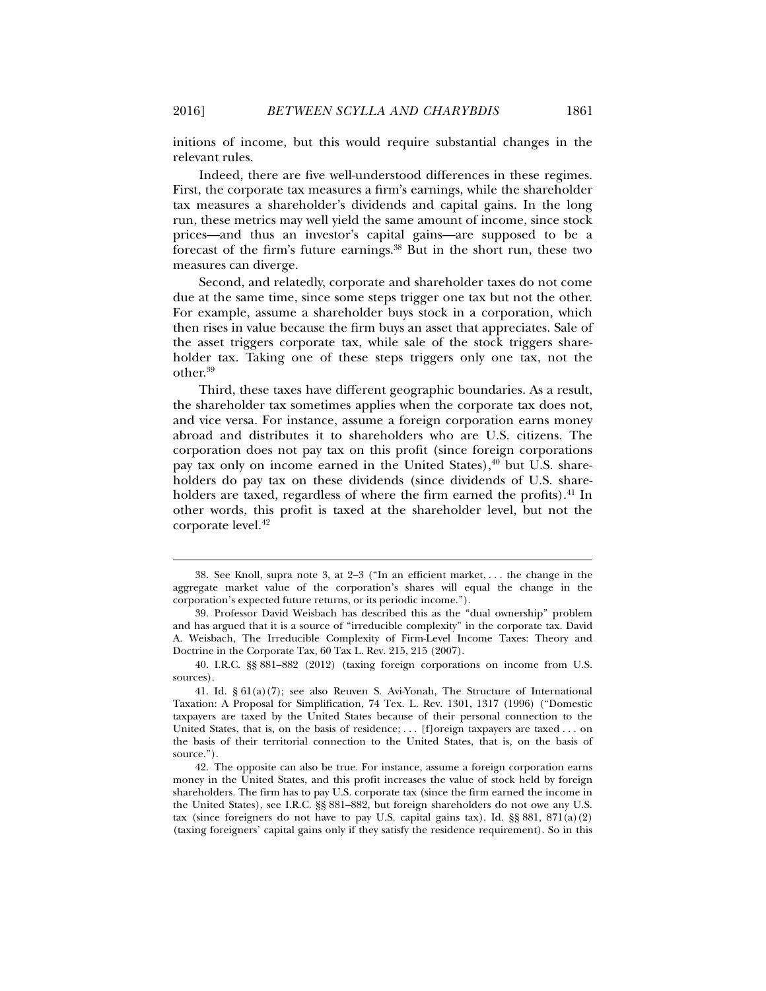initions of income, but this would require substantial changes in the relevant rules.

Indeed, there are five well-understood differences in these regimes. First, the corporate tax measures a firm's earnings, while the shareholder tax measures a shareholder's dividends and capital gains. In the long run, these metrics may well yield the same amount of income, since stock prices—and thus an investor's capital gains—are supposed to be a forecast of the firm's future earnings.38 But in the short run, these two measures can diverge.

Second, and relatedly, corporate and shareholder taxes do not come due at the same time, since some steps trigger one tax but not the other. For example, assume a shareholder buys stock in a corporation, which then rises in value because the firm buys an asset that appreciates. Sale of the asset triggers corporate tax, while sale of the stock triggers shareholder tax. Taking one of these steps triggers only one tax, not the other.39

Third, these taxes have different geographic boundaries. As a result, the shareholder tax sometimes applies when the corporate tax does not, and vice versa. For instance, assume a foreign corporation earns money abroad and distributes it to shareholders who are U.S. citizens. The corporation does not pay tax on this profit (since foreign corporations pay tax only on income earned in the United States), $40$  but U.S. shareholders do pay tax on these dividends (since dividends of U.S. shareholders are taxed, regardless of where the firm earned the profits).<sup>41</sup> In other words, this profit is taxed at the shareholder level, but not the corporate level.<sup>42</sup>

 <sup>38.</sup> See Knoll, supra note 3, at 2–3 ("In an efficient market, . . . the change in the aggregate market value of the corporation's shares will equal the change in the corporation's expected future returns, or its periodic income.").

 <sup>39.</sup> Professor David Weisbach has described this as the "dual ownership" problem and has argued that it is a source of "irreducible complexity" in the corporate tax. David A. Weisbach, The Irreducible Complexity of Firm-Level Income Taxes: Theory and Doctrine in the Corporate Tax, 60 Tax L. Rev. 215, 215 (2007).

 <sup>40.</sup> I.R.C. §§ 881–882 (2012) (taxing foreign corporations on income from U.S. sources).

 <sup>41.</sup> Id. § 61(a)(7); see also Reuven S. Avi-Yonah, The Structure of International Taxation: A Proposal for Simplification, 74 Tex. L. Rev. 1301, 1317 (1996) ("Domestic taxpayers are taxed by the United States because of their personal connection to the United States, that is, on the basis of residence; . . . [f]oreign taxpayers are taxed . . . on the basis of their territorial connection to the United States, that is, on the basis of source.").

 <sup>42.</sup> The opposite can also be true. For instance, assume a foreign corporation earns money in the United States, and this profit increases the value of stock held by foreign shareholders. The firm has to pay U.S. corporate tax (since the firm earned the income in the United States), see I.R.C. §§ 881–882, but foreign shareholders do not owe any U.S. tax (since foreigners do not have to pay U.S. capital gains tax). Id.  $\S$ § 881, 871(a)(2) (taxing foreigners' capital gains only if they satisfy the residence requirement). So in this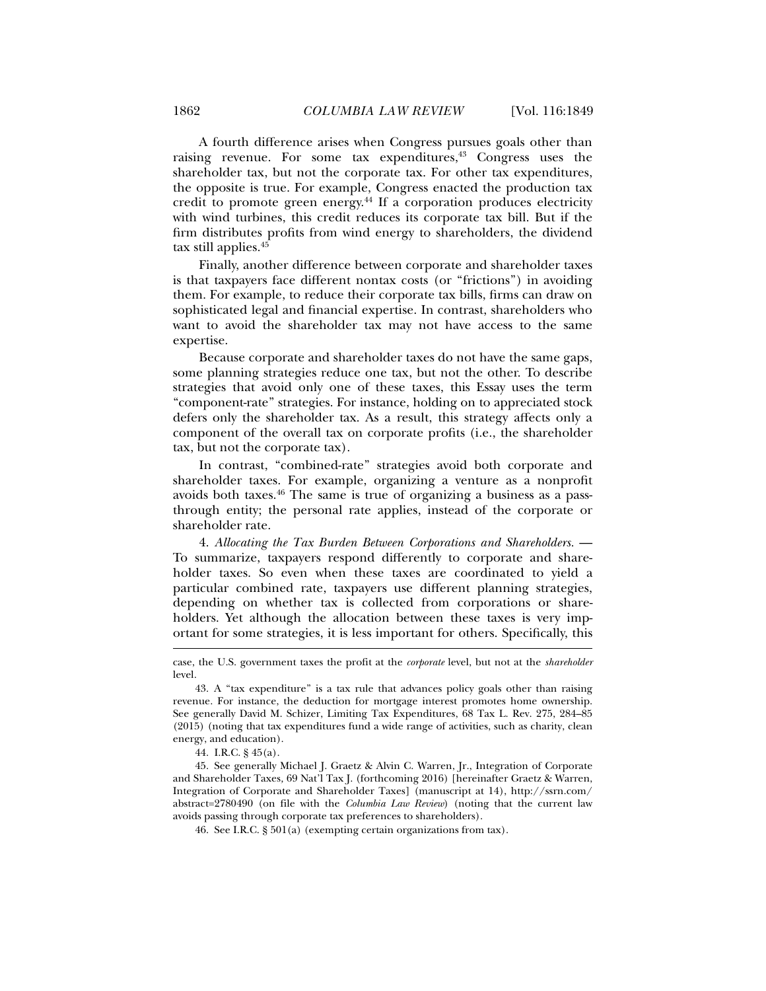A fourth difference arises when Congress pursues goals other than raising revenue. For some tax expenditures,<sup>43</sup> Congress uses the shareholder tax, but not the corporate tax. For other tax expenditures, the opposite is true. For example, Congress enacted the production tax credit to promote green energy.44 If a corporation produces electricity with wind turbines, this credit reduces its corporate tax bill. But if the firm distributes profits from wind energy to shareholders, the dividend tax still applies.<sup>45</sup>

Finally, another difference between corporate and shareholder taxes is that taxpayers face different nontax costs (or "frictions") in avoiding them. For example, to reduce their corporate tax bills, firms can draw on sophisticated legal and financial expertise. In contrast, shareholders who want to avoid the shareholder tax may not have access to the same expertise.

Because corporate and shareholder taxes do not have the same gaps, some planning strategies reduce one tax, but not the other. To describe strategies that avoid only one of these taxes, this Essay uses the term "component-rate" strategies. For instance, holding on to appreciated stock defers only the shareholder tax. As a result, this strategy affects only a component of the overall tax on corporate profits (i.e., the shareholder tax, but not the corporate tax).

In contrast, "combined-rate" strategies avoid both corporate and shareholder taxes. For example, organizing a venture as a nonprofit avoids both taxes.46 The same is true of organizing a business as a passthrough entity; the personal rate applies, instead of the corporate or shareholder rate.

4. *Allocating the Tax Burden Between Corporations and Shareholders.* — To summarize, taxpayers respond differently to corporate and shareholder taxes. So even when these taxes are coordinated to yield a particular combined rate, taxpayers use different planning strategies, depending on whether tax is collected from corporations or shareholders. Yet although the allocation between these taxes is very important for some strategies, it is less important for others. Specifically, this

case, the U.S. government taxes the profit at the *corporate* level, but not at the *shareholder* level.

 <sup>43.</sup> A "tax expenditure" is a tax rule that advances policy goals other than raising revenue. For instance, the deduction for mortgage interest promotes home ownership. See generally David M. Schizer, Limiting Tax Expenditures, 68 Tax L. Rev. 275, 284–85 (2015) (noting that tax expenditures fund a wide range of activities, such as charity, clean energy, and education).

 <sup>44.</sup> I.R.C. § 45(a).

 <sup>45.</sup> See generally Michael J. Graetz & Alvin C. Warren, Jr., Integration of Corporate and Shareholder Taxes*,* 69 Nat'l Tax J. (forthcoming 2016) [hereinafter Graetz & Warren, Integration of Corporate and Shareholder Taxes] (manuscript at 14), http://ssrn.com/ abstract=2780490 (on file with the *Columbia Law Review*) (noting that the current law avoids passing through corporate tax preferences to shareholders).

 <sup>46.</sup> See I.R.C. § 501(a) (exempting certain organizations from tax).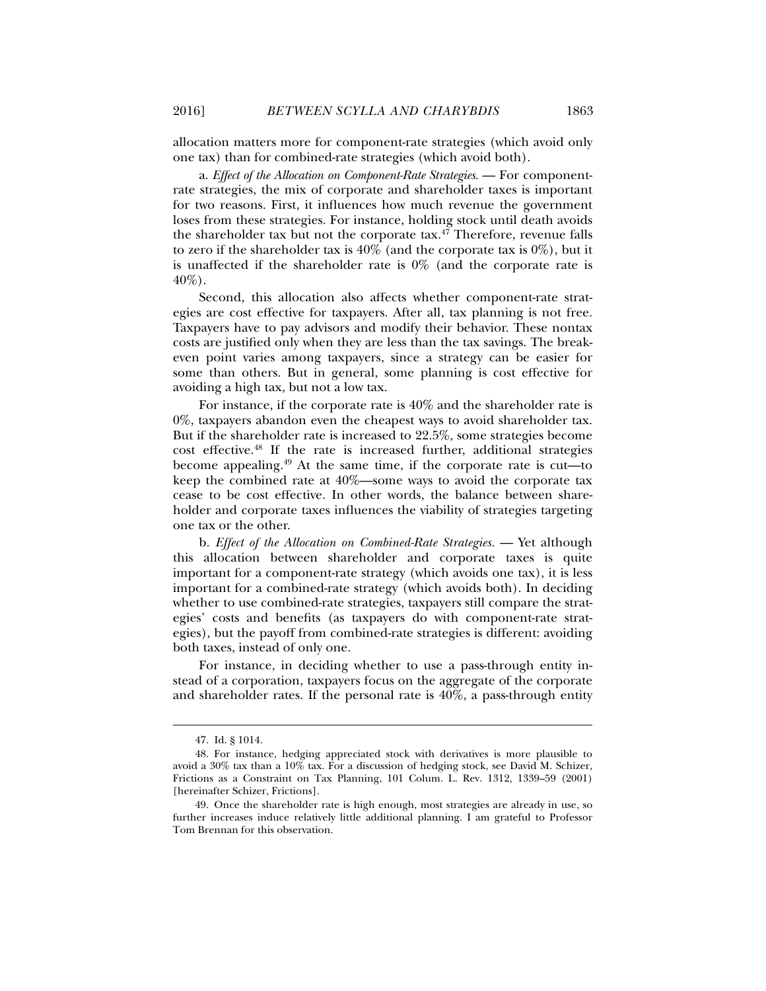allocation matters more for component-rate strategies (which avoid only one tax) than for combined-rate strategies (which avoid both).

a. *Effect of the Allocation on Component-Rate Strategies.* — For componentrate strategies, the mix of corporate and shareholder taxes is important for two reasons. First, it influences how much revenue the government loses from these strategies. For instance, holding stock until death avoids the shareholder tax but not the corporate tax.<sup>47</sup> Therefore, revenue falls to zero if the shareholder tax is  $40\%$  (and the corporate tax is  $0\%$ ), but it is unaffected if the shareholder rate is 0% (and the corporate rate is 40%).

Second, this allocation also affects whether component-rate strategies are cost effective for taxpayers. After all, tax planning is not free. Taxpayers have to pay advisors and modify their behavior. These nontax costs are justified only when they are less than the tax savings. The breakeven point varies among taxpayers, since a strategy can be easier for some than others. But in general, some planning is cost effective for avoiding a high tax, but not a low tax.

For instance, if the corporate rate is 40% and the shareholder rate is 0%, taxpayers abandon even the cheapest ways to avoid shareholder tax. But if the shareholder rate is increased to 22.5%, some strategies become cost effective.48 If the rate is increased further, additional strategies become appealing.49 At the same time, if the corporate rate is cut—to keep the combined rate at 40%—some ways to avoid the corporate tax cease to be cost effective. In other words, the balance between shareholder and corporate taxes influences the viability of strategies targeting one tax or the other.

b. *Effect of the Allocation on Combined-Rate Strategies.* — Yet although this allocation between shareholder and corporate taxes is quite important for a component-rate strategy (which avoids one tax), it is less important for a combined-rate strategy (which avoids both). In deciding whether to use combined-rate strategies, taxpayers still compare the strategies' costs and benefits (as taxpayers do with component-rate strategies), but the payoff from combined-rate strategies is different: avoiding both taxes, instead of only one.

For instance, in deciding whether to use a pass-through entity instead of a corporation, taxpayers focus on the aggregate of the corporate and shareholder rates. If the personal rate is 40%, a pass-through entity

 <sup>47.</sup> Id. § 1014.

 <sup>48.</sup> For instance, hedging appreciated stock with derivatives is more plausible to avoid a  $30\%$  tax than a  $10\%$  tax. For a discussion of hedging stock, see David M. Schizer, Frictions as a Constraint on Tax Planning, 101 Colum. L. Rev. 1312, 1339–59 (2001) [hereinafter Schizer, Frictions].

 <sup>49.</sup> Once the shareholder rate is high enough, most strategies are already in use, so further increases induce relatively little additional planning. I am grateful to Professor Tom Brennan for this observation.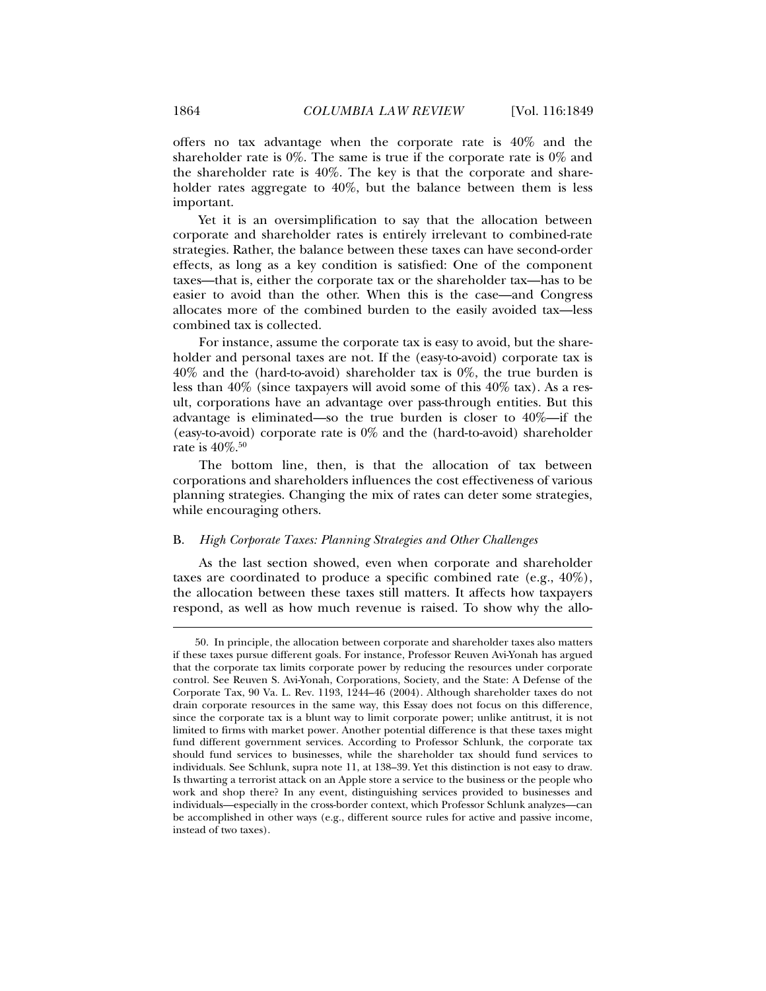offers no tax advantage when the corporate rate is 40% and the shareholder rate is 0%. The same is true if the corporate rate is 0% and the shareholder rate is 40%. The key is that the corporate and shareholder rates aggregate to 40%, but the balance between them is less important.

Yet it is an oversimplification to say that the allocation between corporate and shareholder rates is entirely irrelevant to combined-rate strategies. Rather, the balance between these taxes can have second-order effects, as long as a key condition is satisfied: One of the component taxes—that is, either the corporate tax or the shareholder tax—has to be easier to avoid than the other. When this is the case—and Congress allocates more of the combined burden to the easily avoided tax—less combined tax is collected.

For instance, assume the corporate tax is easy to avoid, but the shareholder and personal taxes are not. If the (easy-to-avoid) corporate tax is 40% and the (hard-to-avoid) shareholder tax is 0%, the true burden is less than 40% (since taxpayers will avoid some of this 40% tax). As a result, corporations have an advantage over pass-through entities. But this advantage is eliminated—so the true burden is closer to 40%—if the (easy-to-avoid) corporate rate is 0% and the (hard-to-avoid) shareholder rate is  $40\%$ .<sup>50</sup>

The bottom line, then, is that the allocation of tax between corporations and shareholders influences the cost effectiveness of various planning strategies. Changing the mix of rates can deter some strategies, while encouraging others.

#### B. *High Corporate Taxes: Planning Strategies and Other Challenges*

As the last section showed, even when corporate and shareholder taxes are coordinated to produce a specific combined rate (e.g., 40%), the allocation between these taxes still matters. It affects how taxpayers respond, as well as how much revenue is raised. To show why the allo-

 <sup>50.</sup> In principle, the allocation between corporate and shareholder taxes also matters if these taxes pursue different goals. For instance, Professor Reuven Avi-Yonah has argued that the corporate tax limits corporate power by reducing the resources under corporate control. See Reuven S. Avi-Yonah, Corporations, Society, and the State: A Defense of the Corporate Tax, 90 Va. L. Rev. 1193, 1244–46 (2004). Although shareholder taxes do not drain corporate resources in the same way, this Essay does not focus on this difference, since the corporate tax is a blunt way to limit corporate power; unlike antitrust, it is not limited to firms with market power. Another potential difference is that these taxes might fund different government services. According to Professor Schlunk, the corporate tax should fund services to businesses, while the shareholder tax should fund services to individuals. See Schlunk, supra note 11, at 138–39. Yet this distinction is not easy to draw. Is thwarting a terrorist attack on an Apple store a service to the business or the people who work and shop there? In any event, distinguishing services provided to businesses and individuals—especially in the cross-border context, which Professor Schlunk analyzes—can be accomplished in other ways (e.g., different source rules for active and passive income, instead of two taxes).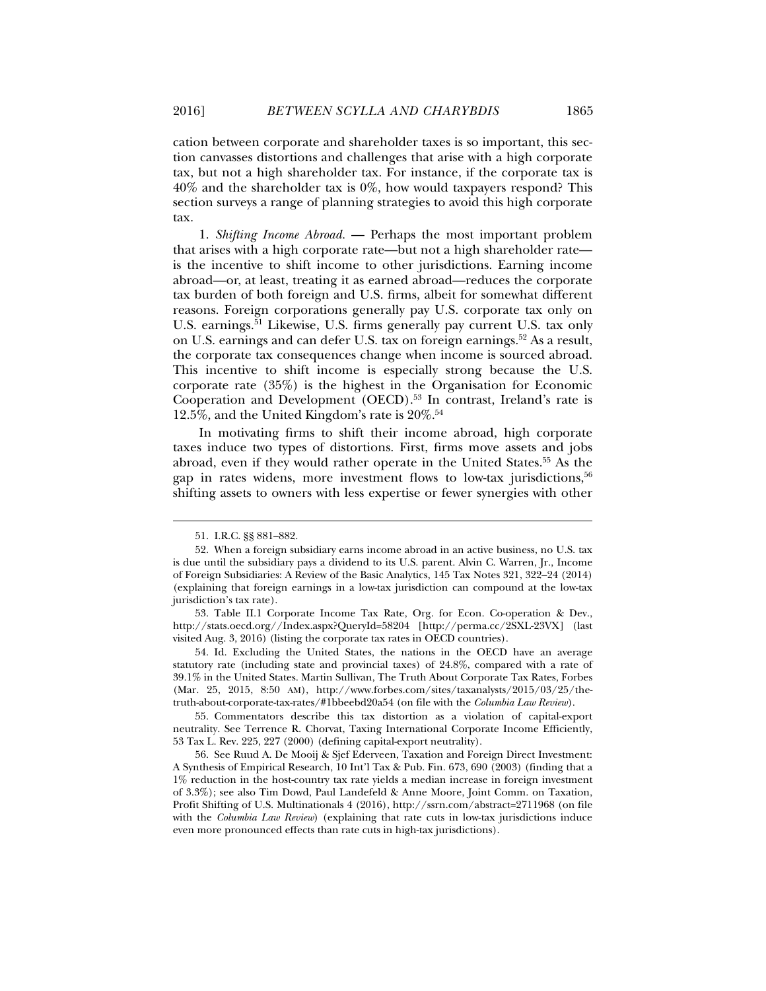cation between corporate and shareholder taxes is so important, this section canvasses distortions and challenges that arise with a high corporate tax, but not a high shareholder tax. For instance, if the corporate tax is 40% and the shareholder tax is 0%, how would taxpayers respond? This section surveys a range of planning strategies to avoid this high corporate tax.

1. *Shifting Income Abroad.* — Perhaps the most important problem that arises with a high corporate rate—but not a high shareholder rate is the incentive to shift income to other jurisdictions. Earning income abroad—or, at least, treating it as earned abroad—reduces the corporate tax burden of both foreign and U.S. firms, albeit for somewhat different reasons. Foreign corporations generally pay U.S. corporate tax only on U.S. earnings.<sup>51</sup> Likewise, U.S. firms generally pay current U.S. tax only on U.S. earnings and can defer U.S. tax on foreign earnings.<sup>52</sup> As a result, the corporate tax consequences change when income is sourced abroad. This incentive to shift income is especially strong because the U.S. corporate rate (35%) is the highest in the Organisation for Economic Cooperation and Development (OECD).<sup>53</sup> In contrast, Ireland's rate is 12.5%, and the United Kingdom's rate is 20%.54

In motivating firms to shift their income abroad, high corporate taxes induce two types of distortions. First, firms move assets and jobs abroad, even if they would rather operate in the United States.55 As the gap in rates widens, more investment flows to low-tax jurisdictions,  $5^6$ shifting assets to owners with less expertise or fewer synergies with other

 <sup>51.</sup> I.R.C. §§ 881–882.

 <sup>52.</sup> When a foreign subsidiary earns income abroad in an active business, no U.S. tax is due until the subsidiary pays a dividend to its U.S. parent. Alvin C. Warren, Jr., Income of Foreign Subsidiaries: A Review of the Basic Analytics, 145 Tax Notes 321, 322–24 (2014) (explaining that foreign earnings in a low-tax jurisdiction can compound at the low-tax jurisdiction's tax rate).

 <sup>53.</sup> Table II.1 Corporate Income Tax Rate, Org. for Econ. Co-operation & Dev., http://stats.oecd.org//Index.aspx?QueryId=58204 [http://perma.cc/2SXL-23VX] (last visited Aug. 3, 2016) (listing the corporate tax rates in OECD countries).

 <sup>54.</sup> Id. Excluding the United States, the nations in the OECD have an average statutory rate (including state and provincial taxes) of 24.8%, compared with a rate of 39.1% in the United States. Martin Sullivan, The Truth About Corporate Tax Rates, Forbes (Mar. 25, 2015, 8:50 AM), http://www.forbes.com/sites/taxanalysts/2015/03/25/thetruth-about-corporate-tax-rates/#1bbeebd20a54 (on file with the *Columbia Law Review*).

 <sup>55.</sup> Commentators describe this tax distortion as a violation of capital-export neutrality. See Terrence R. Chorvat, Taxing International Corporate Income Efficiently, 53 Tax L. Rev. 225, 227 (2000) (defining capital-export neutrality).

 <sup>56.</sup> See Ruud A. De Mooij & Sjef Ederveen, Taxation and Foreign Direct Investment: A Synthesis of Empirical Research, 10 Int'l Tax & Pub. Fin. 673, 690 (2003) (finding that a 1% reduction in the host-country tax rate yields a median increase in foreign investment of 3.3%); see also Tim Dowd, Paul Landefeld & Anne Moore, Joint Comm. on Taxation, Profit Shifting of U.S. Multinationals 4 (2016), http://ssrn.com/abstract=2711968 (on file with the *Columbia Law Review*) (explaining that rate cuts in low-tax jurisdictions induce even more pronounced effects than rate cuts in high-tax jurisdictions).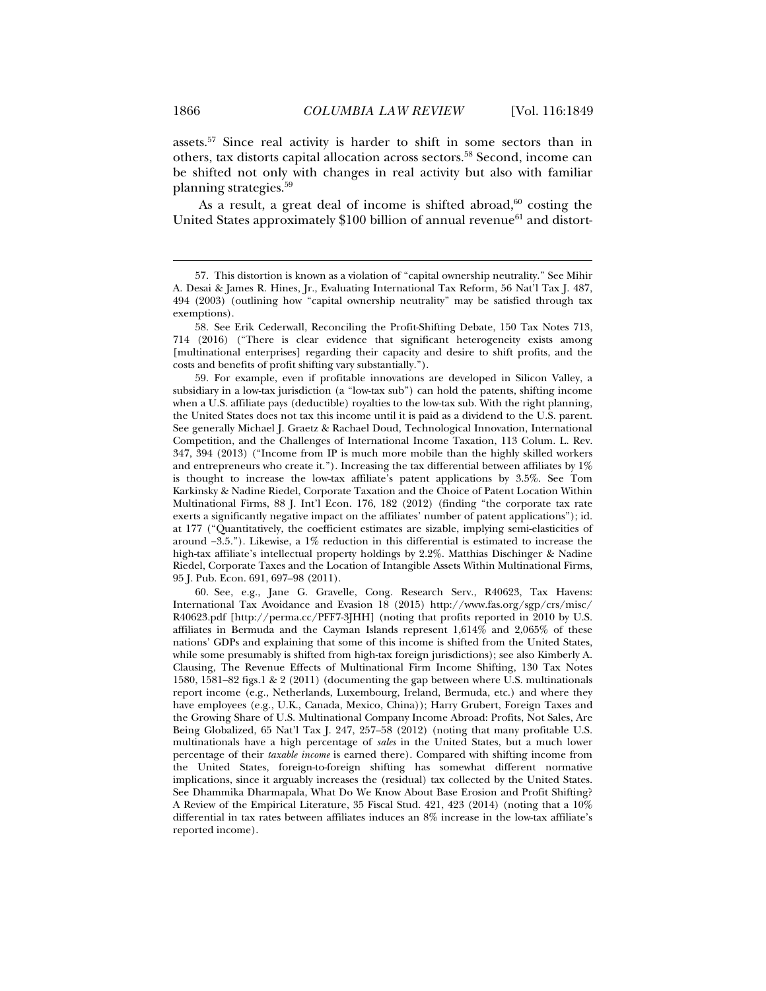assets.57 Since real activity is harder to shift in some sectors than in others, tax distorts capital allocation across sectors.58 Second, income can be shifted not only with changes in real activity but also with familiar planning strategies.59

As a result, a great deal of income is shifted abroad, $60$  costing the United States approximately  $$100$  billion of annual revenue<sup>61</sup> and distort-

 59. For example, even if profitable innovations are developed in Silicon Valley, a subsidiary in a low-tax jurisdiction (a "low-tax sub") can hold the patents, shifting income when a U.S. affiliate pays (deductible) royalties to the low-tax sub. With the right planning, the United States does not tax this income until it is paid as a dividend to the U.S. parent. See generally Michael J. Graetz & Rachael Doud, Technological Innovation, International Competition, and the Challenges of International Income Taxation, 113 Colum. L. Rev. 347, 394 (2013) ("Income from IP is much more mobile than the highly skilled workers and entrepreneurs who create it."). Increasing the tax differential between affiliates by 1% is thought to increase the low-tax affiliate's patent applications by 3.5%. See Tom Karkinsky & Nadine Riedel, Corporate Taxation and the Choice of Patent Location Within Multinational Firms, 88 J. Int'l Econ. 176, 182 (2012) (finding "the corporate tax rate exerts a significantly negative impact on the affiliates' number of patent applications"); id. at 177 ("Quantitatively, the coefficient estimates are sizable, implying semi-elasticities of around −3.5."). Likewise, a 1% reduction in this differential is estimated to increase the high-tax affiliate's intellectual property holdings by 2.2%. Matthias Dischinger & Nadine Riedel, Corporate Taxes and the Location of Intangible Assets Within Multinational Firms, 95 J. Pub. Econ. 691, 697–98 (2011).

 60. See, e.g., Jane G. Gravelle, Cong. Research Serv., R40623, Tax Havens: International Tax Avoidance and Evasion 18 (2015) http://www.fas.org/sgp/crs/misc/ R40623.pdf [http://perma.cc/PFF7-3JHH] (noting that profits reported in 2010 by U.S. affiliates in Bermuda and the Cayman Islands represent 1,614% and 2,065% of these nations' GDPs and explaining that some of this income is shifted from the United States, while some presumably is shifted from high-tax foreign jurisdictions); see also Kimberly A. Clausing, The Revenue Effects of Multinational Firm Income Shifting, 130 Tax Notes 1580, 1581–82 figs.1 & 2 (2011) (documenting the gap between where U.S. multinationals report income (e.g., Netherlands, Luxembourg, Ireland, Bermuda, etc.) and where they have employees (e.g., U.K., Canada, Mexico, China)); Harry Grubert, Foreign Taxes and the Growing Share of U.S. Multinational Company Income Abroad: Profits, Not Sales, Are Being Globalized, 65 Nat'l Tax J. 247, 257–58 (2012) (noting that many profitable U.S. multinationals have a high percentage of *sales* in the United States, but a much lower percentage of their *taxable income* is earned there). Compared with shifting income from the United States, foreign-to-foreign shifting has somewhat different normative implications, since it arguably increases the (residual) tax collected by the United States. See Dhammika Dharmapala, What Do We Know About Base Erosion and Profit Shifting? A Review of the Empirical Literature, 35 Fiscal Stud. 421, 423 (2014) (noting that a 10% differential in tax rates between affiliates induces an 8% increase in the low-tax affiliate's reported income).

 <sup>57.</sup> This distortion is known as a violation of "capital ownership neutrality." See Mihir A. Desai & James R. Hines, Jr., Evaluating International Tax Reform, 56 Nat'l Tax J. 487, 494 (2003) (outlining how "capital ownership neutrality" may be satisfied through tax exemptions).

 <sup>58.</sup> See Erik Cederwall, Reconciling the Profit-Shifting Debate, 150 Tax Notes 713, 714 (2016) ("There is clear evidence that significant heterogeneity exists among [multinational enterprises] regarding their capacity and desire to shift profits, and the costs and benefits of profit shifting vary substantially.").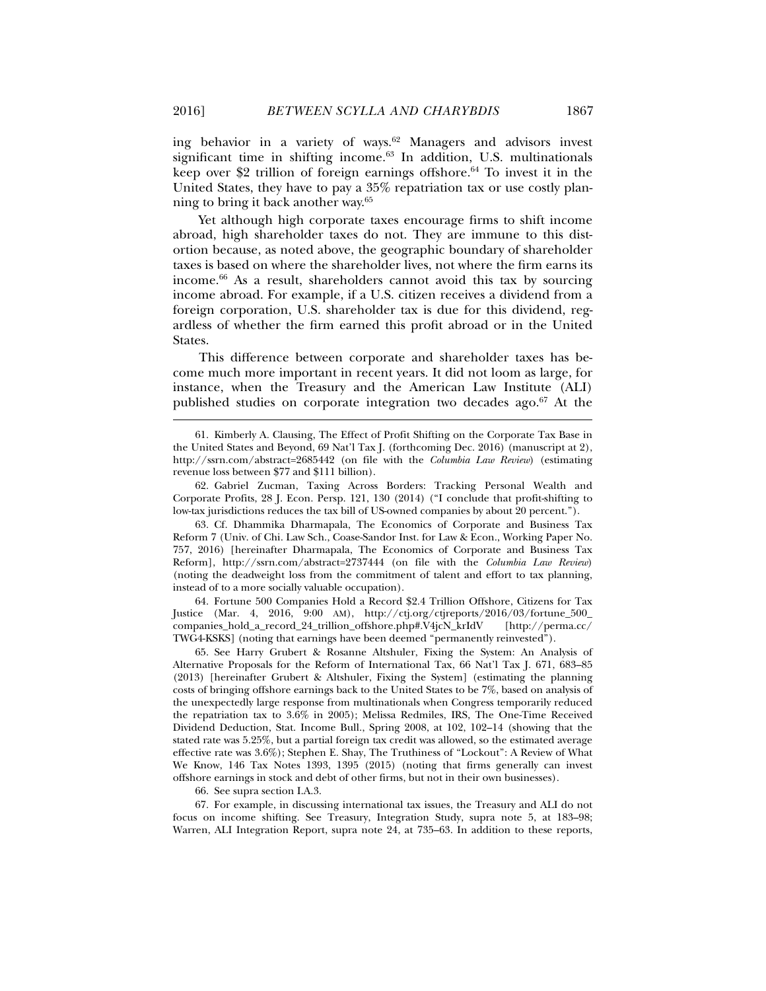ing behavior in a variety of ways.<sup>62</sup> Managers and advisors invest significant time in shifting income.<sup>63</sup> In addition, U.S. multinationals keep over \$2 trillion of foreign earnings offshore.<sup>64</sup> To invest it in the United States, they have to pay a 35% repatriation tax or use costly planning to bring it back another way.65

Yet although high corporate taxes encourage firms to shift income abroad, high shareholder taxes do not. They are immune to this distortion because, as noted above, the geographic boundary of shareholder taxes is based on where the shareholder lives, not where the firm earns its income.66 As a result, shareholders cannot avoid this tax by sourcing income abroad. For example, if a U.S. citizen receives a dividend from a foreign corporation, U.S. shareholder tax is due for this dividend, regardless of whether the firm earned this profit abroad or in the United States.

This difference between corporate and shareholder taxes has become much more important in recent years. It did not loom as large, for instance, when the Treasury and the American Law Institute (ALI) published studies on corporate integration two decades ago. $67$  At the

 62. Gabriel Zucman, Taxing Across Borders: Tracking Personal Wealth and Corporate Profits, 28 J. Econ. Persp. 121, 130 (2014) ("I conclude that profit-shifting to low-tax jurisdictions reduces the tax bill of US-owned companies by about 20 percent.").

 63. Cf. Dhammika Dharmapala, The Economics of Corporate and Business Tax Reform 7 (Univ. of Chi. Law Sch., Coase-Sandor Inst. for Law & Econ., Working Paper No. 757, 2016) [hereinafter Dharmapala, The Economics of Corporate and Business Tax Reform], http://ssrn.com/abstract=2737444 (on file with the *Columbia Law Review*) (noting the deadweight loss from the commitment of talent and effort to tax planning, instead of to a more socially valuable occupation).

 64. Fortune 500 Companies Hold a Record \$2.4 Trillion Offshore, Citizens for Tax Justice (Mar. 4, 2016, 9:00 AM), http://ctj.org/ctjreports/2016/03/fortune\_500\_ companies\_hold\_a\_record\_24\_trillion\_offshore.php#.V4jcN\_krIdV [http://perma.cc/ TWG4-KSKS] (noting that earnings have been deemed "permanently reinvested").

 65. See Harry Grubert & Rosanne Altshuler, Fixing the System: An Analysis of Alternative Proposals for the Reform of International Tax, 66 Nat'l Tax J. 671, 683–85 (2013) [hereinafter Grubert & Altshuler, Fixing the System] (estimating the planning costs of bringing offshore earnings back to the United States to be 7%, based on analysis of the unexpectedly large response from multinationals when Congress temporarily reduced the repatriation tax to 3.6% in 2005); Melissa Redmiles, IRS, The One-Time Received Dividend Deduction, Stat. Income Bull., Spring 2008, at 102, 102–14 (showing that the stated rate was 5.25%, but a partial foreign tax credit was allowed, so the estimated average effective rate was 3.6%); Stephen E. Shay, The Truthiness of "Lockout": A Review of What We Know, 146 Tax Notes 1393, 1395 (2015) (noting that firms generally can invest offshore earnings in stock and debt of other firms, but not in their own businesses).

66. See supra section I.A.3.

 67. For example, in discussing international tax issues, the Treasury and ALI do not focus on income shifting. See Treasury, Integration Study, supra note 5, at 183–98; Warren, ALI Integration Report, supra note 24, at 735–63. In addition to these reports,

 <sup>61.</sup> Kimberly A. Clausing, The Effect of Profit Shifting on the Corporate Tax Base in the United States and Beyond, 69 Nat'l Tax J. (forthcoming Dec. 2016) (manuscript at 2), http://ssrn.com/abstract=2685442 (on file with the *Columbia Law Review*) (estimating revenue loss between \$77 and \$111 billion).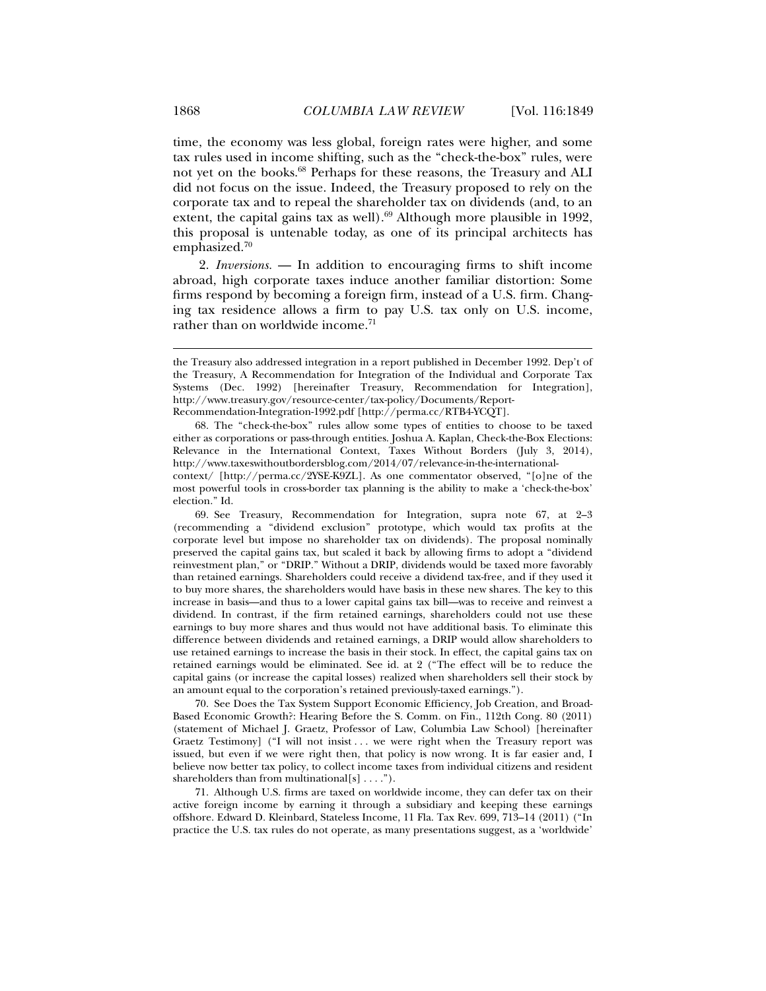time, the economy was less global, foreign rates were higher, and some tax rules used in income shifting, such as the "check-the-box" rules, were not yet on the books.68 Perhaps for these reasons, the Treasury and ALI did not focus on the issue. Indeed, the Treasury proposed to rely on the corporate tax and to repeal the shareholder tax on dividends (and, to an extent, the capital gains tax as well). $69$  Although more plausible in 1992, this proposal is untenable today, as one of its principal architects has emphasized.70

2. *Inversions.* — In addition to encouraging firms to shift income abroad, high corporate taxes induce another familiar distortion: Some firms respond by becoming a foreign firm, instead of a U.S. firm. Changing tax residence allows a firm to pay U.S. tax only on U.S. income, rather than on worldwide income.<sup>71</sup>

Recommendation-Integration-1992.pdf [http://perma.cc/RTB4-YCQT].

 68. The "check-the-box" rules allow some types of entities to choose to be taxed either as corporations or pass-through entities. Joshua A. Kaplan, Check-the-Box Elections: Relevance in the International Context, Taxes Without Borders (July 3, 2014), http://www.taxeswithoutbordersblog.com/2014/07/relevance-in-the-internationalcontext/ [http://perma.cc/2YSE-K9ZL]. As one commentator observed, "[o]ne of the

 69. See Treasury, Recommendation for Integration, supra note 67, at 2–3 (recommending a "dividend exclusion" prototype, which would tax profits at the corporate level but impose no shareholder tax on dividends). The proposal nominally preserved the capital gains tax, but scaled it back by allowing firms to adopt a "dividend reinvestment plan," or "DRIP." Without a DRIP, dividends would be taxed more favorably than retained earnings. Shareholders could receive a dividend tax-free, and if they used it to buy more shares, the shareholders would have basis in these new shares. The key to this increase in basis—and thus to a lower capital gains tax bill—was to receive and reinvest a dividend. In contrast, if the firm retained earnings, shareholders could not use these earnings to buy more shares and thus would not have additional basis. To eliminate this difference between dividends and retained earnings, a DRIP would allow shareholders to use retained earnings to increase the basis in their stock. In effect, the capital gains tax on retained earnings would be eliminated. See id. at 2 ("The effect will be to reduce the capital gains (or increase the capital losses) realized when shareholders sell their stock by an amount equal to the corporation's retained previously-taxed earnings.").

 70. See Does the Tax System Support Economic Efficiency, Job Creation, and Broad-Based Economic Growth?: Hearing Before the S. Comm. on Fin., 112th Cong. 80 (2011) (statement of Michael J. Graetz, Professor of Law, Columbia Law School) [hereinafter Graetz Testimony] ("I will not insist ... we were right when the Treasury report was issued, but even if we were right then, that policy is now wrong. It is far easier and, I believe now better tax policy, to collect income taxes from individual citizens and resident shareholders than from multinational[s] . . . .").

 71. Although U.S. firms are taxed on worldwide income, they can defer tax on their active foreign income by earning it through a subsidiary and keeping these earnings offshore. Edward D. Kleinbard, Stateless Income, 11 Fla. Tax Rev. 699, 713–14 (2011) ("In practice the U.S. tax rules do not operate, as many presentations suggest, as a 'worldwide'

the Treasury also addressed integration in a report published in December 1992. Dep't of the Treasury, A Recommendation for Integration of the Individual and Corporate Tax Systems (Dec. 1992) [hereinafter Treasury, Recommendation for Integration], http://www.treasury.gov/resource-center/tax-policy/Documents/Report-

most powerful tools in cross-border tax planning is the ability to make a 'check-the-box' election." Id.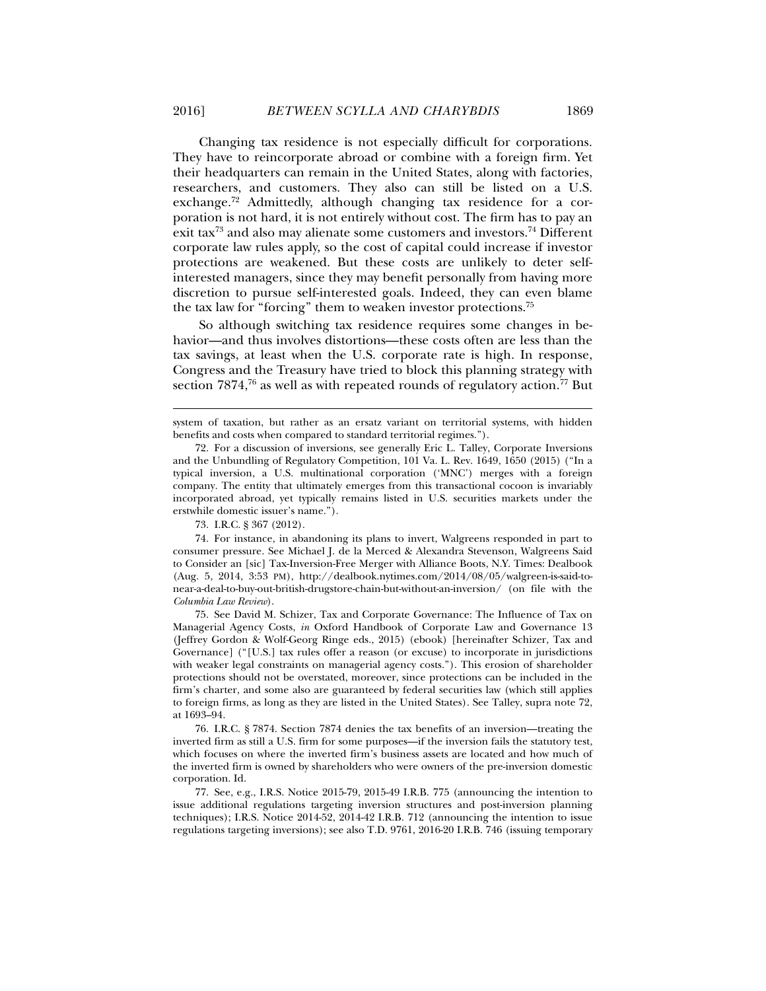Changing tax residence is not especially difficult for corporations. They have to reincorporate abroad or combine with a foreign firm. Yet their headquarters can remain in the United States, along with factories, researchers, and customers. They also can still be listed on a U.S. exchange.72 Admittedly, although changing tax residence for a corporation is not hard, it is not entirely without cost. The firm has to pay an exit tax<sup>73</sup> and also may alienate some customers and investors.<sup>74</sup> Different corporate law rules apply, so the cost of capital could increase if investor protections are weakened. But these costs are unlikely to deter selfinterested managers, since they may benefit personally from having more discretion to pursue self-interested goals. Indeed, they can even blame the tax law for "forcing" them to weaken investor protections.75

So although switching tax residence requires some changes in behavior—and thus involves distortions—these costs often are less than the tax savings, at least when the U.S. corporate rate is high. In response, Congress and the Treasury have tried to block this planning strategy with section  $7874$ ,<sup>76</sup> as well as with repeated rounds of regulatory action.<sup>77</sup> But

 74. For instance, in abandoning its plans to invert, Walgreens responded in part to consumer pressure. See Michael J. de la Merced & Alexandra Stevenson, Walgreens Said to Consider an [sic] Tax-Inversion-Free Merger with Alliance Boots, N.Y. Times: Dealbook (Aug. 5, 2014, 3:53 PM), http://dealbook.nytimes.com/2014/08/05/walgreen-is-said-tonear-a-deal-to-buy-out-british-drugstore-chain-but-without-an-inversion/ (on file with the *Columbia Law Review*).

 75. See David M. Schizer, Tax and Corporate Governance: The Influence of Tax on Managerial Agency Costs, *in* Oxford Handbook of Corporate Law and Governance 13 (Jeffrey Gordon & Wolf-Georg Ringe eds., 2015) (ebook) [hereinafter Schizer, Tax and Governance] ("[U.S.] tax rules offer a reason (or excuse) to incorporate in jurisdictions with weaker legal constraints on managerial agency costs."). This erosion of shareholder protections should not be overstated, moreover, since protections can be included in the firm's charter, and some also are guaranteed by federal securities law (which still applies to foreign firms, as long as they are listed in the United States). See Talley, supra note 72, at 1693–94.

 76. I.R.C. § 7874. Section 7874 denies the tax benefits of an inversion—treating the inverted firm as still a U.S. firm for some purposes—if the inversion fails the statutory test, which focuses on where the inverted firm's business assets are located and how much of the inverted firm is owned by shareholders who were owners of the pre-inversion domestic corporation. Id.

77. See, e.g., I.R.S. Notice 2015-79, 2015-49 I.R.B. 775 (announcing the intention to issue additional regulations targeting inversion structures and post-inversion planning techniques); I.R.S. Notice 2014-52, 2014-42 I.R.B. 712 (announcing the intention to issue regulations targeting inversions); see also T.D. 9761, 2016-20 I.R.B. 746 (issuing temporary

system of taxation, but rather as an ersatz variant on territorial systems, with hidden benefits and costs when compared to standard territorial regimes.").

 <sup>72.</sup> For a discussion of inversions, see generally Eric L. Talley, Corporate Inversions and the Unbundling of Regulatory Competition, 101 Va. L. Rev. 1649, 1650 (2015) ("In a typical inversion, a U.S. multinational corporation ('MNC') merges with a foreign company. The entity that ultimately emerges from this transactional cocoon is invariably incorporated abroad, yet typically remains listed in U.S. securities markets under the erstwhile domestic issuer's name.").

 <sup>73.</sup> I.R.C. § 367 (2012).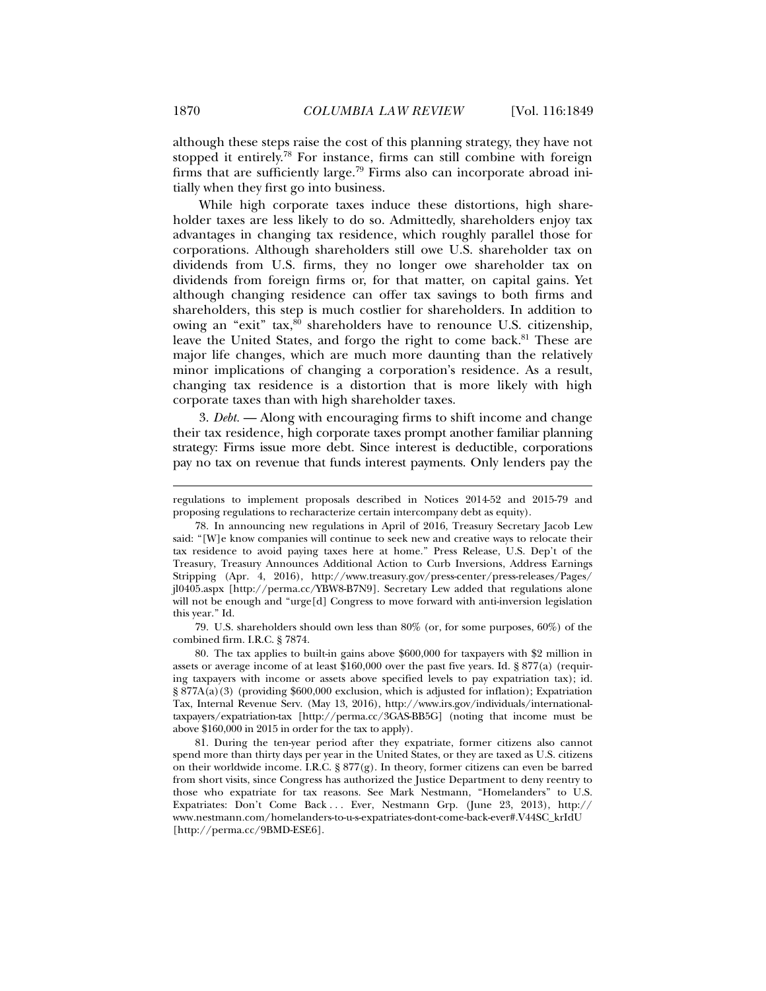although these steps raise the cost of this planning strategy, they have not stopped it entirely.78 For instance, firms can still combine with foreign firms that are sufficiently large.<sup>79</sup> Firms also can incorporate abroad initially when they first go into business.

While high corporate taxes induce these distortions, high shareholder taxes are less likely to do so. Admittedly, shareholders enjoy tax advantages in changing tax residence, which roughly parallel those for corporations. Although shareholders still owe U.S. shareholder tax on dividends from U.S. firms, they no longer owe shareholder tax on dividends from foreign firms or, for that matter, on capital gains. Yet although changing residence can offer tax savings to both firms and shareholders, this step is much costlier for shareholders. In addition to owing an "exit"  $\text{tax},\text{80}$  shareholders have to renounce U.S. citizenship, leave the United States, and forgo the right to come back.<sup>81</sup> These are major life changes, which are much more daunting than the relatively minor implications of changing a corporation's residence. As a result, changing tax residence is a distortion that is more likely with high corporate taxes than with high shareholder taxes.

3. *Debt.* — Along with encouraging firms to shift income and change their tax residence, high corporate taxes prompt another familiar planning strategy: Firms issue more debt. Since interest is deductible, corporations pay no tax on revenue that funds interest payments. Only lenders pay the

 79. U.S. shareholders should own less than 80% (or, for some purposes, 60%) of the combined firm. I.R.C. § 7874.

 80. The tax applies to built-in gains above \$600,000 for taxpayers with \$2 million in assets or average income of at least \$160,000 over the past five years. Id. § 877(a) (requiring taxpayers with income or assets above specified levels to pay expatriation tax); id. § 877A(a)(3) (providing \$600,000 exclusion, which is adjusted for inflation); Expatriation Tax, Internal Revenue Serv. (May 13, 2016), http://www.irs.gov/individuals/internationaltaxpayers/expatriation-tax [http://perma.cc/3GAS-BB5G] (noting that income must be above \$160,000 in 2015 in order for the tax to apply).

 81. During the ten-year period after they expatriate, former citizens also cannot spend more than thirty days per year in the United States, or they are taxed as U.S. citizens on their worldwide income. I.R.C. § 877(g). In theory, former citizens can even be barred from short visits, since Congress has authorized the Justice Department to deny reentry to those who expatriate for tax reasons. See Mark Nestmann, "Homelanders" to U.S. Expatriates: Don't Come Back . . . Ever, Nestmann Grp. (June 23, 2013), http:// www.nestmann.com/homelanders-to-u-s-expatriates-dont-come-back-ever#.V44SC\_krIdU [http://perma.cc/9BMD-ESE6].

regulations to implement proposals described in Notices 2014-52 and 2015-79 and proposing regulations to recharacterize certain intercompany debt as equity).

 <sup>78.</sup> In announcing new regulations in April of 2016, Treasury Secretary Jacob Lew said: "[W]e know companies will continue to seek new and creative ways to relocate their tax residence to avoid paying taxes here at home." Press Release, U.S. Dep't of the Treasury, Treasury Announces Additional Action to Curb Inversions, Address Earnings Stripping (Apr. 4, 2016), http://www.treasury.gov/press-center/press-releases/Pages/ jl0405.aspx [http://perma.cc/YBW8-B7N9]. Secretary Lew added that regulations alone will not be enough and "urge $[d]$  Congress to move forward with anti-inversion legislation this year." Id.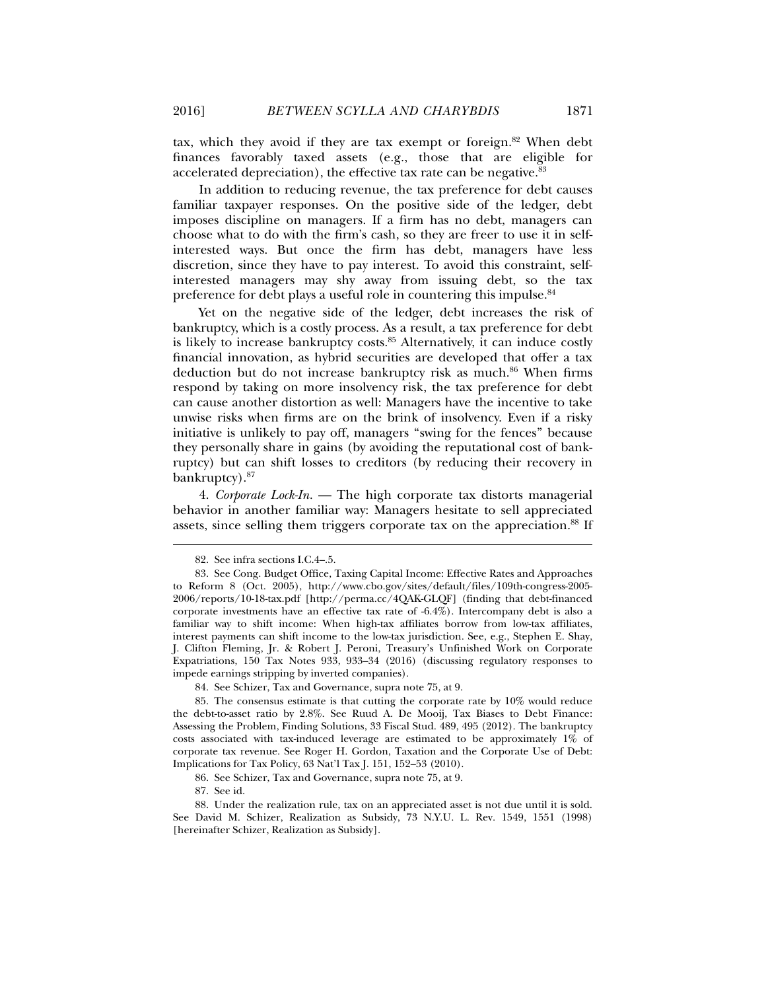tax, which they avoid if they are tax exempt or foreign. $82$  When debt finances favorably taxed assets (e.g., those that are eligible for accelerated depreciation), the effective tax rate can be negative.<sup>83</sup>

In addition to reducing revenue, the tax preference for debt causes familiar taxpayer responses. On the positive side of the ledger, debt imposes discipline on managers. If a firm has no debt, managers can choose what to do with the firm's cash, so they are freer to use it in selfinterested ways. But once the firm has debt, managers have less discretion, since they have to pay interest. To avoid this constraint, selfinterested managers may shy away from issuing debt, so the tax preference for debt plays a useful role in countering this impulse.<sup>84</sup>

Yet on the negative side of the ledger, debt increases the risk of bankruptcy, which is a costly process. As a result, a tax preference for debt is likely to increase bankruptcy costs.<sup>85</sup> Alternatively, it can induce costly financial innovation, as hybrid securities are developed that offer a tax deduction but do not increase bankruptcy risk as much.<sup>86</sup> When firms respond by taking on more insolvency risk, the tax preference for debt can cause another distortion as well: Managers have the incentive to take unwise risks when firms are on the brink of insolvency. Even if a risky initiative is unlikely to pay off, managers "swing for the fences" because they personally share in gains (by avoiding the reputational cost of bankruptcy) but can shift losses to creditors (by reducing their recovery in bankruptcy).87

4. *Corporate Lock-In.* — The high corporate tax distorts managerial behavior in another familiar way: Managers hesitate to sell appreciated assets, since selling them triggers corporate tax on the appreciation.<sup>88</sup> If

l

86. See Schizer, Tax and Governance, supra note 75, at 9.

 <sup>82.</sup> See infra sections I.C.4–.5.

 <sup>83.</sup> See Cong. Budget Office, Taxing Capital Income: Effective Rates and Approaches to Reform 8 (Oct. 2005), http://www.cbo.gov/sites/default/files/109th-congress-2005- 2006/reports/10-18-tax.pdf [http://perma.cc/4QAK-GLQF] (finding that debt-financed corporate investments have an effective tax rate of -6.4%). Intercompany debt is also a familiar way to shift income: When high-tax affiliates borrow from low-tax affiliates, interest payments can shift income to the low-tax jurisdiction. See, e.g., Stephen E. Shay, J. Clifton Fleming, Jr. & Robert J. Peroni, Treasury's Unfinished Work on Corporate Expatriations, 150 Tax Notes 933, 933–34 (2016) (discussing regulatory responses to impede earnings stripping by inverted companies).

 <sup>84.</sup> See Schizer, Tax and Governance, supra note 75, at 9.

 <sup>85.</sup> The consensus estimate is that cutting the corporate rate by 10% would reduce the debt-to-asset ratio by 2.8%. See Ruud A. De Mooij, Tax Biases to Debt Finance: Assessing the Problem, Finding Solutions, 33 Fiscal Stud. 489, 495 (2012). The bankruptcy costs associated with tax-induced leverage are estimated to be approximately 1% of corporate tax revenue. See Roger H. Gordon, Taxation and the Corporate Use of Debt: Implications for Tax Policy, 63 Nat'l Tax J. 151, 152–53 (2010).

 <sup>87.</sup> See id.

 <sup>88.</sup> Under the realization rule, tax on an appreciated asset is not due until it is sold. See David M. Schizer, Realization as Subsidy, 73 N.Y.U. L. Rev. 1549, 1551 (1998) [hereinafter Schizer, Realization as Subsidy].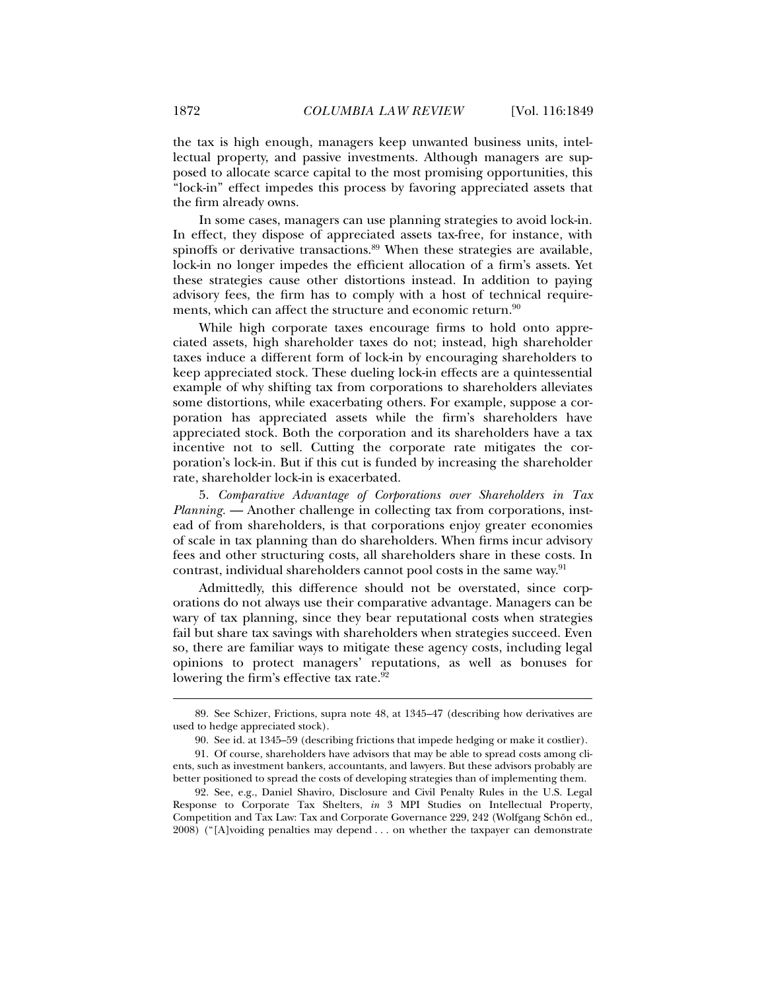the tax is high enough, managers keep unwanted business units, intellectual property, and passive investments. Although managers are supposed to allocate scarce capital to the most promising opportunities, this "lock-in" effect impedes this process by favoring appreciated assets that the firm already owns.

In some cases, managers can use planning strategies to avoid lock-in. In effect, they dispose of appreciated assets tax-free, for instance, with spinoffs or derivative transactions.<sup>89</sup> When these strategies are available, lock-in no longer impedes the efficient allocation of a firm's assets. Yet these strategies cause other distortions instead. In addition to paying advisory fees, the firm has to comply with a host of technical requirements, which can affect the structure and economic return.<sup>90</sup>

While high corporate taxes encourage firms to hold onto appreciated assets, high shareholder taxes do not; instead, high shareholder taxes induce a different form of lock-in by encouraging shareholders to keep appreciated stock. These dueling lock-in effects are a quintessential example of why shifting tax from corporations to shareholders alleviates some distortions, while exacerbating others. For example, suppose a corporation has appreciated assets while the firm's shareholders have appreciated stock. Both the corporation and its shareholders have a tax incentive not to sell. Cutting the corporate rate mitigates the corporation's lock-in. But if this cut is funded by increasing the shareholder rate, shareholder lock-in is exacerbated.

5. *Comparative Advantage of Corporations over Shareholders in Tax Planning.* — Another challenge in collecting tax from corporations, instead of from shareholders, is that corporations enjoy greater economies of scale in tax planning than do shareholders. When firms incur advisory fees and other structuring costs, all shareholders share in these costs. In contrast, individual shareholders cannot pool costs in the same way.<sup>91</sup>

Admittedly, this difference should not be overstated, since corporations do not always use their comparative advantage. Managers can be wary of tax planning, since they bear reputational costs when strategies fail but share tax savings with shareholders when strategies succeed. Even so, there are familiar ways to mitigate these agency costs, including legal opinions to protect managers' reputations, as well as bonuses for lowering the firm's effective tax rate.<sup>92</sup>

 <sup>89.</sup> See Schizer, Frictions, supra note 48, at 1345–47 (describing how derivatives are used to hedge appreciated stock).

 <sup>90.</sup> See id. at 1345–59 (describing frictions that impede hedging or make it costlier).

 <sup>91.</sup> Of course, shareholders have advisors that may be able to spread costs among clients, such as investment bankers, accountants, and lawyers. But these advisors probably are better positioned to spread the costs of developing strategies than of implementing them.

 <sup>92.</sup> See, e.g., Daniel Shaviro, Disclosure and Civil Penalty Rules in the U.S. Legal Response to Corporate Tax Shelters, *in* 3 MPI Studies on Intellectual Property, Competition and Tax Law: Tax and Corporate Governance 229, 242 (Wolfgang Schön ed., 2008) ("[A]voiding penalties may depend . . . on whether the taxpayer can demonstrate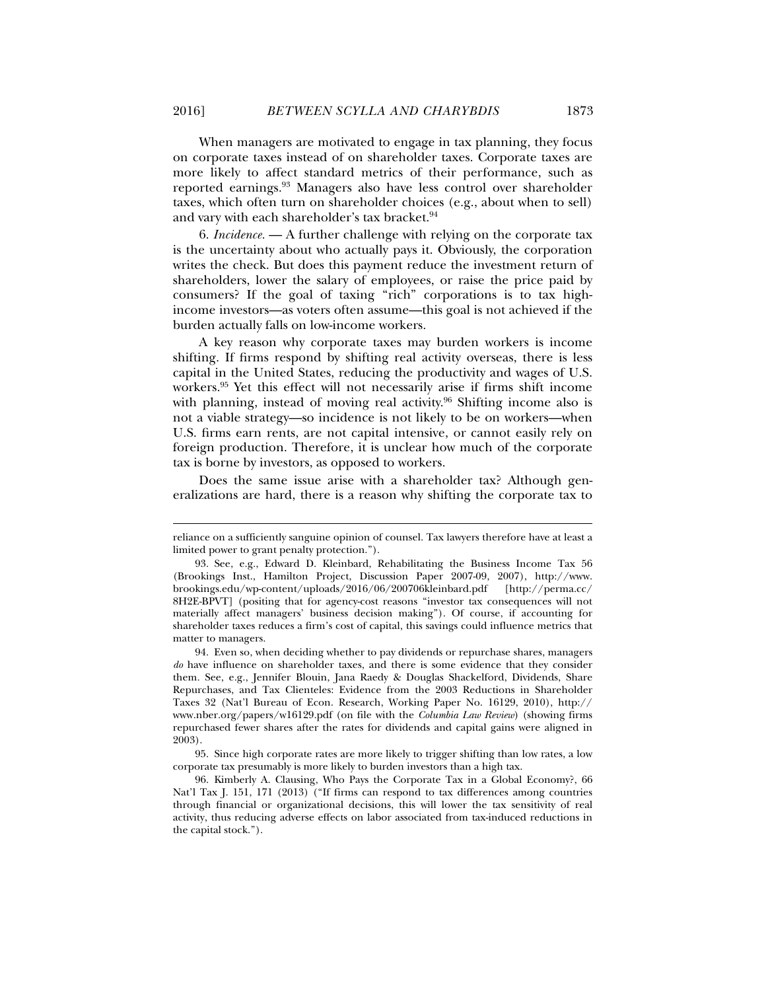When managers are motivated to engage in tax planning, they focus on corporate taxes instead of on shareholder taxes. Corporate taxes are more likely to affect standard metrics of their performance, such as reported earnings.93 Managers also have less control over shareholder taxes, which often turn on shareholder choices (e.g., about when to sell) and vary with each shareholder's tax bracket.<sup>94</sup>

6. *Incidence.* — A further challenge with relying on the corporate tax is the uncertainty about who actually pays it. Obviously, the corporation writes the check. But does this payment reduce the investment return of shareholders, lower the salary of employees, or raise the price paid by consumers? If the goal of taxing "rich" corporations is to tax highincome investors—as voters often assume—this goal is not achieved if the burden actually falls on low-income workers.

A key reason why corporate taxes may burden workers is income shifting. If firms respond by shifting real activity overseas, there is less capital in the United States, reducing the productivity and wages of U.S. workers.95 Yet this effect will not necessarily arise if firms shift income with planning, instead of moving real activity.<sup>96</sup> Shifting income also is not a viable strategy—so incidence is not likely to be on workers—when U.S. firms earn rents, are not capital intensive, or cannot easily rely on foreign production. Therefore, it is unclear how much of the corporate tax is borne by investors, as opposed to workers.

Does the same issue arise with a shareholder tax? Although generalizations are hard, there is a reason why shifting the corporate tax to

reliance on a sufficiently sanguine opinion of counsel. Tax lawyers therefore have at least a limited power to grant penalty protection.").

 <sup>93.</sup> See, e.g., Edward D. Kleinbard, Rehabilitating the Business Income Tax 56 (Brookings Inst., Hamilton Project, Discussion Paper 2007-09, 2007), http://www. brookings.edu/wp-content/uploads/2016/06/200706kleinbard.pdf [http://perma.cc/ 8H2E-BPVT] (positing that for agency-cost reasons "investor tax consequences will not materially affect managers' business decision making"). Of course, if accounting for shareholder taxes reduces a firm's cost of capital, this savings could influence metrics that matter to managers.

 <sup>94.</sup> Even so, when deciding whether to pay dividends or repurchase shares, managers *do* have influence on shareholder taxes, and there is some evidence that they consider them. See, e.g., Jennifer Blouin, Jana Raedy & Douglas Shackelford, Dividends, Share Repurchases, and Tax Clienteles: Evidence from the 2003 Reductions in Shareholder Taxes 32 (Nat'l Bureau of Econ. Research, Working Paper No. 16129, 2010), http:// www.nber.org/papers/w16129.pdf (on file with the *Columbia Law Review*) (showing firms repurchased fewer shares after the rates for dividends and capital gains were aligned in 2003).

 <sup>95.</sup> Since high corporate rates are more likely to trigger shifting than low rates, a low corporate tax presumably is more likely to burden investors than a high tax.

 <sup>96.</sup> Kimberly A. Clausing, Who Pays the Corporate Tax in a Global Economy?, 66 Nat'l Tax J. 151, 171 (2013) ("If firms can respond to tax differences among countries through financial or organizational decisions, this will lower the tax sensitivity of real activity, thus reducing adverse effects on labor associated from tax-induced reductions in the capital stock.").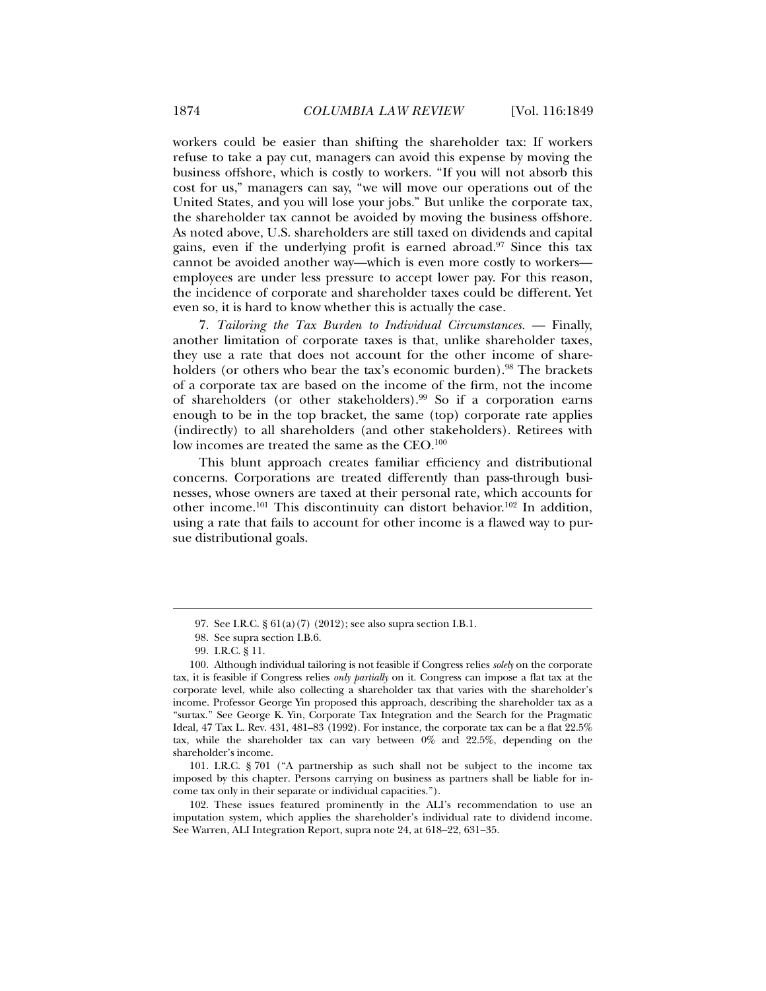workers could be easier than shifting the shareholder tax: If workers refuse to take a pay cut, managers can avoid this expense by moving the business offshore, which is costly to workers. "If you will not absorb this cost for us," managers can say, "we will move our operations out of the United States, and you will lose your jobs." But unlike the corporate tax, the shareholder tax cannot be avoided by moving the business offshore. As noted above, U.S. shareholders are still taxed on dividends and capital gains, even if the underlying profit is earned abroad.<sup>97</sup> Since this tax cannot be avoided another way—which is even more costly to workers employees are under less pressure to accept lower pay. For this reason, the incidence of corporate and shareholder taxes could be different. Yet even so, it is hard to know whether this is actually the case.

7. *Tailoring the Tax Burden to Individual Circumstances.* — Finally, another limitation of corporate taxes is that, unlike shareholder taxes, they use a rate that does not account for the other income of shareholders (or others who bear the tax's economic burden).<sup>98</sup> The brackets of a corporate tax are based on the income of the firm, not the income of shareholders (or other stakeholders).99 So if a corporation earns enough to be in the top bracket, the same (top) corporate rate applies (indirectly) to all shareholders (and other stakeholders). Retirees with low incomes are treated the same as the CEO.<sup>100</sup>

This blunt approach creates familiar efficiency and distributional concerns. Corporations are treated differently than pass-through businesses, whose owners are taxed at their personal rate, which accounts for other income.101 This discontinuity can distort behavior.102 In addition, using a rate that fails to account for other income is a flawed way to pursue distributional goals.

l

 101. I.R.C. § 701 ("A partnership as such shall not be subject to the income tax imposed by this chapter. Persons carrying on business as partners shall be liable for income tax only in their separate or individual capacities.").

 102. These issues featured prominently in the ALI's recommendation to use an imputation system, which applies the shareholder's individual rate to dividend income. See Warren, ALI Integration Report, supra note 24, at 618–22, 631–35.

 <sup>97.</sup> See I.R.C. § 61(a)(7) (2012); see also supra section I.B.1.

 <sup>98.</sup> See supra section I.B.6.

 <sup>99.</sup> I.R.C. § 11.

 <sup>100.</sup> Although individual tailoring is not feasible if Congress relies *solely* on the corporate tax, it is feasible if Congress relies *only partially* on it. Congress can impose a flat tax at the corporate level, while also collecting a shareholder tax that varies with the shareholder's income. Professor George Yin proposed this approach, describing the shareholder tax as a "surtax." See George K. Yin, Corporate Tax Integration and the Search for the Pragmatic Ideal*,* 47 Tax L. Rev. 431, 481–83 (1992). For instance, the corporate tax can be a flat 22.5% tax, while the shareholder tax can vary between 0% and 22.5%, depending on the shareholder's income.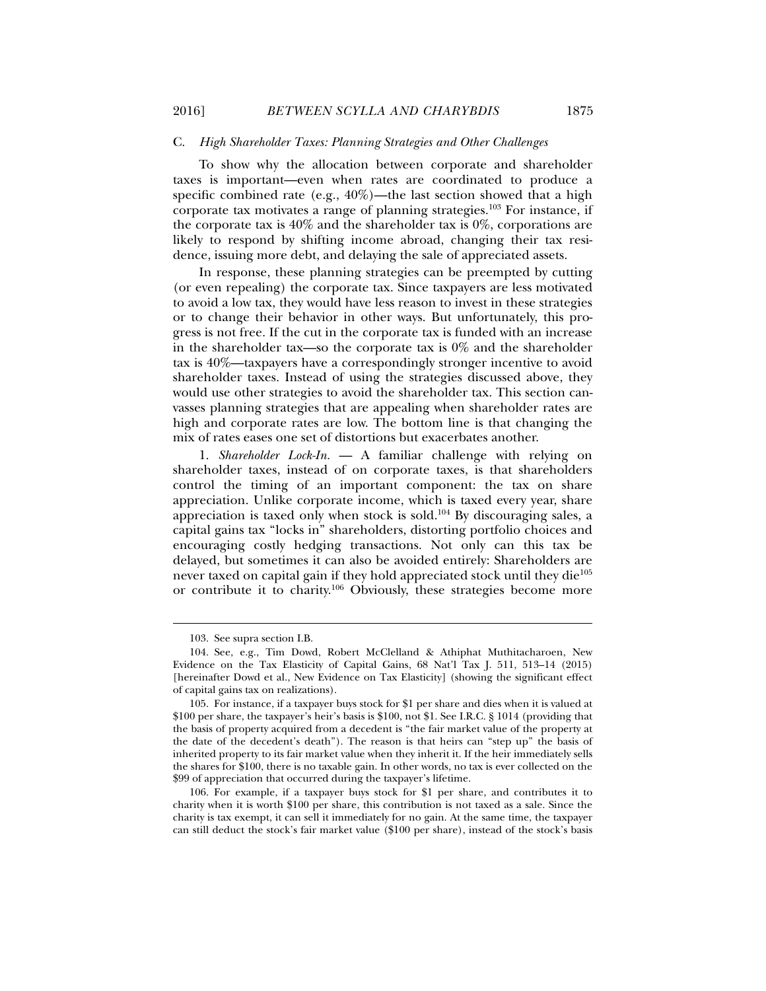#### C. *High Shareholder Taxes: Planning Strategies and Other Challenges*

To show why the allocation between corporate and shareholder taxes is important—even when rates are coordinated to produce a specific combined rate (e.g.,  $40\%$ )—the last section showed that a high corporate tax motivates a range of planning strategies.103 For instance, if the corporate tax is  $40\%$  and the shareholder tax is  $0\%$ , corporations are likely to respond by shifting income abroad, changing their tax residence, issuing more debt, and delaying the sale of appreciated assets.

In response, these planning strategies can be preempted by cutting (or even repealing) the corporate tax. Since taxpayers are less motivated to avoid a low tax, they would have less reason to invest in these strategies or to change their behavior in other ways. But unfortunately, this progress is not free. If the cut in the corporate tax is funded with an increase in the shareholder tax—so the corporate tax is  $0\%$  and the shareholder tax is 40%—taxpayers have a correspondingly stronger incentive to avoid shareholder taxes. Instead of using the strategies discussed above, they would use other strategies to avoid the shareholder tax. This section canvasses planning strategies that are appealing when shareholder rates are high and corporate rates are low. The bottom line is that changing the mix of rates eases one set of distortions but exacerbates another.

1. *Shareholder Lock-In.* — A familiar challenge with relying on shareholder taxes, instead of on corporate taxes, is that shareholders control the timing of an important component: the tax on share appreciation. Unlike corporate income, which is taxed every year, share appreciation is taxed only when stock is sold.104 By discouraging sales, a capital gains tax "locks in" shareholders, distorting portfolio choices and encouraging costly hedging transactions. Not only can this tax be delayed, but sometimes it can also be avoided entirely: Shareholders are never taxed on capital gain if they hold appreciated stock until they die<sup>105</sup> or contribute it to charity.106 Obviously, these strategies become more

 <sup>103.</sup> See supra section I.B.

 <sup>104.</sup> See, e.g., Tim Dowd, Robert McClelland & Athiphat Muthitacharoen, New Evidence on the Tax Elasticity of Capital Gains, 68 Nat'l Tax J. 511, 513–14 (2015) [hereinafter Dowd et al., New Evidence on Tax Elasticity] (showing the significant effect of capital gains tax on realizations).

 <sup>105.</sup> For instance, if a taxpayer buys stock for \$1 per share and dies when it is valued at \$100 per share, the taxpayer's heir's basis is \$100, not \$1. See I.R.C. § 1014 (providing that the basis of property acquired from a decedent is "the fair market value of the property at the date of the decedent's death"). The reason is that heirs can "step up" the basis of inherited property to its fair market value when they inherit it. If the heir immediately sells the shares for \$100, there is no taxable gain. In other words, no tax is ever collected on the \$99 of appreciation that occurred during the taxpayer's lifetime.

 <sup>106.</sup> For example, if a taxpayer buys stock for \$1 per share, and contributes it to charity when it is worth \$100 per share, this contribution is not taxed as a sale. Since the charity is tax exempt, it can sell it immediately for no gain. At the same time, the taxpayer can still deduct the stock's fair market value (\$100 per share), instead of the stock's basis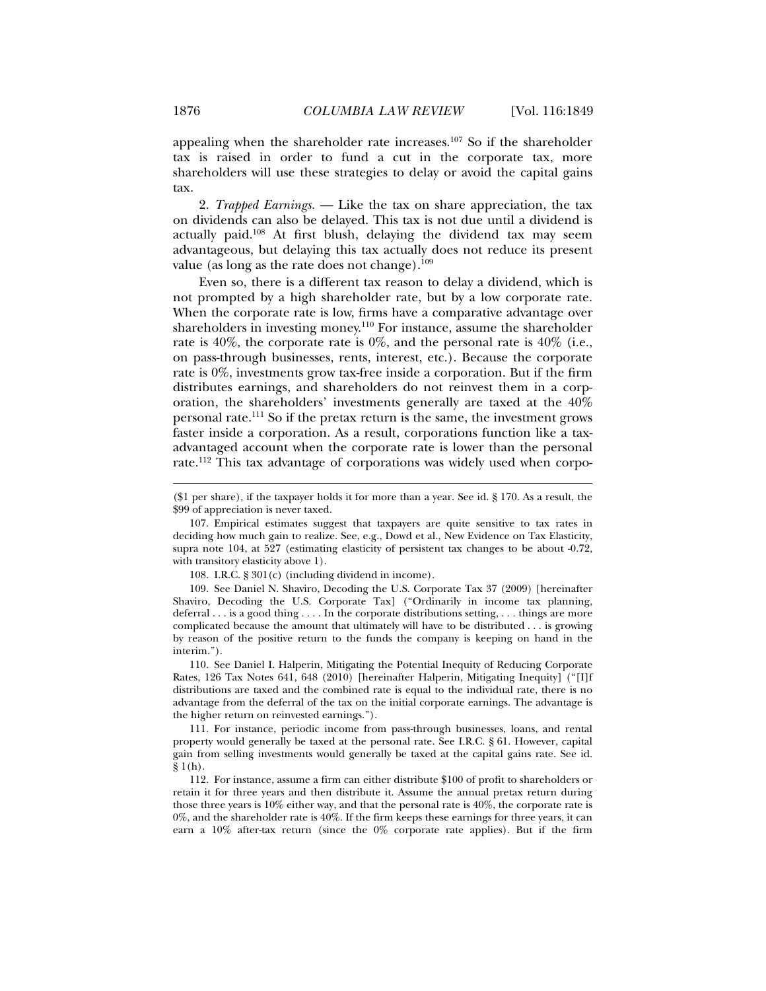appealing when the shareholder rate increases.107 So if the shareholder tax is raised in order to fund a cut in the corporate tax, more shareholders will use these strategies to delay or avoid the capital gains tax.

2. *Trapped Earnings.* — Like the tax on share appreciation, the tax on dividends can also be delayed. This tax is not due until a dividend is actually paid.108 At first blush, delaying the dividend tax may seem advantageous, but delaying this tax actually does not reduce its present value (as long as the rate does not change). $109$ 

Even so, there is a different tax reason to delay a dividend, which is not prompted by a high shareholder rate, but by a low corporate rate. When the corporate rate is low, firms have a comparative advantage over shareholders in investing money.110 For instance, assume the shareholder rate is 40%, the corporate rate is 0%, and the personal rate is 40% (i.e., on pass-through businesses, rents, interest, etc.). Because the corporate rate is 0%, investments grow tax-free inside a corporation. But if the firm distributes earnings, and shareholders do not reinvest them in a corporation, the shareholders' investments generally are taxed at the 40% personal rate.111 So if the pretax return is the same, the investment grows faster inside a corporation. As a result, corporations function like a taxadvantaged account when the corporate rate is lower than the personal rate.112 This tax advantage of corporations was widely used when corpo-

108. I.R.C.  $\S 301(c)$  (including dividend in income).

 109. See Daniel N. Shaviro, Decoding the U.S. Corporate Tax 37 (2009) [hereinafter Shaviro, Decoding the U.S. Corporate Tax] ("Ordinarily in income tax planning, deferral . . . is a good thing . . . . In the corporate distributions setting, . . . things are more complicated because the amount that ultimately will have to be distributed . . . is growing by reason of the positive return to the funds the company is keeping on hand in the interim.").

 110. See Daniel I. Halperin, Mitigating the Potential Inequity of Reducing Corporate Rates, 126 Tax Notes 641, 648 (2010) [hereinafter Halperin, Mitigating Inequity] ("[I]f distributions are taxed and the combined rate is equal to the individual rate, there is no advantage from the deferral of the tax on the initial corporate earnings. The advantage is the higher return on reinvested earnings.").

 111. For instance, periodic income from pass-through businesses, loans, and rental property would generally be taxed at the personal rate. See I.R.C. § 61. However, capital gain from selling investments would generally be taxed at the capital gains rate. See id.  $§ 1(h).$ 

 112. For instance, assume a firm can either distribute \$100 of profit to shareholders or retain it for three years and then distribute it. Assume the annual pretax return during those three years is 10% either way, and that the personal rate is 40%, the corporate rate is  $0\%$ , and the shareholder rate is  $40\%$ . If the firm keeps these earnings for three years, it can earn a 10% after-tax return (since the 0% corporate rate applies). But if the firm

<sup>(\$1</sup> per share), if the taxpayer holds it for more than a year. See id. § 170. As a result, the \$99 of appreciation is never taxed.

 <sup>107.</sup> Empirical estimates suggest that taxpayers are quite sensitive to tax rates in deciding how much gain to realize. See, e.g., Dowd et al., New Evidence on Tax Elasticity, supra note 104, at 527 (estimating elasticity of persistent tax changes to be about -0.72, with transitory elasticity above 1).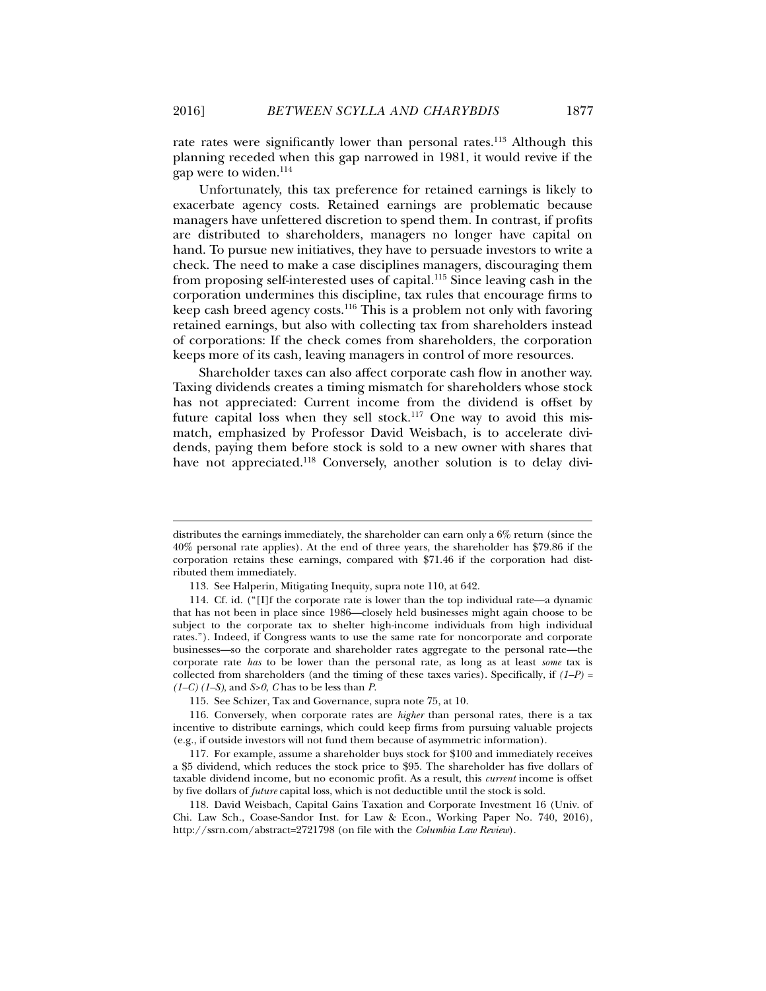Unfortunately, this tax preference for retained earnings is likely to exacerbate agency costs. Retained earnings are problematic because managers have unfettered discretion to spend them. In contrast, if profits are distributed to shareholders, managers no longer have capital on hand. To pursue new initiatives, they have to persuade investors to write a check. The need to make a case disciplines managers, discouraging them from proposing self-interested uses of capital.115 Since leaving cash in the corporation undermines this discipline, tax rules that encourage firms to keep cash breed agency costs.116 This is a problem not only with favoring retained earnings, but also with collecting tax from shareholders instead of corporations: If the check comes from shareholders, the corporation keeps more of its cash, leaving managers in control of more resources.

Shareholder taxes can also affect corporate cash flow in another way. Taxing dividends creates a timing mismatch for shareholders whose stock has not appreciated: Current income from the dividend is offset by future capital loss when they sell stock.<sup>117</sup> One way to avoid this mismatch, emphasized by Professor David Weisbach, is to accelerate dividends, paying them before stock is sold to a new owner with shares that have not appreciated.<sup>118</sup> Conversely, another solution is to delay divi-

l

gap were to widen.114

distributes the earnings immediately, the shareholder can earn only a 6% return (since the 40% personal rate applies). At the end of three years, the shareholder has \$79.86 if the corporation retains these earnings, compared with \$71.46 if the corporation had distributed them immediately.

 <sup>113.</sup> See Halperin, Mitigating Inequity, supra note 110, at 642.

 <sup>114.</sup> Cf. id. ("[I]f the corporate rate is lower than the top individual rate—a dynamic that has not been in place since 1986—closely held businesses might again choose to be subject to the corporate tax to shelter high-income individuals from high individual rates."). Indeed, if Congress wants to use the same rate for noncorporate and corporate businesses—so the corporate and shareholder rates aggregate to the personal rate—the corporate rate *has* to be lower than the personal rate, as long as at least *some* tax is collected from shareholders (and the timing of these taxes varies). Specifically, if *(1–P) = (1–C) (1–S)*, and *S>0*, *C* has to be less than *P*.

 <sup>115.</sup> See Schizer, Tax and Governance, supra note 75, at 10.

 <sup>116.</sup> Conversely, when corporate rates are *higher* than personal rates, there is a tax incentive to distribute earnings, which could keep firms from pursuing valuable projects (e.g., if outside investors will not fund them because of asymmetric information).

 <sup>117.</sup> For example, assume a shareholder buys stock for \$100 and immediately receives a \$5 dividend, which reduces the stock price to \$95. The shareholder has five dollars of taxable dividend income, but no economic profit. As a result, this *current* income is offset by five dollars of *future* capital loss, which is not deductible until the stock is sold.

 <sup>118.</sup> David Weisbach, Capital Gains Taxation and Corporate Investment 16 (Univ. of Chi. Law Sch., Coase-Sandor Inst. for Law & Econ., Working Paper No. 740, 2016), http://ssrn.com/abstract=2721798 (on file with the *Columbia Law Review*).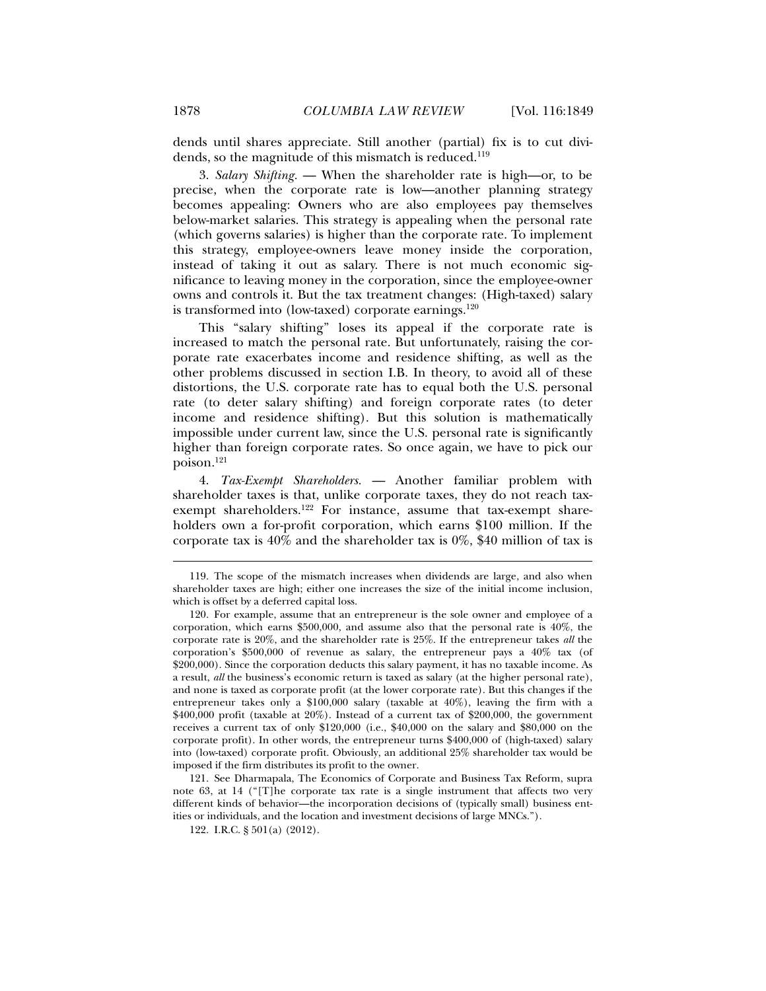dends until shares appreciate. Still another (partial) fix is to cut dividends, so the magnitude of this mismatch is reduced.<sup>119</sup>

3. *Salary Shifting.* — When the shareholder rate is high—or, to be precise, when the corporate rate is low—another planning strategy becomes appealing: Owners who are also employees pay themselves below-market salaries. This strategy is appealing when the personal rate (which governs salaries) is higher than the corporate rate. To implement this strategy, employee-owners leave money inside the corporation, instead of taking it out as salary. There is not much economic significance to leaving money in the corporation, since the employee-owner owns and controls it. But the tax treatment changes: (High-taxed) salary is transformed into (low-taxed) corporate earnings.<sup>120</sup>

This "salary shifting" loses its appeal if the corporate rate is increased to match the personal rate. But unfortunately, raising the corporate rate exacerbates income and residence shifting, as well as the other problems discussed in section I.B. In theory, to avoid all of these distortions, the U.S. corporate rate has to equal both the U.S. personal rate (to deter salary shifting) and foreign corporate rates (to deter income and residence shifting). But this solution is mathematically impossible under current law, since the U.S. personal rate is significantly higher than foreign corporate rates. So once again, we have to pick our poison.121

4. *Tax-Exempt Shareholders.* — Another familiar problem with shareholder taxes is that, unlike corporate taxes, they do not reach taxexempt shareholders.<sup>122</sup> For instance, assume that tax-exempt shareholders own a for-profit corporation, which earns \$100 million. If the corporate tax is 40% and the shareholder tax is 0%, \$40 million of tax is

 121. See Dharmapala, The Economics of Corporate and Business Tax Reform, supra note 63, at 14 ("[T]he corporate tax rate is a single instrument that affects two very different kinds of behavior—the incorporation decisions of (typically small) business entities or individuals, and the location and investment decisions of large MNCs.").

 <sup>119.</sup> The scope of the mismatch increases when dividends are large, and also when shareholder taxes are high; either one increases the size of the initial income inclusion, which is offset by a deferred capital loss.

 <sup>120.</sup> For example, assume that an entrepreneur is the sole owner and employee of a corporation, which earns \$500,000, and assume also that the personal rate is 40%, the corporate rate is 20%, and the shareholder rate is 25%. If the entrepreneur takes *all* the corporation's \$500,000 of revenue as salary, the entrepreneur pays a 40% tax (of \$200,000). Since the corporation deducts this salary payment, it has no taxable income. As a result, *all* the business's economic return is taxed as salary (at the higher personal rate), and none is taxed as corporate profit (at the lower corporate rate). But this changes if the entrepreneur takes only a \$100,000 salary (taxable at 40%), leaving the firm with a \$400,000 profit (taxable at 20%). Instead of a current tax of \$200,000, the government receives a current tax of only \$120,000 (i.e., \$40,000 on the salary and \$80,000 on the corporate profit). In other words, the entrepreneur turns \$400,000 of (high-taxed) salary into (low-taxed) corporate profit. Obviously, an additional 25% shareholder tax would be imposed if the firm distributes its profit to the owner.

 <sup>122.</sup> I.R.C. § 501(a) (2012).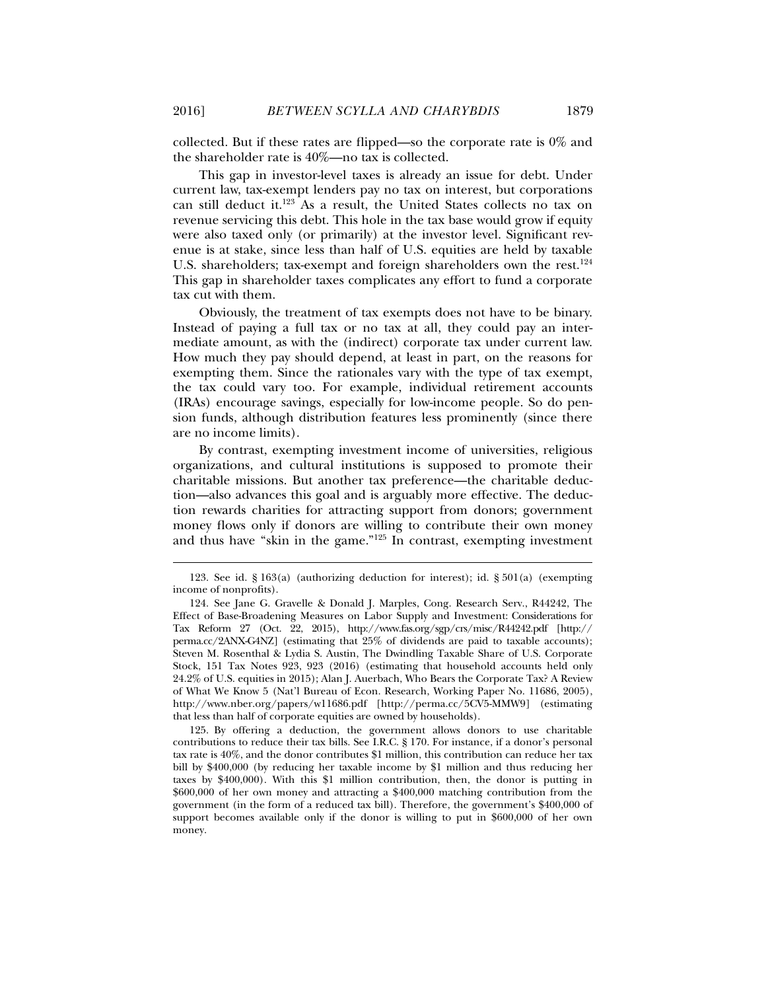collected. But if these rates are flipped—so the corporate rate is 0% and the shareholder rate is 40%—no tax is collected.

This gap in investor-level taxes is already an issue for debt. Under current law, tax-exempt lenders pay no tax on interest, but corporations can still deduct it.123 As a result, the United States collects no tax on revenue servicing this debt. This hole in the tax base would grow if equity were also taxed only (or primarily) at the investor level. Significant revenue is at stake, since less than half of U.S. equities are held by taxable U.S. shareholders; tax-exempt and foreign shareholders own the rest.<sup>124</sup> This gap in shareholder taxes complicates any effort to fund a corporate tax cut with them.

Obviously, the treatment of tax exempts does not have to be binary. Instead of paying a full tax or no tax at all, they could pay an intermediate amount, as with the (indirect) corporate tax under current law. How much they pay should depend, at least in part, on the reasons for exempting them. Since the rationales vary with the type of tax exempt, the tax could vary too. For example, individual retirement accounts (IRAs) encourage savings, especially for low-income people. So do pension funds, although distribution features less prominently (since there are no income limits).

By contrast, exempting investment income of universities, religious organizations, and cultural institutions is supposed to promote their charitable missions. But another tax preference—the charitable deduction—also advances this goal and is arguably more effective. The deduction rewards charities for attracting support from donors; government money flows only if donors are willing to contribute their own money and thus have "skin in the game."125 In contrast, exempting investment

 125. By offering a deduction, the government allows donors to use charitable contributions to reduce their tax bills. See I.R.C. § 170. For instance, if a donor's personal tax rate is 40%, and the donor contributes \$1 million, this contribution can reduce her tax bill by \$400,000 (by reducing her taxable income by \$1 million and thus reducing her taxes by \$400,000). With this \$1 million contribution, then, the donor is putting in \$600,000 of her own money and attracting a \$400,000 matching contribution from the government (in the form of a reduced tax bill). Therefore, the government's \$400,000 of support becomes available only if the donor is willing to put in \$600,000 of her own money.

 <sup>123.</sup> See id. § 163(a) (authorizing deduction for interest); id. § 501(a) (exempting income of nonprofits).

 <sup>124.</sup> See Jane G. Gravelle & Donald J. Marples, Cong. Research Serv., R44242, The Effect of Base-Broadening Measures on Labor Supply and Investment: Considerations for Tax Reform 27 (Oct. 22, 2015), http://www.fas.org/sgp/crs/misc/R44242.pdf [http:// perma.cc/2ANX-G4NZ] (estimating that 25% of dividends are paid to taxable accounts); Steven M. Rosenthal & Lydia S. Austin, The Dwindling Taxable Share of U.S. Corporate Stock, 151 Tax Notes 923, 923 (2016) (estimating that household accounts held only 24.2% of U.S. equities in 2015); Alan J. Auerbach, Who Bears the Corporate Tax? A Review of What We Know 5 (Nat'l Bureau of Econ. Research, Working Paper No. 11686, 2005), http://www.nber.org/papers/w11686.pdf [http://perma.cc/5CV5-MMW9] (estimating that less than half of corporate equities are owned by households).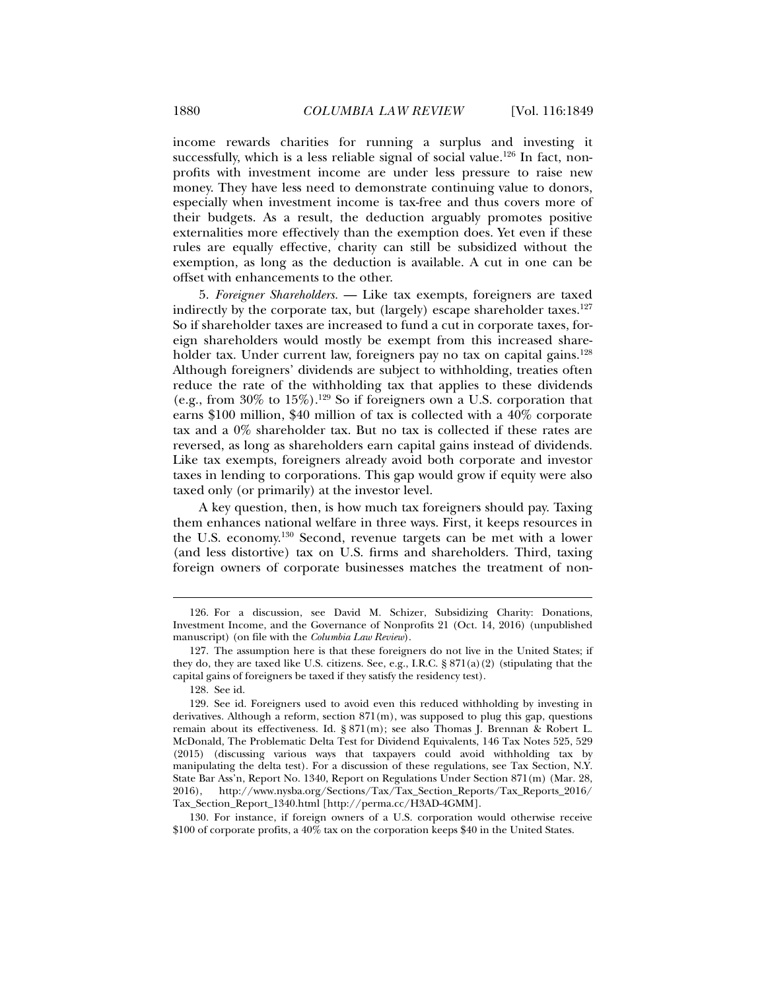income rewards charities for running a surplus and investing it successfully, which is a less reliable signal of social value.<sup>126</sup> In fact, nonprofits with investment income are under less pressure to raise new money. They have less need to demonstrate continuing value to donors, especially when investment income is tax-free and thus covers more of their budgets. As a result, the deduction arguably promotes positive externalities more effectively than the exemption does. Yet even if these rules are equally effective, charity can still be subsidized without the exemption, as long as the deduction is available. A cut in one can be offset with enhancements to the other.

5. *Foreigner Shareholders.* — Like tax exempts, foreigners are taxed indirectly by the corporate tax, but (largely) escape shareholder taxes. $127$ So if shareholder taxes are increased to fund a cut in corporate taxes, foreign shareholders would mostly be exempt from this increased shareholder tax. Under current law, foreigners pay no tax on capital gains.<sup>128</sup> Although foreigners' dividends are subject to withholding, treaties often reduce the rate of the withholding tax that applies to these dividends (e.g., from  $30\%$  to  $15\%$ ).<sup>129</sup> So if foreigners own a U.S. corporation that earns \$100 million, \$40 million of tax is collected with a  $40\%$  corporate tax and a 0% shareholder tax. But no tax is collected if these rates are reversed, as long as shareholders earn capital gains instead of dividends. Like tax exempts, foreigners already avoid both corporate and investor taxes in lending to corporations. This gap would grow if equity were also taxed only (or primarily) at the investor level.

A key question, then, is how much tax foreigners should pay. Taxing them enhances national welfare in three ways. First, it keeps resources in the U.S. economy.130 Second, revenue targets can be met with a lower (and less distortive) tax on U.S. firms and shareholders. Third, taxing foreign owners of corporate businesses matches the treatment of non-

 <sup>126.</sup> For a discussion, see David M. Schizer, Subsidizing Charity: Donations, Investment Income, and the Governance of Nonprofits 21 (Oct. 14, 2016) (unpublished manuscript) (on file with the *Columbia Law Review*).

 <sup>127.</sup> The assumption here is that these foreigners do not live in the United States; if they do, they are taxed like U.S. citizens. See, e.g., I.R.C.  $\S 871(a)(2)$  (stipulating that the capital gains of foreigners be taxed if they satisfy the residency test).

 <sup>128.</sup> See id.

 <sup>129.</sup> See id. Foreigners used to avoid even this reduced withholding by investing in derivatives. Although a reform, section  $871(m)$ , was supposed to plug this gap, questions remain about its effectiveness. Id. § 871(m); see also Thomas J. Brennan & Robert L. McDonald, The Problematic Delta Test for Dividend Equivalents, 146 Tax Notes 525, 529 (2015) (discussing various ways that taxpayers could avoid withholding tax by manipulating the delta test). For a discussion of these regulations, see Tax Section, N.Y. State Bar Ass'n, Report No. 1340, Report on Regulations Under Section 871(m) (Mar. 28, 2016), http://www.nysba.org/Sections/Tax/Tax\_Section\_Reports/Tax\_Reports\_2016/ Tax\_Section\_Report\_1340.html [http://perma.cc/H3AD-4GMM].

 <sup>130.</sup> For instance, if foreign owners of a U.S. corporation would otherwise receive \$100 of corporate profits, a 40% tax on the corporation keeps \$40 in the United States.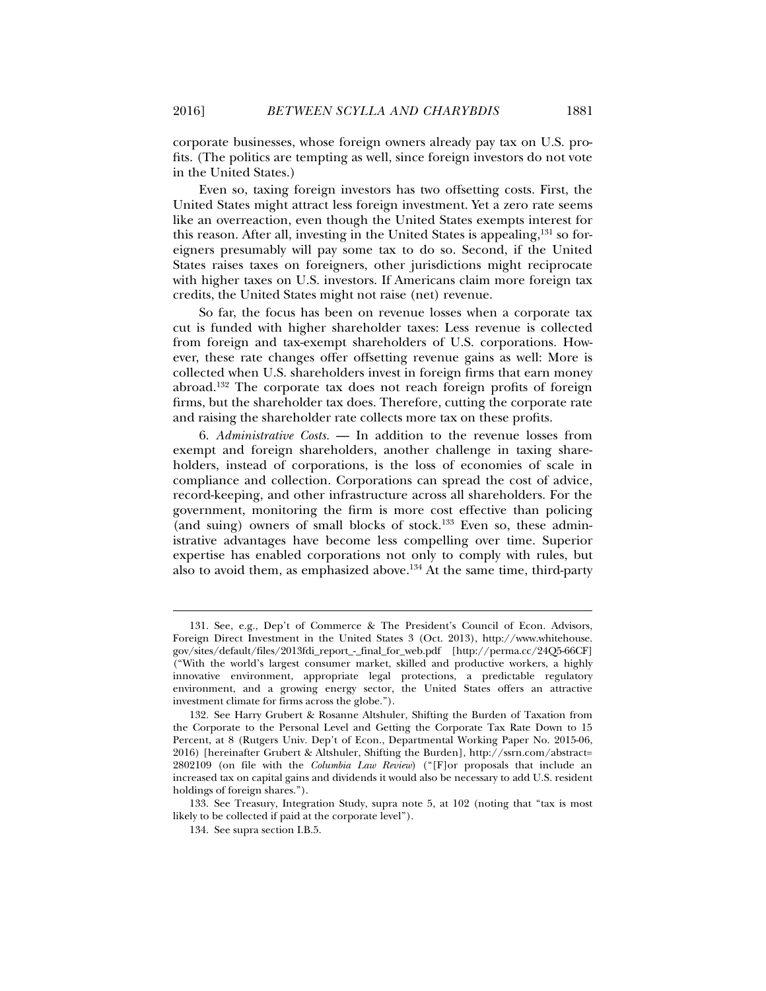corporate businesses, whose foreign owners already pay tax on U.S. profits. (The politics are tempting as well, since foreign investors do not vote in the United States.)

Even so, taxing foreign investors has two offsetting costs. First, the United States might attract less foreign investment. Yet a zero rate seems like an overreaction, even though the United States exempts interest for this reason. After all, investing in the United States is appealing,<sup>131</sup> so foreigners presumably will pay some tax to do so. Second, if the United States raises taxes on foreigners, other jurisdictions might reciprocate with higher taxes on U.S. investors. If Americans claim more foreign tax credits, the United States might not raise (net) revenue.

So far, the focus has been on revenue losses when a corporate tax cut is funded with higher shareholder taxes: Less revenue is collected from foreign and tax-exempt shareholders of U.S. corporations. However, these rate changes offer offsetting revenue gains as well: More is collected when U.S. shareholders invest in foreign firms that earn money abroad.132 The corporate tax does not reach foreign profits of foreign firms, but the shareholder tax does. Therefore, cutting the corporate rate and raising the shareholder rate collects more tax on these profits.

6. *Administrative Costs.* — In addition to the revenue losses from exempt and foreign shareholders, another challenge in taxing shareholders, instead of corporations, is the loss of economies of scale in compliance and collection. Corporations can spread the cost of advice, record-keeping, and other infrastructure across all shareholders. For the government, monitoring the firm is more cost effective than policing (and suing) owners of small blocks of stock.<sup>133</sup> Even so, these administrative advantages have become less compelling over time. Superior expertise has enabled corporations not only to comply with rules, but also to avoid them, as emphasized above.<sup>134</sup> At the same time, third-party

 133. See Treasury, Integration Study, supra note 5, at 102 (noting that "tax is most likely to be collected if paid at the corporate level").

 <sup>131.</sup> See, e.g., Dep't of Commerce & The President's Council of Econ. Advisors, Foreign Direct Investment in the United States 3 (Oct. 2013), http://www.whitehouse. gov/sites/default/files/2013fdi\_report\_-\_final\_for\_web.pdf [http://perma.cc/24Q5-66CF] ("With the world's largest consumer market, skilled and productive workers, a highly innovative environment, appropriate legal protections, a predictable regulatory environment, and a growing energy sector, the United States offers an attractive investment climate for firms across the globe.").

 <sup>132.</sup> See Harry Grubert & Rosanne Altshuler, Shifting the Burden of Taxation from the Corporate to the Personal Level and Getting the Corporate Tax Rate Down to 15 Percent, at 8 (Rutgers Univ. Dep't of Econ., Departmental Working Paper No. 2015-06, 2016) [hereinafter Grubert & Altshuler, Shifting the Burden], http://ssrn.com/abstract= 2802109 (on file with the *Columbia Law Review*) ("[F]or proposals that include an increased tax on capital gains and dividends it would also be necessary to add U.S. resident holdings of foreign shares.").

 <sup>134.</sup> See supra section I.B.5.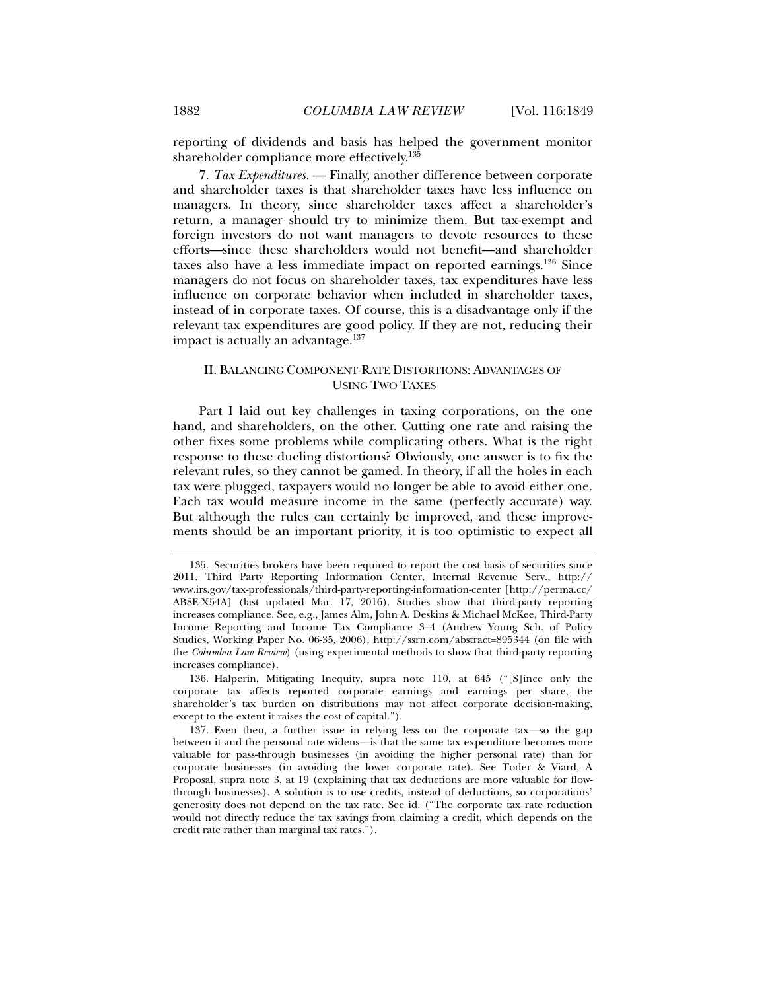reporting of dividends and basis has helped the government monitor shareholder compliance more effectively.<sup>135</sup>

7. *Tax Expenditures.* — Finally, another difference between corporate and shareholder taxes is that shareholder taxes have less influence on managers. In theory, since shareholder taxes affect a shareholder's return, a manager should try to minimize them. But tax-exempt and foreign investors do not want managers to devote resources to these efforts—since these shareholders would not benefit—and shareholder taxes also have a less immediate impact on reported earnings.136 Since managers do not focus on shareholder taxes, tax expenditures have less influence on corporate behavior when included in shareholder taxes, instead of in corporate taxes. Of course, this is a disadvantage only if the relevant tax expenditures are good policy. If they are not, reducing their impact is actually an advantage. $137$ 

### II. BALANCING COMPONENT-RATE DISTORTIONS: ADVANTAGES OF USING TWO TAXES

Part I laid out key challenges in taxing corporations, on the one hand, and shareholders, on the other. Cutting one rate and raising the other fixes some problems while complicating others. What is the right response to these dueling distortions? Obviously, one answer is to fix the relevant rules, so they cannot be gamed. In theory, if all the holes in each tax were plugged, taxpayers would no longer be able to avoid either one. Each tax would measure income in the same (perfectly accurate) way. But although the rules can certainly be improved, and these improvements should be an important priority, it is too optimistic to expect all

 136. Halperin, Mitigating Inequity, supra note 110, at 645 ("[S]ince only the corporate tax affects reported corporate earnings and earnings per share, the shareholder's tax burden on distributions may not affect corporate decision-making, except to the extent it raises the cost of capital.").

 <sup>135.</sup> Securities brokers have been required to report the cost basis of securities since 2011. Third Party Reporting Information Center, Internal Revenue Serv., http:// www.irs.gov/tax-professionals/third-party-reporting-information-center [http://perma.cc/ AB8E-X54A] (last updated Mar. 17, 2016). Studies show that third-party reporting increases compliance. See, e.g., James Alm, John A. Deskins & Michael McKee, Third-Party Income Reporting and Income Tax Compliance 3–4 (Andrew Young Sch. of Policy Studies, Working Paper No. 06-35, 2006), http://ssrn.com/abstract=895344 (on file with the *Columbia Law Review*) (using experimental methods to show that third-party reporting increases compliance).

 <sup>137.</sup> Even then, a further issue in relying less on the corporate tax—so the gap between it and the personal rate widens—is that the same tax expenditure becomes more valuable for pass-through businesses (in avoiding the higher personal rate) than for corporate businesses (in avoiding the lower corporate rate). See Toder & Viard, A Proposal, supra note 3, at 19 (explaining that tax deductions are more valuable for flowthrough businesses). A solution is to use credits, instead of deductions, so corporations' generosity does not depend on the tax rate. See id. ("The corporate tax rate reduction would not directly reduce the tax savings from claiming a credit, which depends on the credit rate rather than marginal tax rates.").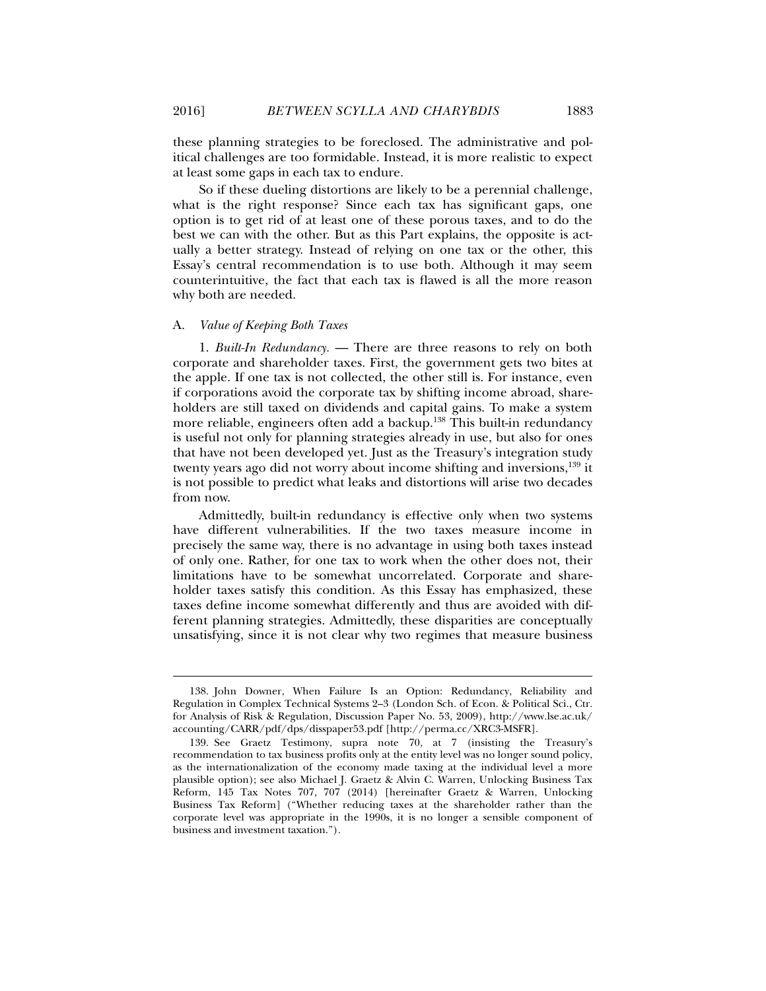these planning strategies to be foreclosed. The administrative and political challenges are too formidable. Instead, it is more realistic to expect at least some gaps in each tax to endure.

So if these dueling distortions are likely to be a perennial challenge, what is the right response? Since each tax has significant gaps, one option is to get rid of at least one of these porous taxes, and to do the best we can with the other. But as this Part explains, the opposite is actually a better strategy. Instead of relying on one tax or the other, this Essay's central recommendation is to use both. Although it may seem counterintuitive, the fact that each tax is flawed is all the more reason why both are needed.

#### A. *Value of Keeping Both Taxes*

1. *Built-In Redundancy.* — There are three reasons to rely on both corporate and shareholder taxes. First, the government gets two bites at the apple. If one tax is not collected, the other still is. For instance, even if corporations avoid the corporate tax by shifting income abroad, shareholders are still taxed on dividends and capital gains. To make a system more reliable, engineers often add a backup.<sup>138</sup> This built-in redundancy is useful not only for planning strategies already in use, but also for ones that have not been developed yet. Just as the Treasury's integration study twenty years ago did not worry about income shifting and inversions,<sup>139</sup> it is not possible to predict what leaks and distortions will arise two decades from now.

Admittedly, built-in redundancy is effective only when two systems have different vulnerabilities. If the two taxes measure income in precisely the same way, there is no advantage in using both taxes instead of only one. Rather, for one tax to work when the other does not, their limitations have to be somewhat uncorrelated. Corporate and shareholder taxes satisfy this condition. As this Essay has emphasized, these taxes define income somewhat differently and thus are avoided with different planning strategies. Admittedly, these disparities are conceptually unsatisfying, since it is not clear why two regimes that measure business

 <sup>138.</sup> John Downer, When Failure Is an Option: Redundancy, Reliability and Regulation in Complex Technical Systems 2–3 (London Sch. of Econ. & Political Sci., Ctr. for Analysis of Risk & Regulation, Discussion Paper No. 53, 2009), http://www.lse.ac.uk/ accounting/CARR/pdf/dps/disspaper53.pdf [http://perma.cc/XRC3-MSFR].

 <sup>139.</sup> See Graetz Testimony, supra note 70, at 7 (insisting the Treasury's recommendation to tax business profits only at the entity level was no longer sound policy, as the internationalization of the economy made taxing at the individual level a more plausible option); see also Michael J. Graetz & Alvin C. Warren, Unlocking Business Tax Reform, 145 Tax Notes 707, 707 (2014) [hereinafter Graetz & Warren, Unlocking Business Tax Reform] ("Whether reducing taxes at the shareholder rather than the corporate level was appropriate in the 1990s, it is no longer a sensible component of business and investment taxation.").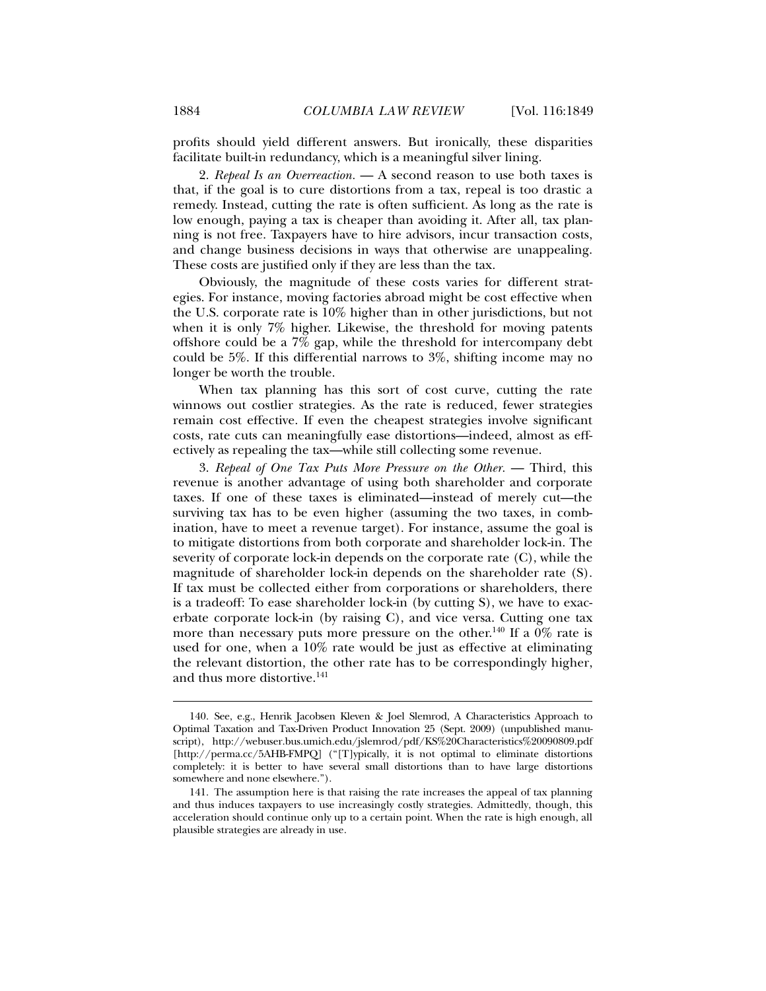profits should yield different answers. But ironically, these disparities facilitate built-in redundancy, which is a meaningful silver lining.

2. *Repeal Is an Overreaction.* — A second reason to use both taxes is that, if the goal is to cure distortions from a tax, repeal is too drastic a remedy. Instead, cutting the rate is often sufficient. As long as the rate is low enough, paying a tax is cheaper than avoiding it. After all, tax planning is not free. Taxpayers have to hire advisors, incur transaction costs, and change business decisions in ways that otherwise are unappealing. These costs are justified only if they are less than the tax.

Obviously, the magnitude of these costs varies for different strategies. For instance, moving factories abroad might be cost effective when the U.S. corporate rate is 10% higher than in other jurisdictions, but not when it is only 7% higher. Likewise, the threshold for moving patents offshore could be a 7% gap, while the threshold for intercompany debt could be 5%. If this differential narrows to 3%, shifting income may no longer be worth the trouble.

When tax planning has this sort of cost curve, cutting the rate winnows out costlier strategies. As the rate is reduced, fewer strategies remain cost effective. If even the cheapest strategies involve significant costs, rate cuts can meaningfully ease distortions—indeed, almost as effectively as repealing the tax—while still collecting some revenue.

3. *Repeal of One Tax Puts More Pressure on the Other.* — Third, this revenue is another advantage of using both shareholder and corporate taxes. If one of these taxes is eliminated—instead of merely cut—the surviving tax has to be even higher (assuming the two taxes, in combination, have to meet a revenue target). For instance, assume the goal is to mitigate distortions from both corporate and shareholder lock-in. The severity of corporate lock-in depends on the corporate rate (C), while the magnitude of shareholder lock-in depends on the shareholder rate (S). If tax must be collected either from corporations or shareholders, there is a tradeoff: To ease shareholder lock-in (by cutting S), we have to exacerbate corporate lock-in (by raising C), and vice versa. Cutting one tax more than necessary puts more pressure on the other.<sup>140</sup> If a  $\dot{0}\%$  rate is used for one, when a 10% rate would be just as effective at eliminating the relevant distortion, the other rate has to be correspondingly higher, and thus more distortive.<sup>141</sup>

 <sup>140.</sup> See, e.g., Henrik Jacobsen Kleven & Joel Slemrod, A Characteristics Approach to Optimal Taxation and Tax-Driven Product Innovation 25 (Sept. 2009) (unpublished manuscript), http://webuser.bus.umich.edu/jslemrod/pdf/KS%20Characteristics%20090809.pdf [http://perma.cc/5AHB-FMPQ] ("[T]ypically, it is not optimal to eliminate distortions completely: it is better to have several small distortions than to have large distortions somewhere and none elsewhere.").

 <sup>141.</sup> The assumption here is that raising the rate increases the appeal of tax planning and thus induces taxpayers to use increasingly costly strategies. Admittedly, though, this acceleration should continue only up to a certain point. When the rate is high enough, all plausible strategies are already in use.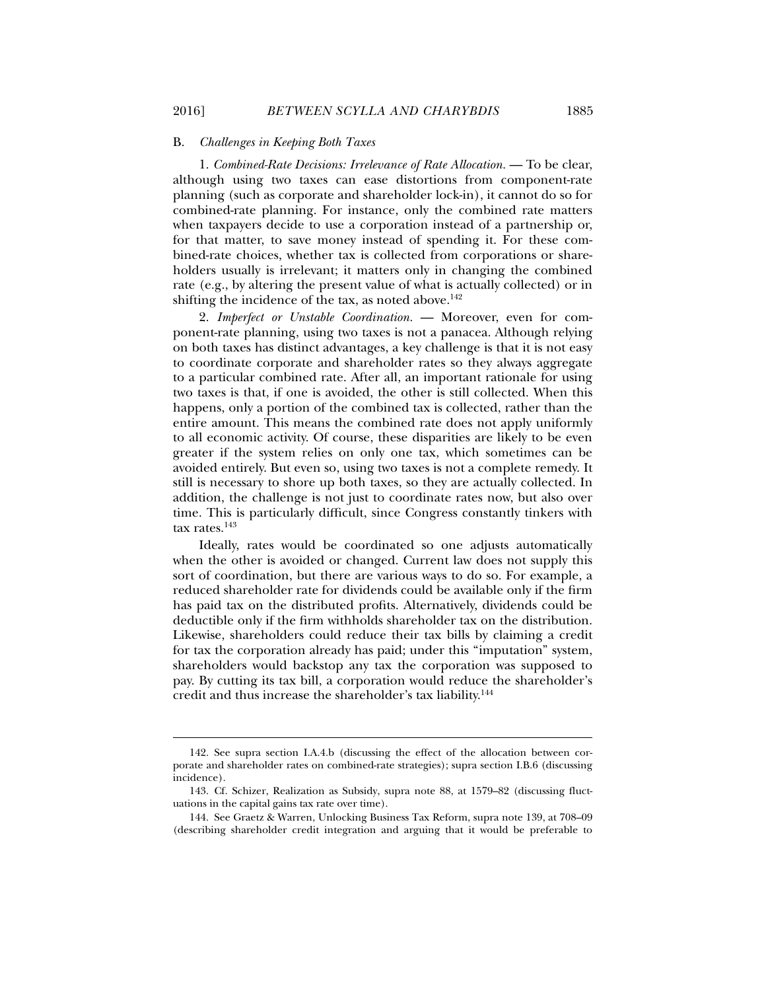#### B. *Challenges in Keeping Both Taxes*

1. *Combined-Rate Decisions: Irrelevance of Rate Allocation.* — To be clear, although using two taxes can ease distortions from component-rate planning (such as corporate and shareholder lock-in), it cannot do so for combined-rate planning. For instance, only the combined rate matters when taxpayers decide to use a corporation instead of a partnership or, for that matter, to save money instead of spending it. For these combined-rate choices, whether tax is collected from corporations or shareholders usually is irrelevant; it matters only in changing the combined rate (e.g., by altering the present value of what is actually collected) or in shifting the incidence of the tax, as noted above.<sup>142</sup>

2. *Imperfect or Unstable Coordination.* — Moreover, even for component-rate planning, using two taxes is not a panacea. Although relying on both taxes has distinct advantages, a key challenge is that it is not easy to coordinate corporate and shareholder rates so they always aggregate to a particular combined rate. After all, an important rationale for using two taxes is that, if one is avoided, the other is still collected. When this happens, only a portion of the combined tax is collected, rather than the entire amount. This means the combined rate does not apply uniformly to all economic activity. Of course, these disparities are likely to be even greater if the system relies on only one tax, which sometimes can be avoided entirely. But even so, using two taxes is not a complete remedy. It still is necessary to shore up both taxes, so they are actually collected. In addition, the challenge is not just to coordinate rates now, but also over time. This is particularly difficult, since Congress constantly tinkers with tax rates.<sup>143</sup>

Ideally, rates would be coordinated so one adjusts automatically when the other is avoided or changed. Current law does not supply this sort of coordination, but there are various ways to do so. For example, a reduced shareholder rate for dividends could be available only if the firm has paid tax on the distributed profits. Alternatively, dividends could be deductible only if the firm withholds shareholder tax on the distribution. Likewise, shareholders could reduce their tax bills by claiming a credit for tax the corporation already has paid; under this "imputation" system, shareholders would backstop any tax the corporation was supposed to pay. By cutting its tax bill, a corporation would reduce the shareholder's credit and thus increase the shareholder's tax liability.144

 <sup>142.</sup> See supra section I.A.4.b (discussing the effect of the allocation between corporate and shareholder rates on combined-rate strategies); supra section I.B.6 (discussing incidence).

 <sup>143.</sup> Cf. Schizer, Realization as Subsidy, supra note 88, at 1579–82 (discussing fluctuations in the capital gains tax rate over time).

 <sup>144.</sup> See Graetz & Warren, Unlocking Business Tax Reform, supra note 139, at 708–09 (describing shareholder credit integration and arguing that it would be preferable to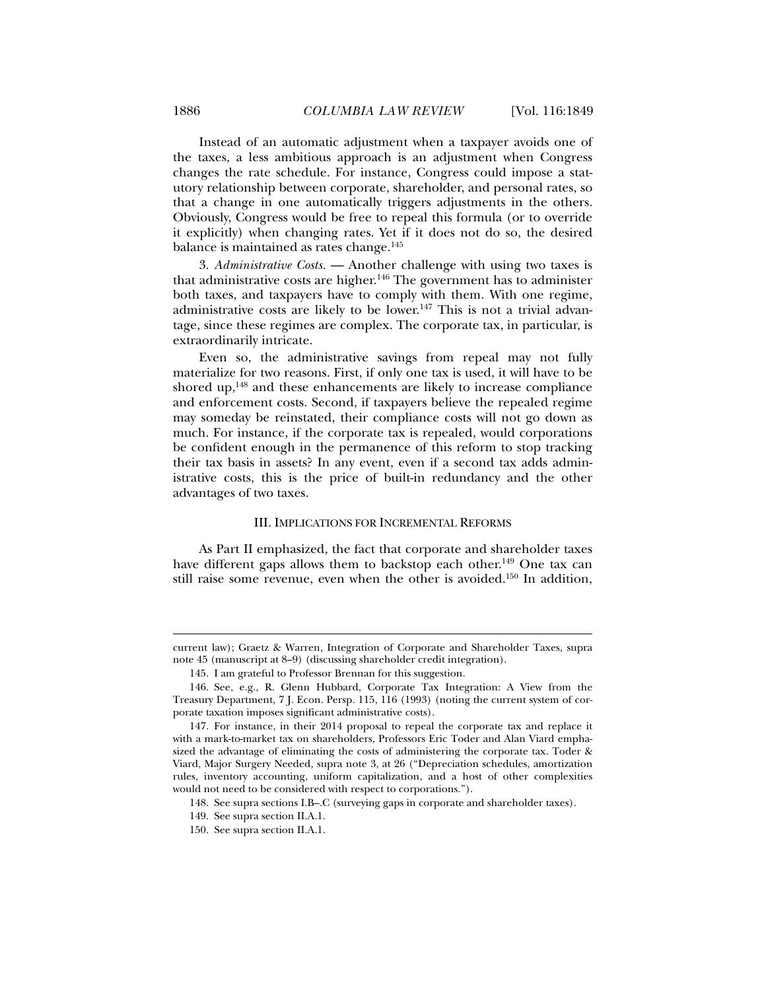Instead of an automatic adjustment when a taxpayer avoids one of the taxes, a less ambitious approach is an adjustment when Congress changes the rate schedule. For instance, Congress could impose a statutory relationship between corporate, shareholder, and personal rates, so that a change in one automatically triggers adjustments in the others. Obviously, Congress would be free to repeal this formula (or to override it explicitly) when changing rates. Yet if it does not do so, the desired balance is maintained as rates change.<sup>145</sup>

3. *Administrative Costs.* — Another challenge with using two taxes is that administrative costs are higher.<sup>146</sup> The government has to administer both taxes, and taxpayers have to comply with them. With one regime, administrative costs are likely to be lower.<sup>147</sup> This is not a trivial advantage, since these regimes are complex. The corporate tax, in particular, is extraordinarily intricate.

Even so, the administrative savings from repeal may not fully materialize for two reasons. First, if only one tax is used, it will have to be shored up, $148$  and these enhancements are likely to increase compliance and enforcement costs. Second, if taxpayers believe the repealed regime may someday be reinstated, their compliance costs will not go down as much. For instance, if the corporate tax is repealed, would corporations be confident enough in the permanence of this reform to stop tracking their tax basis in assets? In any event, even if a second tax adds administrative costs, this is the price of built-in redundancy and the other advantages of two taxes.

#### III. IMPLICATIONS FOR INCREMENTAL REFORMS

As Part II emphasized, the fact that corporate and shareholder taxes have different gaps allows them to backstop each other.<sup>149</sup> One tax can still raise some revenue, even when the other is avoided.<sup>150</sup> In addition,

current law); Graetz & Warren, Integration of Corporate and Shareholder Taxes, supra note 45 (manuscript at 8–9) (discussing shareholder credit integration).

 <sup>145.</sup> I am grateful to Professor Brennan for this suggestion.

 <sup>146.</sup> See, e.g., R. Glenn Hubbard, Corporate Tax Integration: A View from the Treasury Department, 7 J. Econ. Persp. 115, 116 (1993) (noting the current system of corporate taxation imposes significant administrative costs).

 <sup>147.</sup> For instance, in their 2014 proposal to repeal the corporate tax and replace it with a mark-to-market tax on shareholders, Professors Eric Toder and Alan Viard emphasized the advantage of eliminating the costs of administering the corporate tax. Toder & Viard, Major Surgery Needed*,* supra note 3, at 26 ("Depreciation schedules, amortization rules, inventory accounting, uniform capitalization, and a host of other complexities would not need to be considered with respect to corporations.").

 <sup>148.</sup> See supra sections I.B–.C (surveying gaps in corporate and shareholder taxes).

 <sup>149.</sup> See supra section II.A.1.

 <sup>150.</sup> See supra section II.A.1.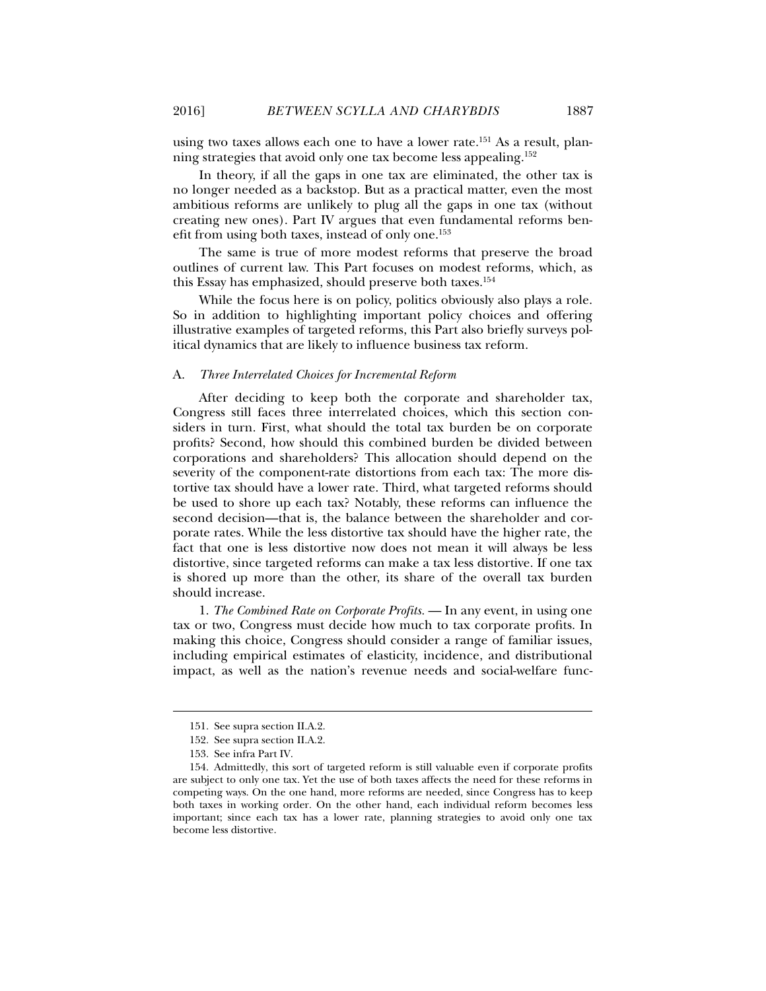using two taxes allows each one to have a lower rate.<sup>151</sup> As a result, planning strategies that avoid only one tax become less appealing.152

In theory, if all the gaps in one tax are eliminated, the other tax is no longer needed as a backstop. But as a practical matter, even the most ambitious reforms are unlikely to plug all the gaps in one tax (without creating new ones). Part IV argues that even fundamental reforms benefit from using both taxes, instead of only one.<sup>153</sup>

The same is true of more modest reforms that preserve the broad outlines of current law. This Part focuses on modest reforms, which, as this Essay has emphasized, should preserve both taxes.154

While the focus here is on policy, politics obviously also plays a role. So in addition to highlighting important policy choices and offering illustrative examples of targeted reforms, this Part also briefly surveys political dynamics that are likely to influence business tax reform.

#### A. *Three Interrelated Choices for Incremental Reform*

After deciding to keep both the corporate and shareholder tax, Congress still faces three interrelated choices, which this section considers in turn. First, what should the total tax burden be on corporate profits? Second, how should this combined burden be divided between corporations and shareholders? This allocation should depend on the severity of the component-rate distortions from each tax: The more distortive tax should have a lower rate. Third, what targeted reforms should be used to shore up each tax? Notably, these reforms can influence the second decision—that is, the balance between the shareholder and corporate rates. While the less distortive tax should have the higher rate, the fact that one is less distortive now does not mean it will always be less distortive, since targeted reforms can make a tax less distortive. If one tax is shored up more than the other, its share of the overall tax burden should increase.

1. *The Combined Rate on Corporate Profits.* — In any event, in using one tax or two, Congress must decide how much to tax corporate profits. In making this choice, Congress should consider a range of familiar issues, including empirical estimates of elasticity, incidence, and distributional impact, as well as the nation's revenue needs and social-welfare func-

 <sup>151.</sup> See supra section II.A.2.

 <sup>152.</sup> See supra section II.A.2.

 <sup>153.</sup> See infra Part IV.

 <sup>154.</sup> Admittedly, this sort of targeted reform is still valuable even if corporate profits are subject to only one tax. Yet the use of both taxes affects the need for these reforms in competing ways. On the one hand, more reforms are needed, since Congress has to keep both taxes in working order. On the other hand, each individual reform becomes less important; since each tax has a lower rate, planning strategies to avoid only one tax become less distortive.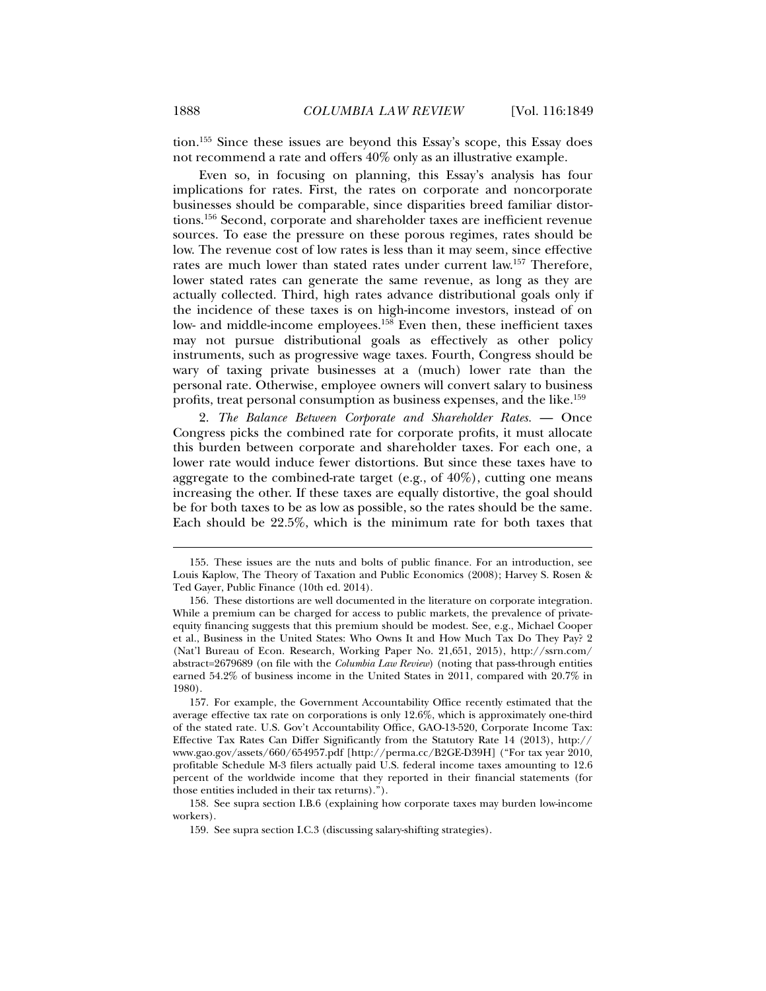tion.155 Since these issues are beyond this Essay's scope, this Essay does not recommend a rate and offers 40% only as an illustrative example.

Even so, in focusing on planning, this Essay's analysis has four implications for rates. First, the rates on corporate and noncorporate businesses should be comparable, since disparities breed familiar distortions.156 Second, corporate and shareholder taxes are inefficient revenue sources. To ease the pressure on these porous regimes, rates should be low. The revenue cost of low rates is less than it may seem, since effective rates are much lower than stated rates under current law.157 Therefore, lower stated rates can generate the same revenue, as long as they are actually collected. Third, high rates advance distributional goals only if the incidence of these taxes is on high-income investors, instead of on low- and middle-income employees.<sup>158</sup> Even then, these inefficient taxes may not pursue distributional goals as effectively as other policy instruments, such as progressive wage taxes. Fourth, Congress should be wary of taxing private businesses at a (much) lower rate than the personal rate. Otherwise, employee owners will convert salary to business profits, treat personal consumption as business expenses, and the like.<sup>159</sup>

2. *The Balance Between Corporate and Shareholder Rates.* — Once Congress picks the combined rate for corporate profits, it must allocate this burden between corporate and shareholder taxes. For each one, a lower rate would induce fewer distortions. But since these taxes have to aggregate to the combined-rate target (e.g., of  $40\%$ ), cutting one means increasing the other. If these taxes are equally distortive, the goal should be for both taxes to be as low as possible, so the rates should be the same. Each should be 22.5%, which is the minimum rate for both taxes that

 <sup>155.</sup> These issues are the nuts and bolts of public finance. For an introduction, see Louis Kaplow, The Theory of Taxation and Public Economics (2008); Harvey S. Rosen & Ted Gayer, Public Finance (10th ed. 2014).

 <sup>156.</sup> These distortions are well documented in the literature on corporate integration. While a premium can be charged for access to public markets, the prevalence of privateequity financing suggests that this premium should be modest. See, e.g., Michael Cooper et al., Business in the United States: Who Owns It and How Much Tax Do They Pay? 2 (Nat'l Bureau of Econ. Research, Working Paper No. 21,651, 2015), http://ssrn.com/ abstract=2679689 (on file with the *Columbia Law Review*) (noting that pass-through entities earned 54.2% of business income in the United States in 2011, compared with 20.7% in 1980).

 <sup>157.</sup> For example, the Government Accountability Office recently estimated that the average effective tax rate on corporations is only 12.6%, which is approximately one-third of the stated rate. U.S. Gov't Accountability Office, GAO-13-520, Corporate Income Tax: Effective Tax Rates Can Differ Significantly from the Statutory Rate 14 (2013), http:// www.gao.gov/assets/660/654957.pdf [http://perma.cc/B2GE-D39H] ("For tax year 2010, profitable Schedule M-3 filers actually paid U.S. federal income taxes amounting to 12.6 percent of the worldwide income that they reported in their financial statements (for those entities included in their tax returns).").

 <sup>158.</sup> See supra section I.B.6 (explaining how corporate taxes may burden low-income workers).

 <sup>159.</sup> See supra section I.C.3 (discussing salary-shifting strategies).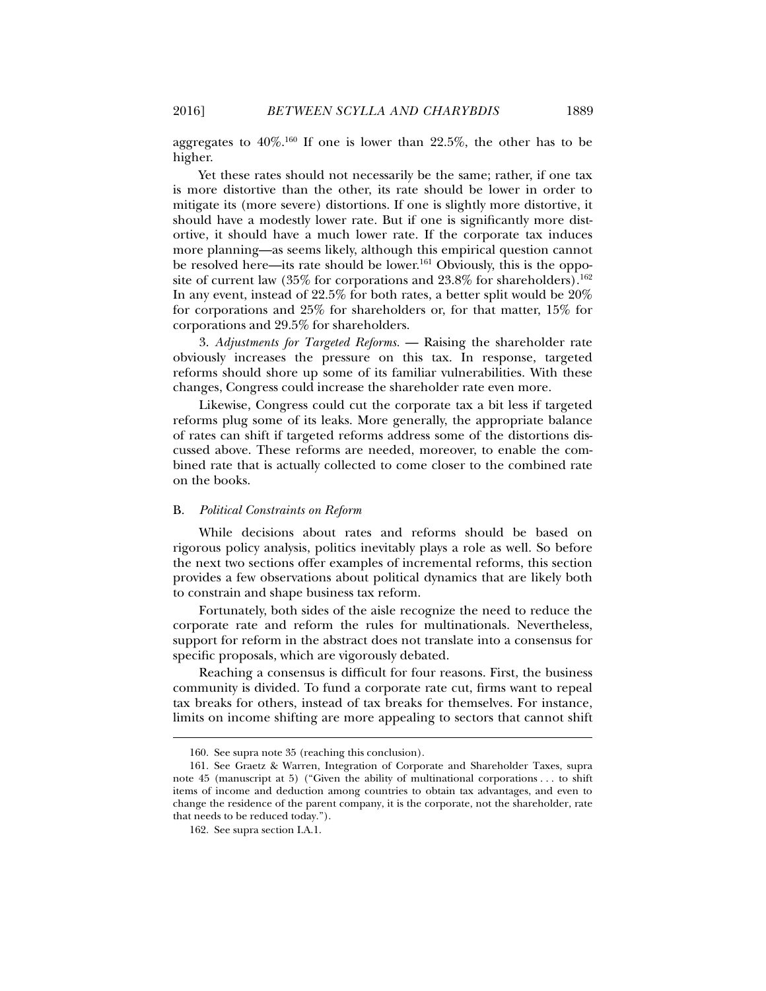aggregates to  $40\%$ <sup>160</sup> If one is lower than  $22.5\%$ , the other has to be higher.

Yet these rates should not necessarily be the same; rather, if one tax is more distortive than the other, its rate should be lower in order to mitigate its (more severe) distortions. If one is slightly more distortive, it should have a modestly lower rate. But if one is significantly more distortive, it should have a much lower rate. If the corporate tax induces more planning—as seems likely, although this empirical question cannot be resolved here—its rate should be lower.<sup>161</sup> Obviously, this is the opposite of current law (35% for corporations and  $23.8\%$  for shareholders).<sup>162</sup> In any event, instead of 22.5% for both rates, a better split would be 20% for corporations and 25% for shareholders or, for that matter, 15% for corporations and 29.5% for shareholders.

3. *Adjustments for Targeted Reforms.* — Raising the shareholder rate obviously increases the pressure on this tax. In response, targeted reforms should shore up some of its familiar vulnerabilities. With these changes, Congress could increase the shareholder rate even more.

Likewise, Congress could cut the corporate tax a bit less if targeted reforms plug some of its leaks. More generally, the appropriate balance of rates can shift if targeted reforms address some of the distortions discussed above. These reforms are needed, moreover, to enable the combined rate that is actually collected to come closer to the combined rate on the books.

#### B. *Political Constraints on Reform*

While decisions about rates and reforms should be based on rigorous policy analysis, politics inevitably plays a role as well. So before the next two sections offer examples of incremental reforms, this section provides a few observations about political dynamics that are likely both to constrain and shape business tax reform.

Fortunately, both sides of the aisle recognize the need to reduce the corporate rate and reform the rules for multinationals. Nevertheless, support for reform in the abstract does not translate into a consensus for specific proposals, which are vigorously debated.

Reaching a consensus is difficult for four reasons. First, the business community is divided. To fund a corporate rate cut, firms want to repeal tax breaks for others, instead of tax breaks for themselves. For instance, limits on income shifting are more appealing to sectors that cannot shift

 <sup>160.</sup> See supra note 35 (reaching this conclusion).

 <sup>161.</sup> See Graetz & Warren, Integration of Corporate and Shareholder Taxes, supra note 45 (manuscript at 5) ("Given the ability of multinational corporations . . . to shift items of income and deduction among countries to obtain tax advantages, and even to change the residence of the parent company, it is the corporate, not the shareholder, rate that needs to be reduced today.").

 <sup>162.</sup> See supra section I.A.1.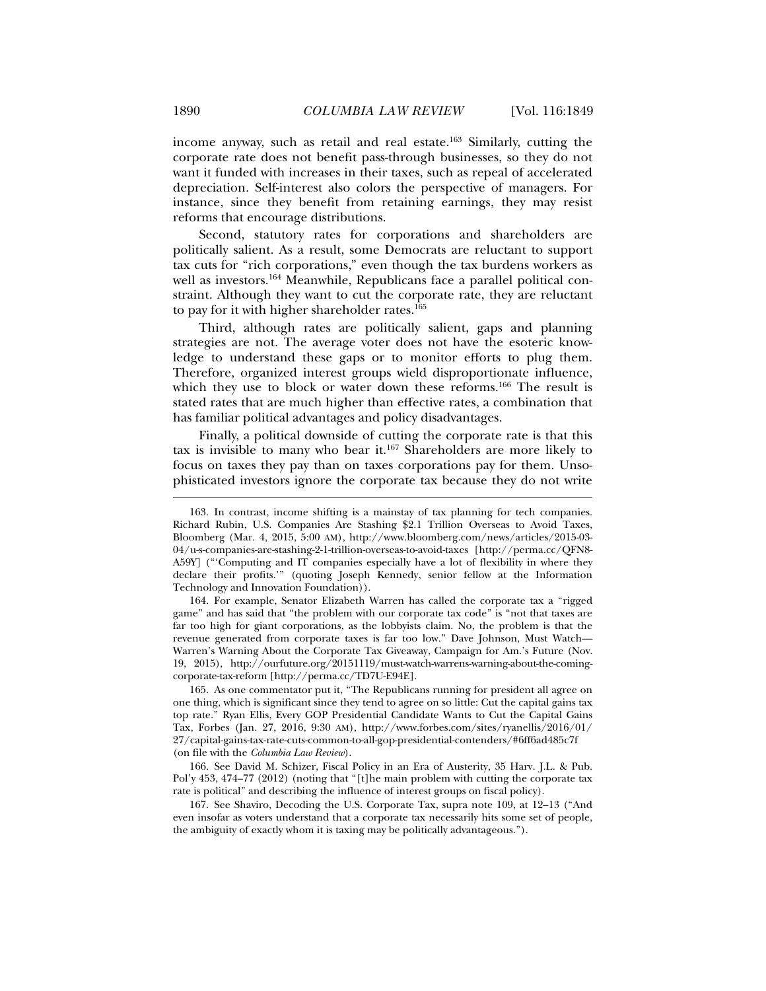income anyway, such as retail and real estate.163 Similarly, cutting the corporate rate does not benefit pass-through businesses, so they do not want it funded with increases in their taxes, such as repeal of accelerated depreciation. Self-interest also colors the perspective of managers. For instance, since they benefit from retaining earnings, they may resist reforms that encourage distributions.

Second, statutory rates for corporations and shareholders are politically salient. As a result, some Democrats are reluctant to support tax cuts for "rich corporations," even though the tax burdens workers as well as investors.<sup>164</sup> Meanwhile, Republicans face a parallel political constraint. Although they want to cut the corporate rate, they are reluctant to pay for it with higher shareholder rates.<sup>165</sup>

Third, although rates are politically salient, gaps and planning strategies are not. The average voter does not have the esoteric knowledge to understand these gaps or to monitor efforts to plug them. Therefore, organized interest groups wield disproportionate influence, which they use to block or water down these reforms.<sup>166</sup> The result is stated rates that are much higher than effective rates, a combination that has familiar political advantages and policy disadvantages.

Finally, a political downside of cutting the corporate rate is that this tax is invisible to many who bear it.<sup>167</sup> Shareholders are more likely to focus on taxes they pay than on taxes corporations pay for them. Unsophisticated investors ignore the corporate tax because they do not write

 164. For example, Senator Elizabeth Warren has called the corporate tax a "rigged game" and has said that "the problem with our corporate tax code" is "not that taxes are far too high for giant corporations, as the lobbyists claim. No, the problem is that the revenue generated from corporate taxes is far too low." Dave Johnson, Must Watch— Warren's Warning About the Corporate Tax Giveaway, Campaign for Am.'s Future (Nov. 19, 2015), http://ourfuture.org/20151119/must-watch-warrens-warning-about-the-comingcorporate-tax-reform [http://perma.cc/TD7U-E94E].

 165. As one commentator put it, "The Republicans running for president all agree on one thing, which is significant since they tend to agree on so little: Cut the capital gains tax top rate." Ryan Ellis, Every GOP Presidential Candidate Wants to Cut the Capital Gains Tax, Forbes (Jan. 27, 2016, 9:30 AM), http://www.forbes.com/sites/ryanellis/2016/01/ 27/capital-gains-tax-rate-cuts-common-to-all-gop-presidential-contenders/#6ff6ad485c7f (on file with the *Columbia Law Review*).

 166. See David M. Schizer, Fiscal Policy in an Era of Austerity, 35 Harv. J.L. & Pub. Pol'y 453, 474–77 (2012) (noting that "[t]he main problem with cutting the corporate tax rate is political" and describing the influence of interest groups on fiscal policy).

 167. See Shaviro, Decoding the U.S. Corporate Tax, supra note 109, at 12–13 ("And even insofar as voters understand that a corporate tax necessarily hits some set of people, the ambiguity of exactly whom it is taxing may be politically advantageous.").

 <sup>163.</sup> In contrast, income shifting is a mainstay of tax planning for tech companies. Richard Rubin, U.S. Companies Are Stashing \$2.1 Trillion Overseas to Avoid Taxes, Bloomberg (Mar. 4, 2015, 5:00 AM), http://www.bloomberg.com/news/articles/2015-03- 04/u-s-companies-are-stashing-2-1-trillion-overseas-to-avoid-taxes [http://perma.cc/QFN8- A59Y] ("'Computing and IT companies especially have a lot of flexibility in where they declare their profits.'" (quoting Joseph Kennedy, senior fellow at the Information Technology and Innovation Foundation)).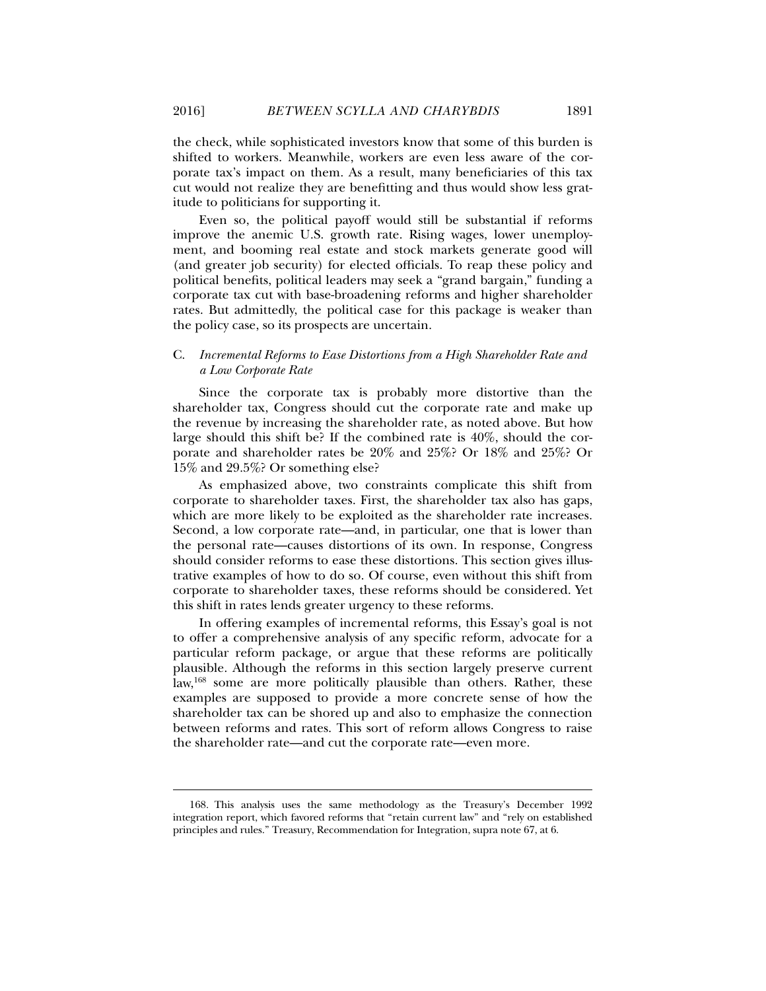the check, while sophisticated investors know that some of this burden is shifted to workers. Meanwhile, workers are even less aware of the corporate tax's impact on them. As a result, many beneficiaries of this tax cut would not realize they are benefitting and thus would show less gratitude to politicians for supporting it.

Even so, the political payoff would still be substantial if reforms improve the anemic U.S. growth rate. Rising wages, lower unemployment, and booming real estate and stock markets generate good will (and greater job security) for elected officials. To reap these policy and political benefits, political leaders may seek a "grand bargain," funding a corporate tax cut with base-broadening reforms and higher shareholder rates. But admittedly, the political case for this package is weaker than the policy case, so its prospects are uncertain.

#### C. *Incremental Reforms to Ease Distortions from a High Shareholder Rate and a Low Corporate Rate*

Since the corporate tax is probably more distortive than the shareholder tax, Congress should cut the corporate rate and make up the revenue by increasing the shareholder rate, as noted above. But how large should this shift be? If the combined rate is 40%, should the corporate and shareholder rates be 20% and 25%? Or 18% and 25%? Or 15% and 29.5%? Or something else?

As emphasized above, two constraints complicate this shift from corporate to shareholder taxes. First, the shareholder tax also has gaps, which are more likely to be exploited as the shareholder rate increases. Second, a low corporate rate—and, in particular, one that is lower than the personal rate—causes distortions of its own. In response, Congress should consider reforms to ease these distortions. This section gives illustrative examples of how to do so. Of course, even without this shift from corporate to shareholder taxes, these reforms should be considered. Yet this shift in rates lends greater urgency to these reforms.

In offering examples of incremental reforms, this Essay's goal is not to offer a comprehensive analysis of any specific reform, advocate for a particular reform package, or argue that these reforms are politically plausible. Although the reforms in this section largely preserve current law,168 some are more politically plausible than others. Rather, these examples are supposed to provide a more concrete sense of how the shareholder tax can be shored up and also to emphasize the connection between reforms and rates. This sort of reform allows Congress to raise the shareholder rate—and cut the corporate rate—even more.

 <sup>168.</sup> This analysis uses the same methodology as the Treasury's December 1992 integration report, which favored reforms that "retain current law" and "rely on established principles and rules." Treasury, Recommendation for Integration, supra note 67, at 6.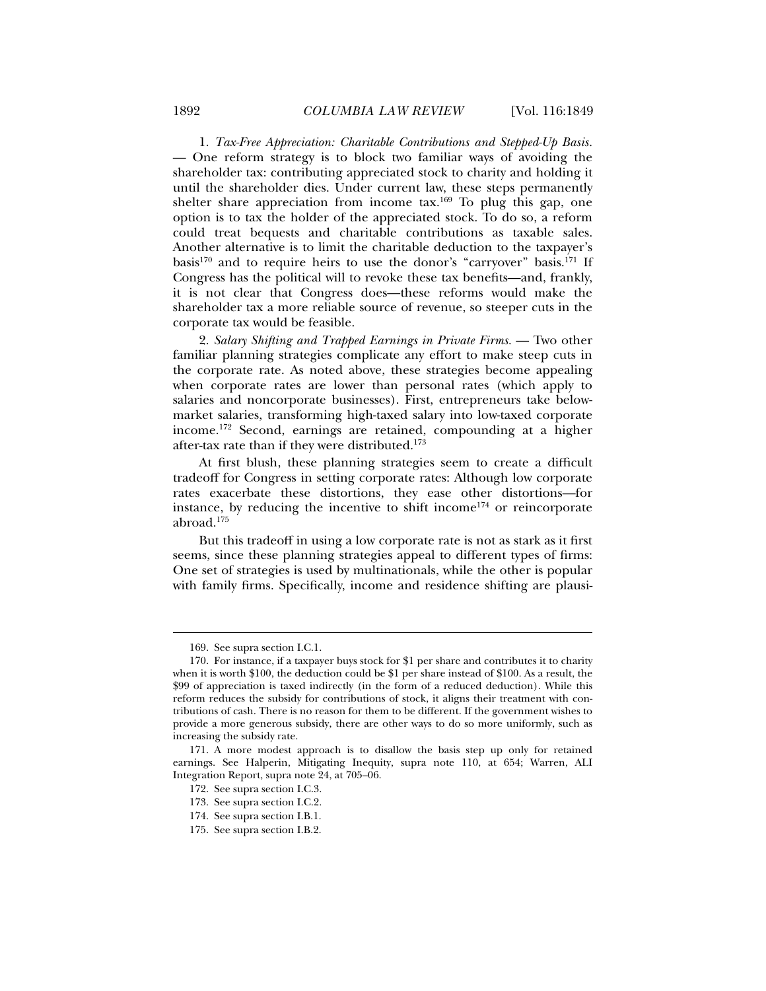1. *Tax-Free Appreciation: Charitable Contributions and Stepped-Up Basis.* — One reform strategy is to block two familiar ways of avoiding the shareholder tax: contributing appreciated stock to charity and holding it until the shareholder dies. Under current law, these steps permanently shelter share appreciation from income tax.<sup>169</sup> To plug this gap, one option is to tax the holder of the appreciated stock. To do so, a reform could treat bequests and charitable contributions as taxable sales. Another alternative is to limit the charitable deduction to the taxpayer's basis<sup>170</sup> and to require heirs to use the donor's "carryover" basis.<sup>171</sup> If Congress has the political will to revoke these tax benefits—and, frankly, it is not clear that Congress does—these reforms would make the shareholder tax a more reliable source of revenue, so steeper cuts in the corporate tax would be feasible.

2. *Salary Shifting and Trapped Earnings in Private Firms.* — Two other familiar planning strategies complicate any effort to make steep cuts in the corporate rate. As noted above, these strategies become appealing when corporate rates are lower than personal rates (which apply to salaries and noncorporate businesses). First, entrepreneurs take belowmarket salaries, transforming high-taxed salary into low-taxed corporate income.172 Second, earnings are retained, compounding at a higher after-tax rate than if they were distributed.<sup>173</sup>

At first blush, these planning strategies seem to create a difficult tradeoff for Congress in setting corporate rates: Although low corporate rates exacerbate these distortions, they ease other distortions—for instance, by reducing the incentive to shift income<sup>174</sup> or reincorporate abroad.175

But this tradeoff in using a low corporate rate is not as stark as it first seems, since these planning strategies appeal to different types of firms: One set of strategies is used by multinationals, while the other is popular with family firms. Specifically, income and residence shifting are plausi-

 <sup>169.</sup> See supra section I.C.1.

 <sup>170.</sup> For instance, if a taxpayer buys stock for \$1 per share and contributes it to charity when it is worth \$100, the deduction could be \$1 per share instead of \$100. As a result, the \$99 of appreciation is taxed indirectly (in the form of a reduced deduction). While this reform reduces the subsidy for contributions of stock, it aligns their treatment with contributions of cash. There is no reason for them to be different. If the government wishes to provide a more generous subsidy, there are other ways to do so more uniformly, such as increasing the subsidy rate.

 <sup>171.</sup> A more modest approach is to disallow the basis step up only for retained earnings. See Halperin, Mitigating Inequity, supra note 110, at 654; Warren, ALI Integration Report, supra note 24, at 705–06.

 <sup>172.</sup> See supra section I.C.3.

 <sup>173.</sup> See supra section I.C.2.

 <sup>174.</sup> See supra section I.B.1.

 <sup>175.</sup> See supra section I.B.2.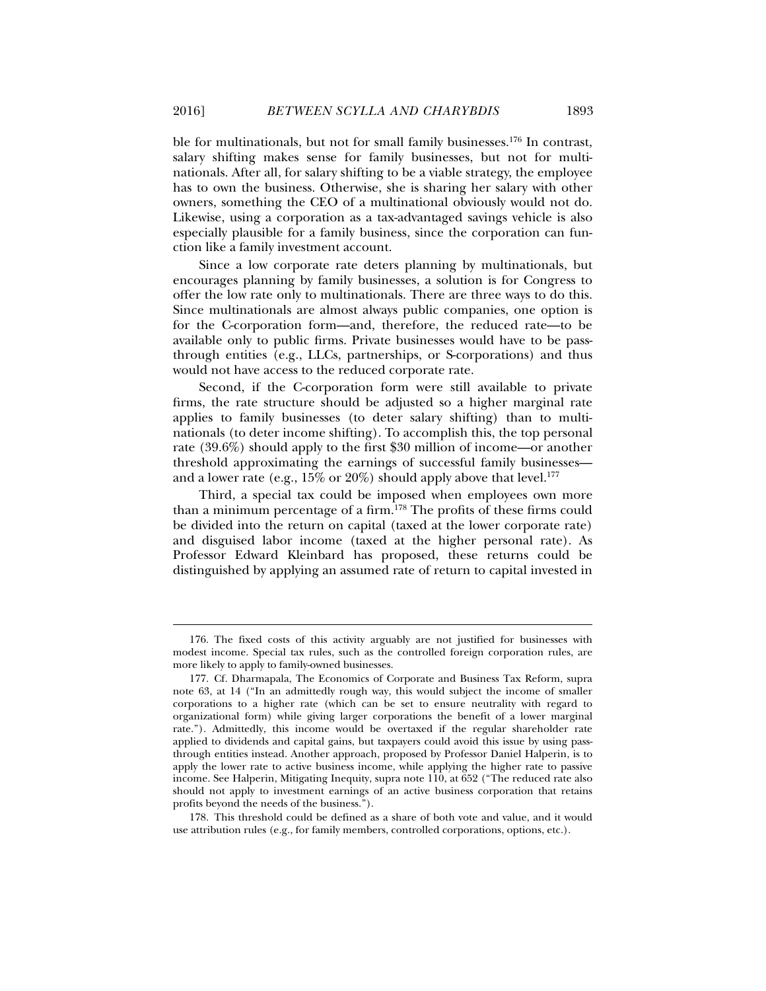ble for multinationals, but not for small family businesses.<sup>176</sup> In contrast, salary shifting makes sense for family businesses, but not for multinationals. After all, for salary shifting to be a viable strategy, the employee has to own the business. Otherwise, she is sharing her salary with other owners, something the CEO of a multinational obviously would not do. Likewise, using a corporation as a tax-advantaged savings vehicle is also especially plausible for a family business, since the corporation can function like a family investment account.

Since a low corporate rate deters planning by multinationals, but encourages planning by family businesses, a solution is for Congress to offer the low rate only to multinationals. There are three ways to do this. Since multinationals are almost always public companies, one option is for the C-corporation form—and, therefore, the reduced rate—to be available only to public firms. Private businesses would have to be passthrough entities (e.g., LLCs, partnerships, or S-corporations) and thus would not have access to the reduced corporate rate.

Second, if the C-corporation form were still available to private firms, the rate structure should be adjusted so a higher marginal rate applies to family businesses (to deter salary shifting) than to multinationals (to deter income shifting). To accomplish this, the top personal rate (39.6%) should apply to the first \$30 million of income—or another threshold approximating the earnings of successful family businesses and a lower rate (e.g.,  $15\%$  or  $20\%$ ) should apply above that level.<sup>177</sup>

Third, a special tax could be imposed when employees own more than a minimum percentage of a firm.178 The profits of these firms could be divided into the return on capital (taxed at the lower corporate rate) and disguised labor income (taxed at the higher personal rate). As Professor Edward Kleinbard has proposed, these returns could be distinguished by applying an assumed rate of return to capital invested in

 <sup>176.</sup> The fixed costs of this activity arguably are not justified for businesses with modest income. Special tax rules, such as the controlled foreign corporation rules, are more likely to apply to family-owned businesses.

 <sup>177.</sup> Cf. Dharmapala, The Economics of Corporate and Business Tax Reform, supra note 63, at 14 ("In an admittedly rough way, this would subject the income of smaller corporations to a higher rate (which can be set to ensure neutrality with regard to organizational form) while giving larger corporations the benefit of a lower marginal rate."). Admittedly, this income would be overtaxed if the regular shareholder rate applied to dividends and capital gains, but taxpayers could avoid this issue by using passthrough entities instead. Another approach, proposed by Professor Daniel Halperin, is to apply the lower rate to active business income, while applying the higher rate to passive income. See Halperin, Mitigating Inequity, supra note 110, at 652 ("The reduced rate also should not apply to investment earnings of an active business corporation that retains profits beyond the needs of the business.").

 <sup>178.</sup> This threshold could be defined as a share of both vote and value, and it would use attribution rules (e.g., for family members, controlled corporations, options, etc.).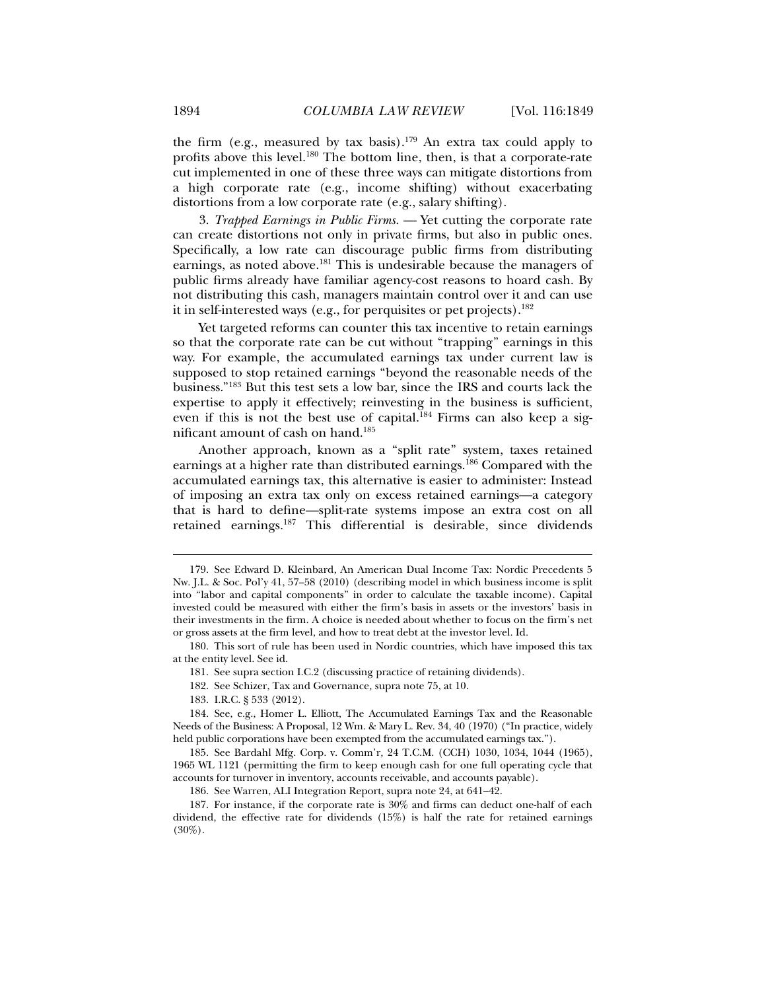the firm (e.g., measured by tax basis).<sup>179</sup> An extra tax could apply to profits above this level.180 The bottom line, then, is that a corporate-rate cut implemented in one of these three ways can mitigate distortions from a high corporate rate (e.g., income shifting) without exacerbating distortions from a low corporate rate (e.g., salary shifting).

3. *Trapped Earnings in Public Firms.* — Yet cutting the corporate rate can create distortions not only in private firms, but also in public ones. Specifically, a low rate can discourage public firms from distributing earnings, as noted above.<sup>181</sup> This is undesirable because the managers of public firms already have familiar agency-cost reasons to hoard cash. By not distributing this cash, managers maintain control over it and can use it in self-interested ways (e.g., for perquisites or pet projects).<sup>182</sup>

Yet targeted reforms can counter this tax incentive to retain earnings so that the corporate rate can be cut without "trapping" earnings in this way. For example, the accumulated earnings tax under current law is supposed to stop retained earnings "beyond the reasonable needs of the business."183 But this test sets a low bar, since the IRS and courts lack the expertise to apply it effectively; reinvesting in the business is sufficient, even if this is not the best use of capital.<sup>184</sup> Firms can also keep a significant amount of cash on hand.185

Another approach, known as a "split rate" system, taxes retained earnings at a higher rate than distributed earnings.186 Compared with the accumulated earnings tax, this alternative is easier to administer: Instead of imposing an extra tax only on excess retained earnings—a category that is hard to define—split-rate systems impose an extra cost on all retained earnings.187 This differential is desirable, since dividends

 <sup>179.</sup> See Edward D. Kleinbard, An American Dual Income Tax: Nordic Precedents 5 Nw. J.L. & Soc. Pol'y 41, 57–58 (2010) (describing model in which business income is split into "labor and capital components" in order to calculate the taxable income). Capital invested could be measured with either the firm's basis in assets or the investors' basis in their investments in the firm. A choice is needed about whether to focus on the firm's net or gross assets at the firm level, and how to treat debt at the investor level. Id.

 <sup>180.</sup> This sort of rule has been used in Nordic countries, which have imposed this tax at the entity level. See id.

 <sup>181.</sup> See supra section I.C.2 (discussing practice of retaining dividends).

 <sup>182.</sup> See Schizer, Tax and Governance*,* supra note 75, at 10.

 <sup>183.</sup> I.R.C. § 533 (2012).

 <sup>184.</sup> See, e.g., Homer L. Elliott, The Accumulated Earnings Tax and the Reasonable Needs of the Business: A Proposal, 12 Wm. & Mary L. Rev. 34, 40 (1970) ("In practice, widely held public corporations have been exempted from the accumulated earnings tax.").

 <sup>185.</sup> See Bardahl Mfg. Corp. v. Comm'r*,* 24 T.C.M. (CCH) 1030, 1034, 1044 (1965), 1965 WL 1121 (permitting the firm to keep enough cash for one full operating cycle that accounts for turnover in inventory, accounts receivable, and accounts payable).

 <sup>186.</sup> See Warren, ALI Integration Report, supra note 24, at 641–42.

 <sup>187.</sup> For instance, if the corporate rate is 30% and firms can deduct one-half of each dividend, the effective rate for dividends (15%) is half the rate for retained earnings  $(30\%)$ .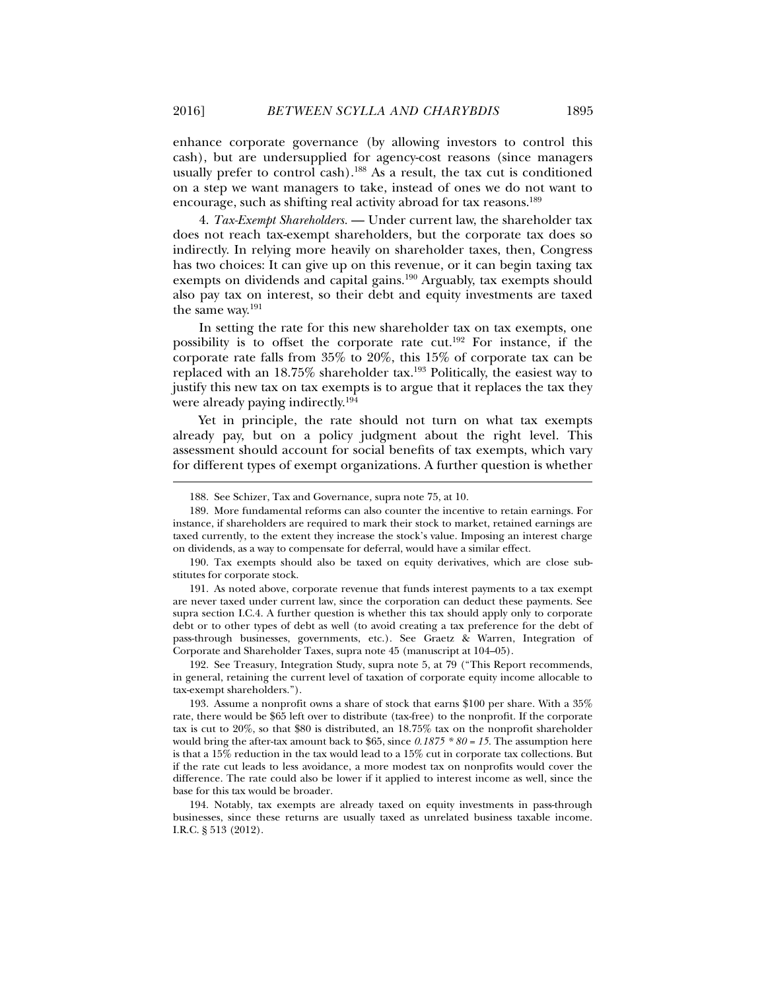enhance corporate governance (by allowing investors to control this cash), but are undersupplied for agency-cost reasons (since managers usually prefer to control cash).<sup>188</sup> As a result, the tax cut is conditioned on a step we want managers to take, instead of ones we do not want to encourage, such as shifting real activity abroad for tax reasons.189

4. *Tax-Exempt Shareholders.* — Under current law, the shareholder tax does not reach tax-exempt shareholders, but the corporate tax does so indirectly. In relying more heavily on shareholder taxes, then, Congress has two choices: It can give up on this revenue, or it can begin taxing tax exempts on dividends and capital gains.<sup>190</sup> Arguably, tax exempts should also pay tax on interest, so their debt and equity investments are taxed the same way.191

In setting the rate for this new shareholder tax on tax exempts, one possibility is to offset the corporate rate cut.192 For instance, if the corporate rate falls from 35% to 20%, this 15% of corporate tax can be replaced with an 18.75% shareholder tax.193 Politically, the easiest way to justify this new tax on tax exempts is to argue that it replaces the tax they were already paying indirectly.194

Yet in principle, the rate should not turn on what tax exempts already pay, but on a policy judgment about the right level. This assessment should account for social benefits of tax exempts, which vary for different types of exempt organizations. A further question is whether

 <sup>188.</sup> See Schizer, Tax and Governance*,* supra note 75, at 10.

 <sup>189.</sup> More fundamental reforms can also counter the incentive to retain earnings. For instance, if shareholders are required to mark their stock to market, retained earnings are taxed currently, to the extent they increase the stock's value. Imposing an interest charge on dividends, as a way to compensate for deferral, would have a similar effect.

 <sup>190.</sup> Tax exempts should also be taxed on equity derivatives, which are close substitutes for corporate stock.

 <sup>191.</sup> As noted above, corporate revenue that funds interest payments to a tax exempt are never taxed under current law, since the corporation can deduct these payments. See supra section I.C.4. A further question is whether this tax should apply only to corporate debt or to other types of debt as well (to avoid creating a tax preference for the debt of pass-through businesses, governments, etc.). See Graetz & Warren, Integration of Corporate and Shareholder Taxes, supra note 45 (manuscript at 104–05).

 <sup>192.</sup> See Treasury, Integration Study, supra note 5, at 79 ("This Report recommends, in general, retaining the current level of taxation of corporate equity income allocable to tax-exempt shareholders.").

 <sup>193.</sup> Assume a nonprofit owns a share of stock that earns \$100 per share. With a 35% rate, there would be \$65 left over to distribute (tax-free) to the nonprofit. If the corporate tax is cut to 20%, so that \$80 is distributed, an 18.75% tax on the nonprofit shareholder would bring the after-tax amount back to \$65, since *0.1875 \* 80 = 15*. The assumption here is that a 15% reduction in the tax would lead to a 15% cut in corporate tax collections. But if the rate cut leads to less avoidance, a more modest tax on nonprofits would cover the difference. The rate could also be lower if it applied to interest income as well, since the base for this tax would be broader.

 <sup>194.</sup> Notably, tax exempts are already taxed on equity investments in pass-through businesses, since these returns are usually taxed as unrelated business taxable income. I.R.C. § 513 (2012).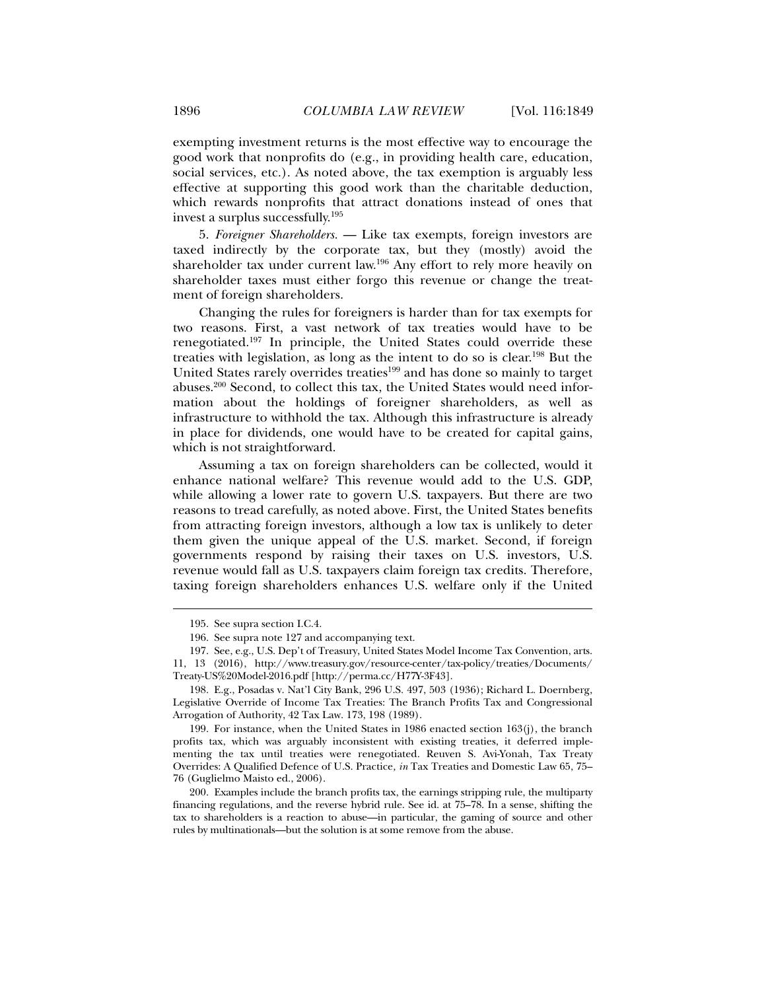exempting investment returns is the most effective way to encourage the good work that nonprofits do (e.g., in providing health care, education, social services, etc.). As noted above, the tax exemption is arguably less effective at supporting this good work than the charitable deduction, which rewards nonprofits that attract donations instead of ones that invest a surplus successfully.195

5. *Foreigner Shareholders.* — Like tax exempts, foreign investors are taxed indirectly by the corporate tax, but they (mostly) avoid the shareholder tax under current law.196 Any effort to rely more heavily on shareholder taxes must either forgo this revenue or change the treatment of foreign shareholders.

Changing the rules for foreigners is harder than for tax exempts for two reasons. First, a vast network of tax treaties would have to be renegotiated.197 In principle, the United States could override these treaties with legislation, as long as the intent to do so is clear.198 But the United States rarely overrides treaties<sup>199</sup> and has done so mainly to target abuses.200 Second, to collect this tax, the United States would need information about the holdings of foreigner shareholders, as well as infrastructure to withhold the tax. Although this infrastructure is already in place for dividends, one would have to be created for capital gains, which is not straightforward.

Assuming a tax on foreign shareholders can be collected, would it enhance national welfare? This revenue would add to the U.S. GDP, while allowing a lower rate to govern U.S. taxpayers. But there are two reasons to tread carefully, as noted above. First, the United States benefits from attracting foreign investors, although a low tax is unlikely to deter them given the unique appeal of the U.S. market. Second, if foreign governments respond by raising their taxes on U.S. investors, U.S. revenue would fall as U.S. taxpayers claim foreign tax credits. Therefore, taxing foreign shareholders enhances U.S. welfare only if the United

 <sup>195.</sup> See supra section I.C.4.

 <sup>196.</sup> See supra note 127 and accompanying text.

 <sup>197.</sup> See, e.g., U.S. Dep't of Treasury, United States Model Income Tax Convention, arts. 11, 13 (2016), http://www.treasury.gov/resource-center/tax-policy/treaties/Documents/ Treaty-US%20Model-2016.pdf [http://perma.cc/H77Y-3F43].

 <sup>198.</sup> E.g., Posadas v. Nat'l City Bank, 296 U.S. 497, 503 (1936); Richard L. Doernberg, Legislative Override of Income Tax Treaties: The Branch Profits Tax and Congressional Arrogation of Authority, 42 Tax Law. 173, 198 (1989).

 <sup>199.</sup> For instance, when the United States in 1986 enacted section 163(j), the branch profits tax, which was arguably inconsistent with existing treaties, it deferred implementing the tax until treaties were renegotiated. Reuven S. Avi-Yonah, Tax Treaty Overrides: A Qualified Defence of U.S. Practice*, in* Tax Treaties and Domestic Law 65, 75– 76 (Guglielmo Maisto ed., 2006).

 <sup>200.</sup> Examples include the branch profits tax, the earnings stripping rule, the multiparty financing regulations, and the reverse hybrid rule. See id. at 75–78. In a sense, shifting the tax to shareholders is a reaction to abuse—in particular, the gaming of source and other rules by multinationals—but the solution is at some remove from the abuse.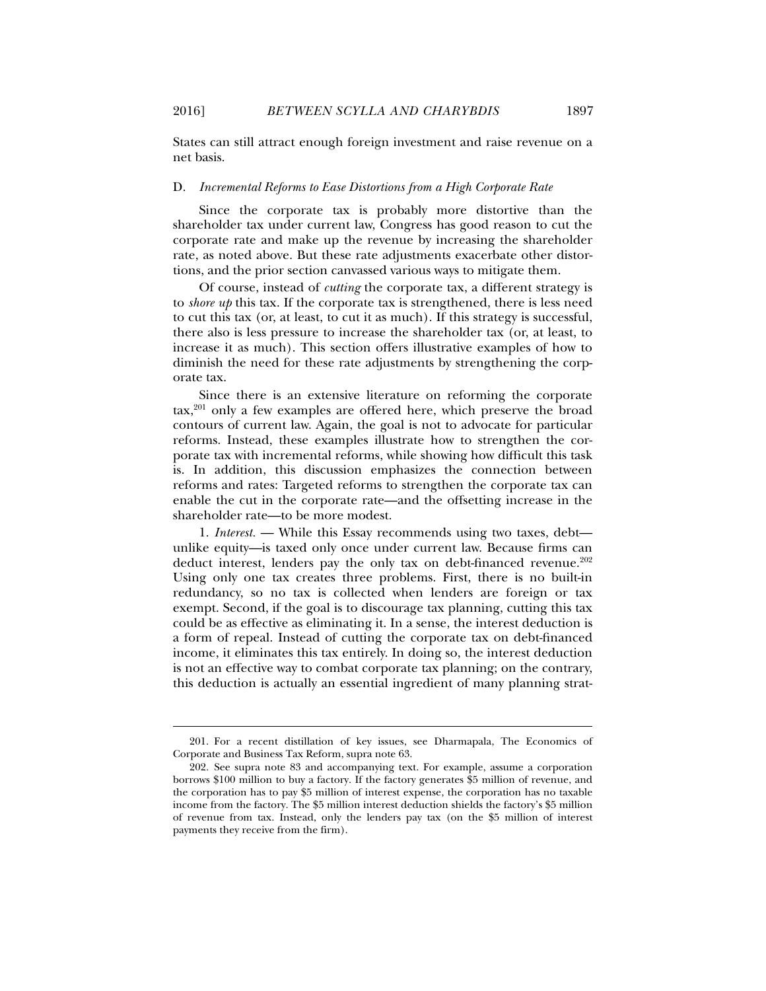States can still attract enough foreign investment and raise revenue on a net basis.

#### D. *Incremental Reforms to Ease Distortions from a High Corporate Rate*

Since the corporate tax is probably more distortive than the shareholder tax under current law, Congress has good reason to cut the corporate rate and make up the revenue by increasing the shareholder rate, as noted above. But these rate adjustments exacerbate other distortions, and the prior section canvassed various ways to mitigate them.

Of course, instead of *cutting* the corporate tax, a different strategy is to *shore up* this tax. If the corporate tax is strengthened, there is less need to cut this tax (or, at least, to cut it as much). If this strategy is successful, there also is less pressure to increase the shareholder tax (or, at least, to increase it as much). This section offers illustrative examples of how to diminish the need for these rate adjustments by strengthening the corporate tax.

Since there is an extensive literature on reforming the corporate  $\text{tax},^{201}$  only a few examples are offered here, which preserve the broad contours of current law. Again, the goal is not to advocate for particular reforms. Instead, these examples illustrate how to strengthen the corporate tax with incremental reforms, while showing how difficult this task is. In addition, this discussion emphasizes the connection between reforms and rates: Targeted reforms to strengthen the corporate tax can enable the cut in the corporate rate—and the offsetting increase in the shareholder rate—to be more modest.

1. *Interest.* — While this Essay recommends using two taxes, debt unlike equity—is taxed only once under current law. Because firms can deduct interest, lenders pay the only tax on debt-financed revenue.<sup>202</sup> Using only one tax creates three problems. First, there is no built-in redundancy, so no tax is collected when lenders are foreign or tax exempt. Second, if the goal is to discourage tax planning, cutting this tax could be as effective as eliminating it. In a sense, the interest deduction is a form of repeal. Instead of cutting the corporate tax on debt-financed income, it eliminates this tax entirely. In doing so, the interest deduction is not an effective way to combat corporate tax planning; on the contrary, this deduction is actually an essential ingredient of many planning strat-

 <sup>201.</sup> For a recent distillation of key issues, see Dharmapala, The Economics of Corporate and Business Tax Reform, supra note 63.

 <sup>202.</sup> See supra note 83 and accompanying text. For example, assume a corporation borrows \$100 million to buy a factory. If the factory generates \$5 million of revenue, and the corporation has to pay \$5 million of interest expense, the corporation has no taxable income from the factory. The \$5 million interest deduction shields the factory's \$5 million of revenue from tax. Instead, only the lenders pay tax (on the \$5 million of interest payments they receive from the firm).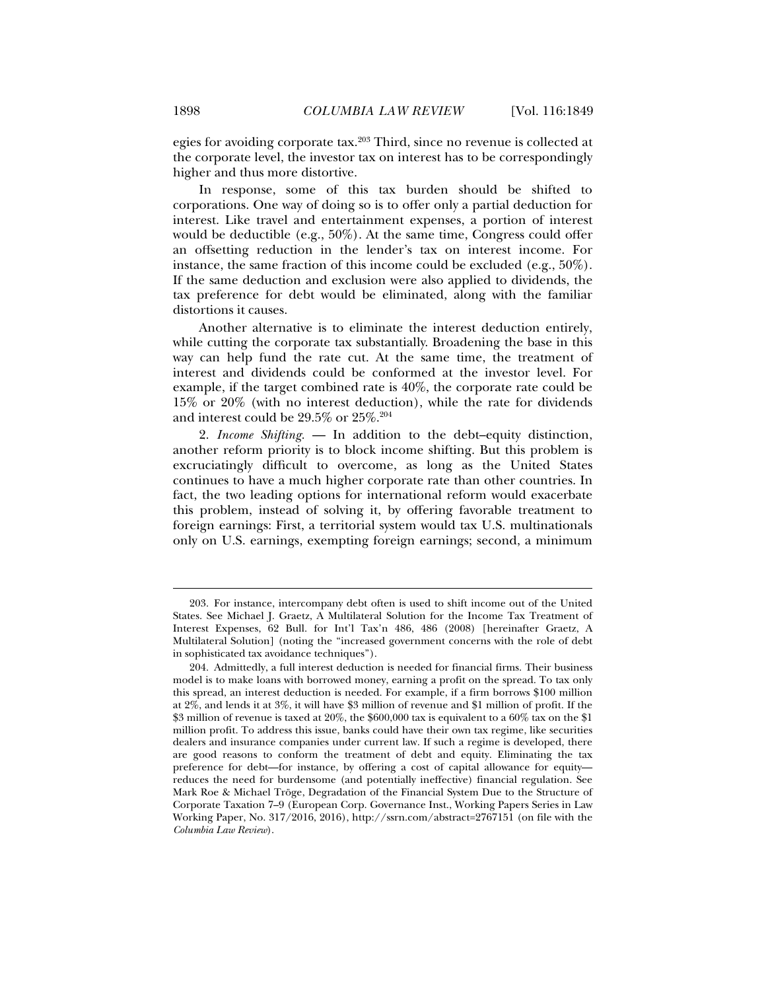egies for avoiding corporate tax.203 Third, since no revenue is collected at the corporate level, the investor tax on interest has to be correspondingly higher and thus more distortive.

In response, some of this tax burden should be shifted to corporations. One way of doing so is to offer only a partial deduction for interest. Like travel and entertainment expenses, a portion of interest would be deductible (e.g., 50%). At the same time, Congress could offer an offsetting reduction in the lender's tax on interest income. For instance, the same fraction of this income could be excluded (e.g., 50%). If the same deduction and exclusion were also applied to dividends, the tax preference for debt would be eliminated, along with the familiar distortions it causes.

Another alternative is to eliminate the interest deduction entirely, while cutting the corporate tax substantially. Broadening the base in this way can help fund the rate cut. At the same time, the treatment of interest and dividends could be conformed at the investor level. For example, if the target combined rate is 40%, the corporate rate could be 15% or 20% (with no interest deduction), while the rate for dividends and interest could be 29.5% or 25%.204

2. *Income Shifting.* — In addition to the debt–equity distinction, another reform priority is to block income shifting. But this problem is excruciatingly difficult to overcome, as long as the United States continues to have a much higher corporate rate than other countries. In fact, the two leading options for international reform would exacerbate this problem, instead of solving it, by offering favorable treatment to foreign earnings: First, a territorial system would tax U.S. multinationals only on U.S. earnings, exempting foreign earnings; second, a minimum

 <sup>203.</sup> For instance, intercompany debt often is used to shift income out of the United States. See Michael J. Graetz, A Multilateral Solution for the Income Tax Treatment of Interest Expenses, 62 Bull. for Int'l Tax'n 486, 486 (2008) [hereinafter Graetz, A Multilateral Solution] (noting the "increased government concerns with the role of debt in sophisticated tax avoidance techniques").

 <sup>204.</sup> Admittedly, a full interest deduction is needed for financial firms. Their business model is to make loans with borrowed money, earning a profit on the spread. To tax only this spread, an interest deduction is needed. For example, if a firm borrows \$100 million at 2%, and lends it at 3%, it will have \$3 million of revenue and \$1 million of profit. If the \$3 million of revenue is taxed at 20%, the \$600,000 tax is equivalent to a 60% tax on the \$1 million profit. To address this issue, banks could have their own tax regime, like securities dealers and insurance companies under current law. If such a regime is developed, there are good reasons to conform the treatment of debt and equity. Eliminating the tax preference for debt—for instance, by offering a cost of capital allowance for equity reduces the need for burdensome (and potentially ineffective) financial regulation. See Mark Roe & Michael Tröge, Degradation of the Financial System Due to the Structure of Corporate Taxation 7–9 (European Corp. Governance Inst., Working Papers Series in Law Working Paper, No. 317/2016, 2016), http://ssrn.com/abstract=2767151 (on file with the *Columbia Law Review*).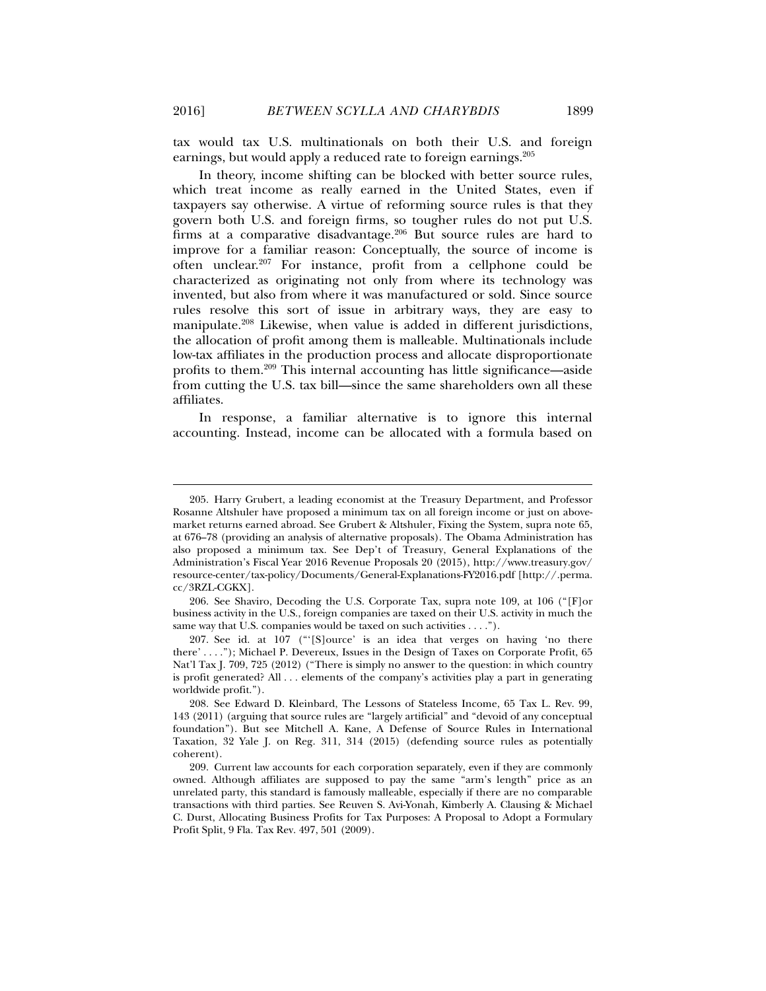tax would tax U.S. multinationals on both their U.S. and foreign earnings, but would apply a reduced rate to foreign earnings.205

In theory, income shifting can be blocked with better source rules, which treat income as really earned in the United States, even if taxpayers say otherwise. A virtue of reforming source rules is that they govern both U.S. and foreign firms, so tougher rules do not put U.S. firms at a comparative disadvantage. $206$  But source rules are hard to improve for a familiar reason: Conceptually, the source of income is often unclear.207 For instance, profit from a cellphone could be characterized as originating not only from where its technology was invented, but also from where it was manufactured or sold. Since source rules resolve this sort of issue in arbitrary ways, they are easy to manipulate.208 Likewise, when value is added in different jurisdictions, the allocation of profit among them is malleable. Multinationals include low-tax affiliates in the production process and allocate disproportionate profits to them.209 This internal accounting has little significance—aside from cutting the U.S. tax bill—since the same shareholders own all these affiliates.

In response, a familiar alternative is to ignore this internal accounting. Instead, income can be allocated with a formula based on

 <sup>205.</sup> Harry Grubert, a leading economist at the Treasury Department, and Professor Rosanne Altshuler have proposed a minimum tax on all foreign income or just on abovemarket returns earned abroad. See Grubert & Altshuler, Fixing the System, supra note 65, at 676–78 (providing an analysis of alternative proposals). The Obama Administration has also proposed a minimum tax. See Dep't of Treasury, General Explanations of the Administration's Fiscal Year 2016 Revenue Proposals 20 (2015), http://www.treasury.gov/ resource-center/tax-policy/Documents/General-Explanations-FY2016.pdf [http://.perma. cc/3RZL-CGKX].

 <sup>206.</sup> See Shaviro, Decoding the U.S. Corporate Tax, supra note 109, at 106 ("[F]or business activity in the U.S., foreign companies are taxed on their U.S. activity in much the same way that U.S. companies would be taxed on such activities . . . .").

 <sup>207.</sup> See id. at 107 ("'[S]ource' is an idea that verges on having 'no there there' . . . ."); Michael P. Devereux, Issues in the Design of Taxes on Corporate Profit, 65 Nat'l Tax J. 709, 725 (2012) ("There is simply no answer to the question: in which country is profit generated? All . . . elements of the company's activities play a part in generating worldwide profit.").

 <sup>208.</sup> See Edward D. Kleinbard, The Lessons of Stateless Income, 65 Tax L. Rev. 99, 143 (2011) (arguing that source rules are "largely artificial" and "devoid of any conceptual foundation"). But see Mitchell A. Kane, A Defense of Source Rules in International Taxation, 32 Yale J. on Reg. 311, 314 (2015) (defending source rules as potentially coherent).

 <sup>209.</sup> Current law accounts for each corporation separately, even if they are commonly owned. Although affiliates are supposed to pay the same "arm's length" price as an unrelated party, this standard is famously malleable, especially if there are no comparable transactions with third parties. See Reuven S. Avi-Yonah, Kimberly A. Clausing & Michael C. Durst, Allocating Business Profits for Tax Purposes: A Proposal to Adopt a Formulary Profit Split, 9 Fla. Tax Rev. 497, 501 (2009).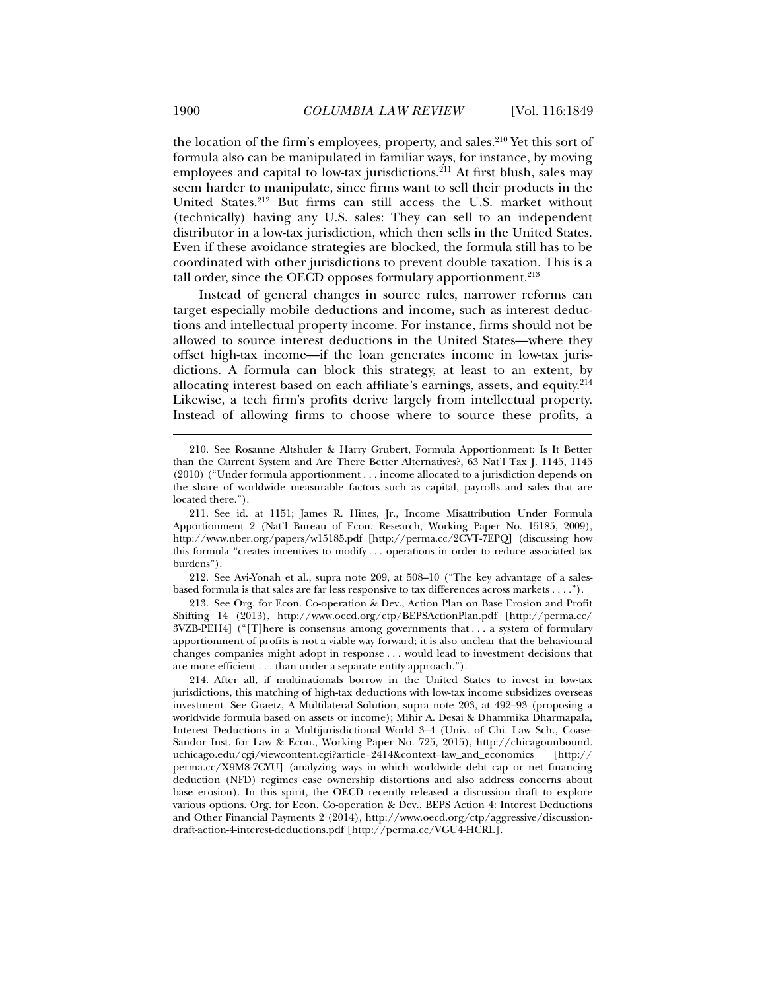the location of the firm's employees, property, and sales.<sup>210</sup> Yet this sort of formula also can be manipulated in familiar ways, for instance, by moving employees and capital to low-tax jurisdictions.<sup>211</sup> At first blush, sales may seem harder to manipulate, since firms want to sell their products in the United States.212 But firms can still access the U.S. market without (technically) having any U.S. sales: They can sell to an independent distributor in a low-tax jurisdiction, which then sells in the United States. Even if these avoidance strategies are blocked, the formula still has to be coordinated with other jurisdictions to prevent double taxation. This is a tall order, since the OECD opposes formulary apportionment. $213$ 

Instead of general changes in source rules, narrower reforms can target especially mobile deductions and income, such as interest deductions and intellectual property income. For instance, firms should not be allowed to source interest deductions in the United States—where they offset high-tax income—if the loan generates income in low-tax jurisdictions. A formula can block this strategy, at least to an extent, by allocating interest based on each affiliate's earnings, assets, and equity.<sup>214</sup> Likewise, a tech firm's profits derive largely from intellectual property. Instead of allowing firms to choose where to source these profits, a

 212. See Avi-Yonah et al., supra note 209, at 508–10 ("The key advantage of a salesbased formula is that sales are far less responsive to tax differences across markets . . . .").

 213. See Org. for Econ. Co-operation & Dev., Action Plan on Base Erosion and Profit Shifting 14 (2013), http://www.oecd.org/ctp/BEPSActionPlan.pdf [http://perma.cc/ 3VZB-PEH4] ("[T]here is consensus among governments that . . . a system of formulary apportionment of profits is not a viable way forward; it is also unclear that the behavioural changes companies might adopt in response . . . would lead to investment decisions that are more efficient . . . than under a separate entity approach.").

 214. After all, if multinationals borrow in the United States to invest in low-tax jurisdictions, this matching of high-tax deductions with low-tax income subsidizes overseas investment. See Graetz, A Multilateral Solution, supra note 203, at 492–93 (proposing a worldwide formula based on assets or income); Mihir A. Desai & Dhammika Dharmapala, Interest Deductions in a Multijurisdictional World 3–4 (Univ. of Chi. Law Sch., Coase-Sandor Inst. for Law & Econ., Working Paper No. 725, 2015), http://chicagounbound. uchicago.edu/cgi/viewcontent.cgi?article=2414&context=law\_and\_economics [http:// perma.cc/X9M8-7CYU] (analyzing ways in which worldwide debt cap or net financing deduction (NFD) regimes ease ownership distortions and also address concerns about base erosion). In this spirit, the OECD recently released a discussion draft to explore various options. Org. for Econ. Co-operation & Dev., BEPS Action 4: Interest Deductions and Other Financial Payments 2 (2014), http://www.oecd.org/ctp/aggressive/discussiondraft-action-4-interest-deductions.pdf [http://perma.cc/VGU4-HCRL].

 <sup>210.</sup> See Rosanne Altshuler & Harry Grubert, Formula Apportionment: Is It Better than the Current System and Are There Better Alternatives?, 63 Nat'l Tax J. 1145, 1145 (2010) ("Under formula apportionment . . . income allocated to a jurisdiction depends on the share of worldwide measurable factors such as capital, payrolls and sales that are located there.").

 <sup>211.</sup> See id. at 1151; James R. Hines, Jr., Income Misattribution Under Formula Apportionment 2 (Nat'l Bureau of Econ. Research, Working Paper No. 15185, 2009), http://www.nber.org/papers/w15185.pdf [http://perma.cc/2CVT-7EPQ] (discussing how this formula "creates incentives to modify . . . operations in order to reduce associated tax burdens").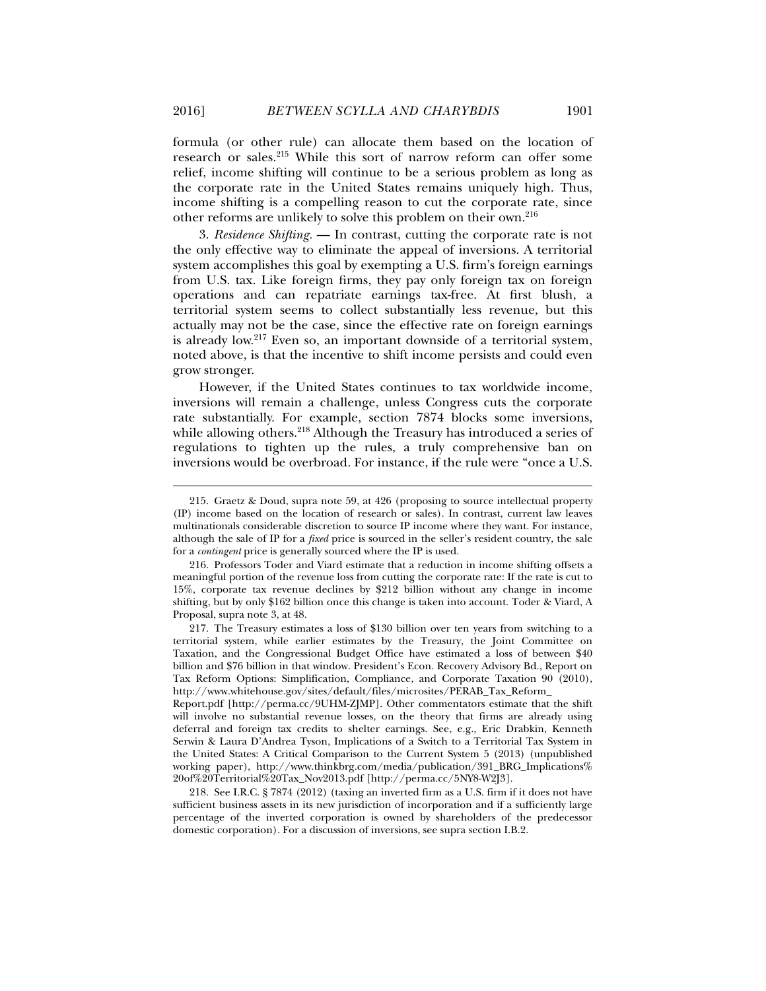formula (or other rule) can allocate them based on the location of research or sales.215 While this sort of narrow reform can offer some relief, income shifting will continue to be a serious problem as long as the corporate rate in the United States remains uniquely high. Thus, income shifting is a compelling reason to cut the corporate rate, since other reforms are unlikely to solve this problem on their own.216

3. *Residence Shifting.* — In contrast, cutting the corporate rate is not the only effective way to eliminate the appeal of inversions. A territorial system accomplishes this goal by exempting a U.S. firm's foreign earnings from U.S. tax. Like foreign firms, they pay only foreign tax on foreign operations and can repatriate earnings tax-free. At first blush, a territorial system seems to collect substantially less revenue, but this actually may not be the case, since the effective rate on foreign earnings is already low.<sup>217</sup> Even so, an important downside of a territorial system, noted above, is that the incentive to shift income persists and could even grow stronger.

However, if the United States continues to tax worldwide income, inversions will remain a challenge, unless Congress cuts the corporate rate substantially. For example, section 7874 blocks some inversions, while allowing others.<sup>218</sup> Although the Treasury has introduced a series of regulations to tighten up the rules, a truly comprehensive ban on inversions would be overbroad. For instance, if the rule were "once a U.S.

 <sup>215.</sup> Graetz & Doud, supra note 59, at 426 (proposing to source intellectual property (IP) income based on the location of research or sales). In contrast, current law leaves multinationals considerable discretion to source IP income where they want. For instance, although the sale of IP for a *fixed* price is sourced in the seller's resident country, the sale for a *contingent* price is generally sourced where the IP is used.

 <sup>216.</sup> Professors Toder and Viard estimate that a reduction in income shifting offsets a meaningful portion of the revenue loss from cutting the corporate rate: If the rate is cut to 15%, corporate tax revenue declines by \$212 billion without any change in income shifting, but by only \$162 billion once this change is taken into account. Toder & Viard, A Proposal, supra note 3, at 48.

 <sup>217.</sup> The Treasury estimates a loss of \$130 billion over ten years from switching to a territorial system, while earlier estimates by the Treasury, the Joint Committee on Taxation, and the Congressional Budget Office have estimated a loss of between \$40 billion and \$76 billion in that window. President's Econ. Recovery Advisory Bd., Report on Tax Reform Options: Simplification, Compliance, and Corporate Taxation 90 (2010), http://www.whitehouse.gov/sites/default/files/microsites/PERAB\_Tax\_Reform\_

Report.pdf [http://perma.cc/9UHM-ZJMP]. Other commentators estimate that the shift will involve no substantial revenue losses, on the theory that firms are already using deferral and foreign tax credits to shelter earnings. See, e.g., Eric Drabkin, Kenneth Serwin & Laura D'Andrea Tyson, Implications of a Switch to a Territorial Tax System in the United States: A Critical Comparison to the Current System 5 (2013) (unpublished working paper), http://www.thinkbrg.com/media/publication/391\_BRG\_Implications% 20of%20Territorial%20Tax\_Nov2013.pdf [http://perma.cc/5NY8-W2J3].

 <sup>218.</sup> See I.R.C. § 7874 (2012) (taxing an inverted firm as a U.S. firm if it does not have sufficient business assets in its new jurisdiction of incorporation and if a sufficiently large percentage of the inverted corporation is owned by shareholders of the predecessor domestic corporation). For a discussion of inversions, see supra section I.B.2.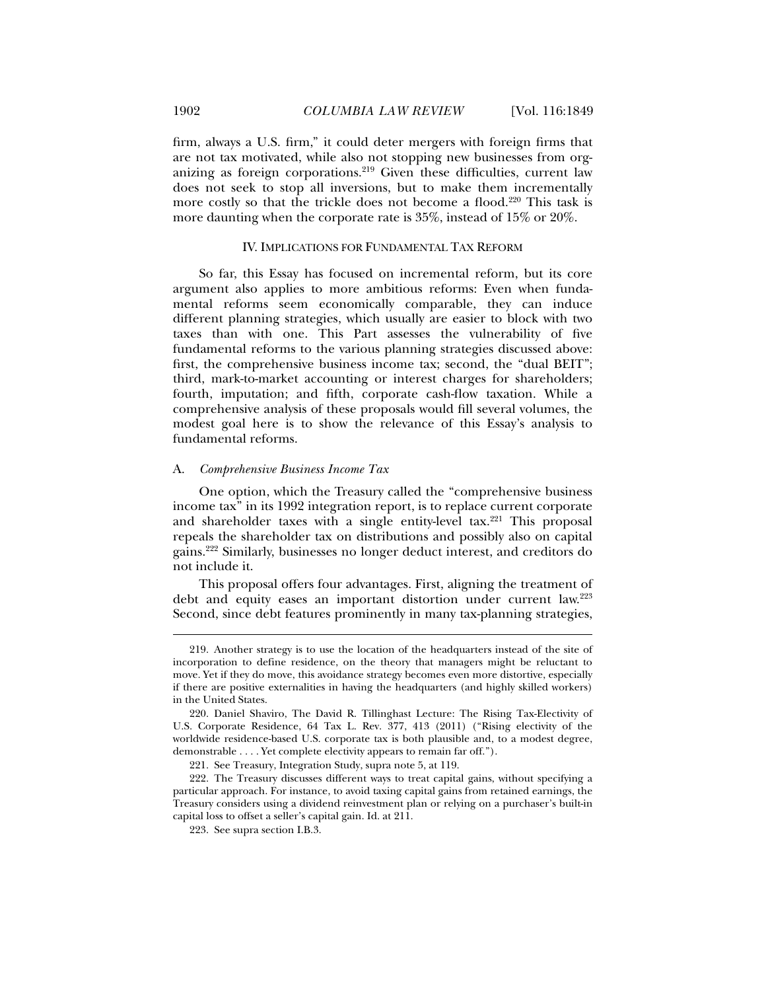firm, always a U.S. firm," it could deter mergers with foreign firms that are not tax motivated, while also not stopping new businesses from organizing as foreign corporations.219 Given these difficulties, current law does not seek to stop all inversions, but to make them incrementally more costly so that the trickle does not become a flood.<sup>220</sup> This task is more daunting when the corporate rate is 35%, instead of 15% or 20%.

#### IV. IMPLICATIONS FOR FUNDAMENTAL TAX REFORM

So far, this Essay has focused on incremental reform, but its core argument also applies to more ambitious reforms: Even when fundamental reforms seem economically comparable, they can induce different planning strategies, which usually are easier to block with two taxes than with one. This Part assesses the vulnerability of five fundamental reforms to the various planning strategies discussed above: first, the comprehensive business income tax; second, the "dual BEIT"; third, mark-to-market accounting or interest charges for shareholders; fourth, imputation; and fifth, corporate cash-flow taxation. While a comprehensive analysis of these proposals would fill several volumes, the modest goal here is to show the relevance of this Essay's analysis to fundamental reforms.

#### A. *Comprehensive Business Income Tax*

One option, which the Treasury called the "comprehensive business income tax" in its 1992 integration report, is to replace current corporate and shareholder taxes with a single entity-level tax.<sup>221</sup> This proposal repeals the shareholder tax on distributions and possibly also on capital gains.222 Similarly, businesses no longer deduct interest, and creditors do not include it.

This proposal offers four advantages. First, aligning the treatment of debt and equity eases an important distortion under current law.<sup>223</sup> Second, since debt features prominently in many tax-planning strategies,

 <sup>219.</sup> Another strategy is to use the location of the headquarters instead of the site of incorporation to define residence, on the theory that managers might be reluctant to move. Yet if they do move, this avoidance strategy becomes even more distortive, especially if there are positive externalities in having the headquarters (and highly skilled workers) in the United States.

 <sup>220.</sup> Daniel Shaviro, The David R. Tillinghast Lecture: The Rising Tax-Electivity of U.S. Corporate Residence, 64 Tax L. Rev. 377, 413 (2011) ("Rising electivity of the worldwide residence-based U.S. corporate tax is both plausible and, to a modest degree, demonstrable . . . . Yet complete electivity appears to remain far off.").

 <sup>221.</sup> See Treasury, Integration Study, supra note 5, at 119.

 <sup>222.</sup> The Treasury discusses different ways to treat capital gains, without specifying a particular approach. For instance, to avoid taxing capital gains from retained earnings, the Treasury considers using a dividend reinvestment plan or relying on a purchaser's built-in capital loss to offset a seller's capital gain. Id. at 211.

 <sup>223.</sup> See supra section I.B.3.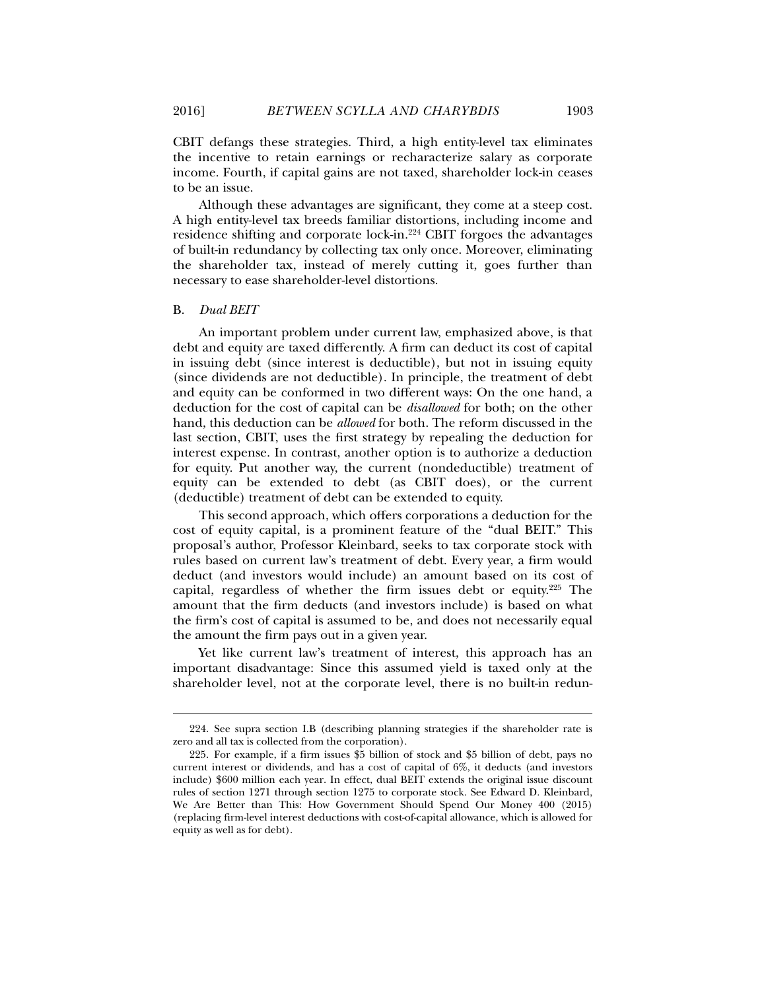CBIT defangs these strategies. Third, a high entity-level tax eliminates the incentive to retain earnings or recharacterize salary as corporate income. Fourth, if capital gains are not taxed, shareholder lock-in ceases to be an issue.

Although these advantages are significant, they come at a steep cost. A high entity-level tax breeds familiar distortions, including income and residence shifting and corporate lock-in.224 CBIT forgoes the advantages of built-in redundancy by collecting tax only once. Moreover, eliminating the shareholder tax, instead of merely cutting it, goes further than necessary to ease shareholder-level distortions.

#### B. *Dual BEIT*

l

An important problem under current law, emphasized above, is that debt and equity are taxed differently. A firm can deduct its cost of capital in issuing debt (since interest is deductible), but not in issuing equity (since dividends are not deductible). In principle, the treatment of debt and equity can be conformed in two different ways: On the one hand, a deduction for the cost of capital can be *disallowed* for both; on the other hand, this deduction can be *allowed* for both. The reform discussed in the last section, CBIT, uses the first strategy by repealing the deduction for interest expense. In contrast, another option is to authorize a deduction for equity. Put another way, the current (nondeductible) treatment of equity can be extended to debt (as CBIT does), or the current (deductible) treatment of debt can be extended to equity.

This second approach, which offers corporations a deduction for the cost of equity capital, is a prominent feature of the "dual BEIT." This proposal's author, Professor Kleinbard, seeks to tax corporate stock with rules based on current law's treatment of debt. Every year, a firm would deduct (and investors would include) an amount based on its cost of capital, regardless of whether the firm issues debt or equity.225 The amount that the firm deducts (and investors include) is based on what the firm's cost of capital is assumed to be, and does not necessarily equal the amount the firm pays out in a given year.

Yet like current law's treatment of interest, this approach has an important disadvantage: Since this assumed yield is taxed only at the shareholder level, not at the corporate level, there is no built-in redun-

 <sup>224.</sup> See supra section I.B (describing planning strategies if the shareholder rate is zero and all tax is collected from the corporation).

 <sup>225.</sup> For example, if a firm issues \$5 billion of stock and \$5 billion of debt, pays no current interest or dividends, and has a cost of capital of 6%, it deducts (and investors include) \$600 million each year. In effect, dual BEIT extends the original issue discount rules of section 1271 through section 1275 to corporate stock. See Edward D. Kleinbard, We Are Better than This: How Government Should Spend Our Money 400 (2015) (replacing firm-level interest deductions with cost-of-capital allowance, which is allowed for equity as well as for debt).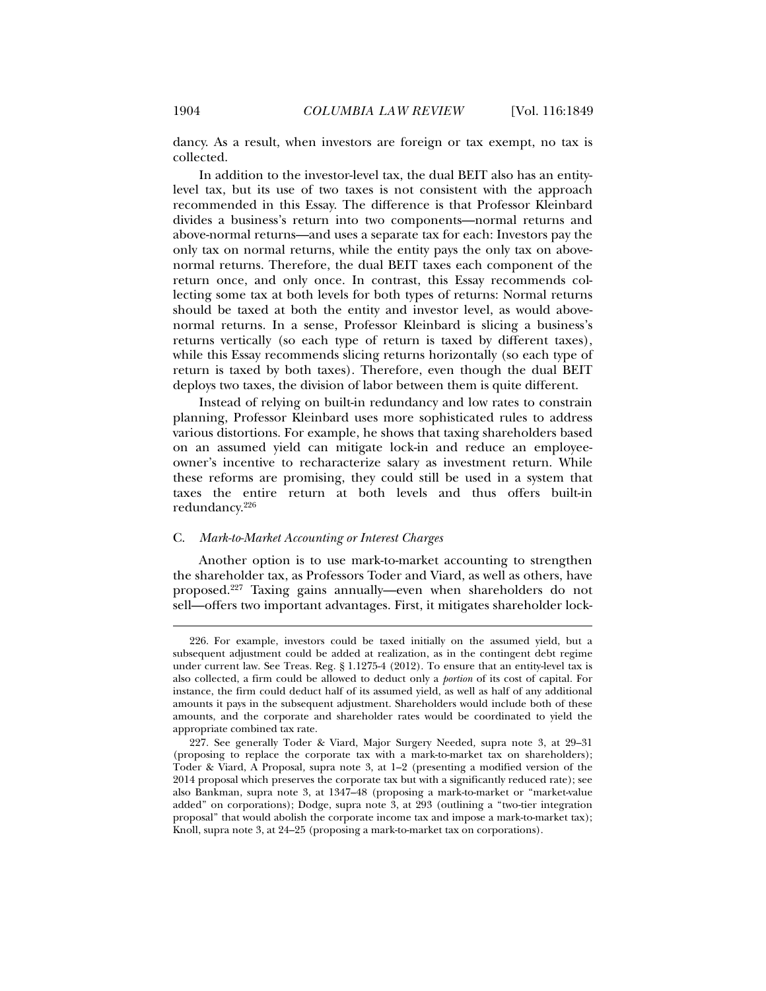dancy. As a result, when investors are foreign or tax exempt, no tax is collected.

In addition to the investor-level tax, the dual BEIT also has an entitylevel tax, but its use of two taxes is not consistent with the approach recommended in this Essay. The difference is that Professor Kleinbard divides a business's return into two components—normal returns and above-normal returns—and uses a separate tax for each: Investors pay the only tax on normal returns, while the entity pays the only tax on abovenormal returns. Therefore, the dual BEIT taxes each component of the return once, and only once. In contrast, this Essay recommends collecting some tax at both levels for both types of returns: Normal returns should be taxed at both the entity and investor level, as would abovenormal returns. In a sense, Professor Kleinbard is slicing a business's returns vertically (so each type of return is taxed by different taxes), while this Essay recommends slicing returns horizontally (so each type of return is taxed by both taxes). Therefore, even though the dual BEIT deploys two taxes, the division of labor between them is quite different.

Instead of relying on built-in redundancy and low rates to constrain planning, Professor Kleinbard uses more sophisticated rules to address various distortions. For example, he shows that taxing shareholders based on an assumed yield can mitigate lock-in and reduce an employeeowner's incentive to recharacterize salary as investment return. While these reforms are promising, they could still be used in a system that taxes the entire return at both levels and thus offers built-in redundancy.226

#### C. *Mark-to-Market Accounting or Interest Charges*

Another option is to use mark-to-market accounting to strengthen the shareholder tax, as Professors Toder and Viard, as well as others, have proposed.227 Taxing gains annually—even when shareholders do not sell—offers two important advantages. First, it mitigates shareholder lock-

 <sup>226.</sup> For example, investors could be taxed initially on the assumed yield, but a subsequent adjustment could be added at realization, as in the contingent debt regime under current law. See Treas. Reg. § 1.1275-4 (2012). To ensure that an entity-level tax is also collected, a firm could be allowed to deduct only a *portion* of its cost of capital. For instance, the firm could deduct half of its assumed yield, as well as half of any additional amounts it pays in the subsequent adjustment. Shareholders would include both of these amounts, and the corporate and shareholder rates would be coordinated to yield the appropriate combined tax rate.

 <sup>227.</sup> See generally Toder & Viard, Major Surgery Needed*,* supra note 3, at 29–31 (proposing to replace the corporate tax with a mark-to-market tax on shareholders); Toder & Viard, A Proposal*,* supra note 3, at 1–2 (presenting a modified version of the 2014 proposal which preserves the corporate tax but with a significantly reduced rate); see also Bankman, supra note 3, at 1347–48 (proposing a mark-to-market or "market-value added" on corporations); Dodge, supra note 3, at 293 (outlining a "two-tier integration proposal" that would abolish the corporate income tax and impose a mark-to-market tax); Knoll, supra note 3, at 24–25 (proposing a mark-to-market tax on corporations).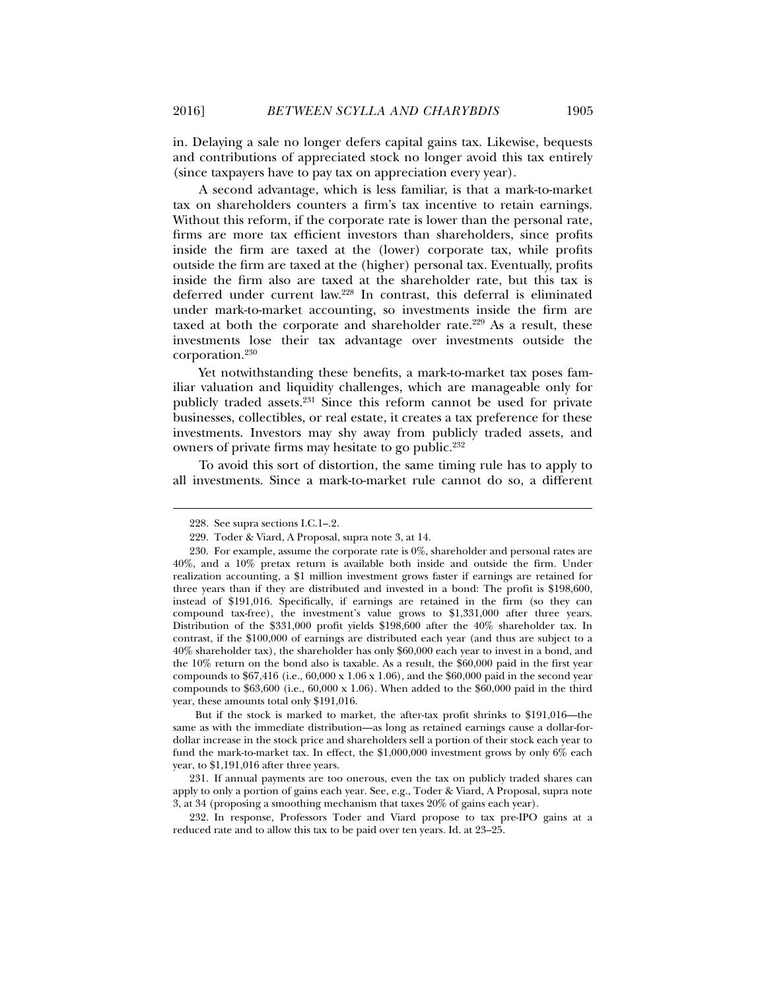in. Delaying a sale no longer defers capital gains tax. Likewise, bequests and contributions of appreciated stock no longer avoid this tax entirely (since taxpayers have to pay tax on appreciation every year).

A second advantage, which is less familiar, is that a mark-to-market tax on shareholders counters a firm's tax incentive to retain earnings. Without this reform, if the corporate rate is lower than the personal rate, firms are more tax efficient investors than shareholders, since profits inside the firm are taxed at the (lower) corporate tax, while profits outside the firm are taxed at the (higher) personal tax. Eventually, profits inside the firm also are taxed at the shareholder rate, but this tax is deferred under current law.228 In contrast, this deferral is eliminated under mark-to-market accounting, so investments inside the firm are taxed at both the corporate and shareholder rate.<sup>229</sup> As a result, these investments lose their tax advantage over investments outside the corporation.230

Yet notwithstanding these benefits, a mark-to-market tax poses familiar valuation and liquidity challenges, which are manageable only for publicly traded assets.231 Since this reform cannot be used for private businesses, collectibles, or real estate, it creates a tax preference for these investments. Investors may shy away from publicly traded assets, and owners of private firms may hesitate to go public.<sup>232</sup>

To avoid this sort of distortion, the same timing rule has to apply to all investments. Since a mark-to-market rule cannot do so, a different

l

But if the stock is marked to market, the after-tax profit shrinks to \$191,016—the same as with the immediate distribution—as long as retained earnings cause a dollar-fordollar increase in the stock price and shareholders sell a portion of their stock each year to fund the mark-to-market tax. In effect, the \$1,000,000 investment grows by only 6% each year, to \$1,191,016 after three years.

 231. If annual payments are too onerous, even the tax on publicly traded shares can apply to only a portion of gains each year. See, e.g., Toder & Viard, A Proposal, supra note 3, at 34 (proposing a smoothing mechanism that taxes 20% of gains each year).

 232. In response, Professors Toder and Viard propose to tax pre-IPO gains at a reduced rate and to allow this tax to be paid over ten years. Id. at 23–25.

 <sup>228.</sup> See supra sections I.C.1–.2.

 <sup>229.</sup> Toder & Viard, A Proposal, supra note 3, at 14.

 <sup>230.</sup> For example, assume the corporate rate is 0%, shareholder and personal rates are 40%, and a 10% pretax return is available both inside and outside the firm. Under realization accounting, a \$1 million investment grows faster if earnings are retained for three years than if they are distributed and invested in a bond: The profit is \$198,600, instead of \$191,016. Specifically, if earnings are retained in the firm (so they can compound tax-free), the investment's value grows to \$1,331,000 after three years. Distribution of the \$331,000 profit yields \$198,600 after the 40% shareholder tax. In contrast, if the \$100,000 of earnings are distributed each year (and thus are subject to a 40% shareholder tax), the shareholder has only \$60,000 each year to invest in a bond, and the 10% return on the bond also is taxable. As a result, the \$60,000 paid in the first year compounds to  $$67,416$  (i.e.,  $60,000 \times 1.06 \times 1.06$ ), and the  $$60,000$  paid in the second year compounds to  $$63,600$  (i.e.,  $60,000 \times 1.06$ ). When added to the \$60,000 paid in the third year, these amounts total only \$191,016.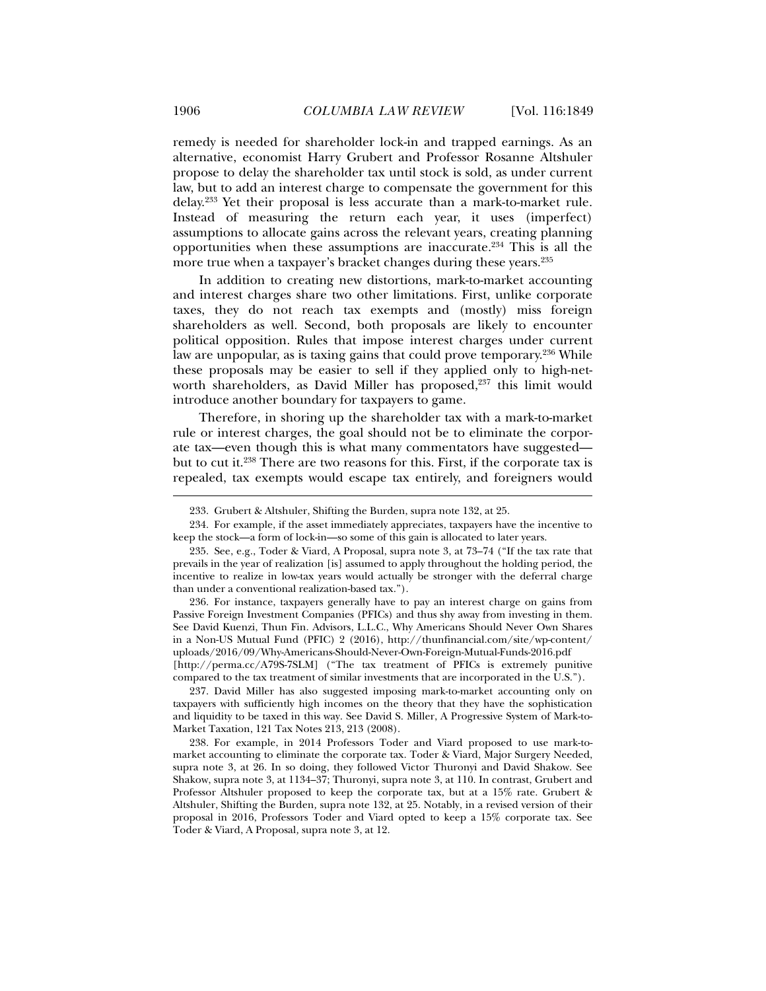remedy is needed for shareholder lock-in and trapped earnings. As an alternative, economist Harry Grubert and Professor Rosanne Altshuler propose to delay the shareholder tax until stock is sold, as under current law, but to add an interest charge to compensate the government for this delay.233 Yet their proposal is less accurate than a mark-to-market rule. Instead of measuring the return each year, it uses (imperfect) assumptions to allocate gains across the relevant years, creating planning opportunities when these assumptions are inaccurate.234 This is all the more true when a taxpayer's bracket changes during these years.235

In addition to creating new distortions, mark-to-market accounting and interest charges share two other limitations. First, unlike corporate taxes, they do not reach tax exempts and (mostly) miss foreign shareholders as well. Second, both proposals are likely to encounter political opposition. Rules that impose interest charges under current law are unpopular, as is taxing gains that could prove temporary.236 While these proposals may be easier to sell if they applied only to high-networth shareholders, as David Miller has proposed,<sup>237</sup> this limit would introduce another boundary for taxpayers to game.

Therefore, in shoring up the shareholder tax with a mark-to-market rule or interest charges, the goal should not be to eliminate the corporate tax—even though this is what many commentators have suggested but to cut it.238 There are two reasons for this. First, if the corporate tax is repealed, tax exempts would escape tax entirely, and foreigners would

 236. For instance, taxpayers generally have to pay an interest charge on gains from Passive Foreign Investment Companies (PFICs) and thus shy away from investing in them. See David Kuenzi, Thun Fin. Advisors, L.L.C., Why Americans Should Never Own Shares in a Non-US Mutual Fund (PFIC) 2 (2016), http://thunfinancial.com/site/wp-content/ uploads/2016/09/Why-Americans-Should-Never-Own-Foreign-Mutual-Funds-2016.pdf [http://perma.cc/A79S-7SLM] ("The tax treatment of PFICs is extremely punitive compared to the tax treatment of similar investments that are incorporated in the U.S.").

 237. David Miller has also suggested imposing mark-to-market accounting only on taxpayers with sufficiently high incomes on the theory that they have the sophistication and liquidity to be taxed in this way. See David S. Miller, A Progressive System of Mark-to-Market Taxation, 121 Tax Notes 213, 213 (2008).

 238. For example, in 2014 Professors Toder and Viard proposed to use mark-tomarket accounting to eliminate the corporate tax. Toder & Viard, Major Surgery Needed, supra note 3, at 26. In so doing, they followed Victor Thuronyi and David Shakow. See Shakow, supra note 3, at 1134–37; Thuronyi, supra note 3, at 110. In contrast, Grubert and Professor Altshuler proposed to keep the corporate tax, but at a 15% rate. Grubert & Altshuler, Shifting the Burden*,* supra note 132, at 25. Notably, in a revised version of their proposal in 2016, Professors Toder and Viard opted to keep a 15% corporate tax. See Toder & Viard, A Proposal*,* supra note 3, at 12.

 <sup>233.</sup> Grubert & Altshuler, Shifting the Burden, supra note 132, at 25.

 <sup>234.</sup> For example, if the asset immediately appreciates, taxpayers have the incentive to keep the stock—a form of lock-in—so some of this gain is allocated to later years.

 <sup>235.</sup> See, e.g., Toder & Viard, A Proposal, supra note 3, at 73–74 ("If the tax rate that prevails in the year of realization [is] assumed to apply throughout the holding period, the incentive to realize in low-tax years would actually be stronger with the deferral charge than under a conventional realization-based tax.").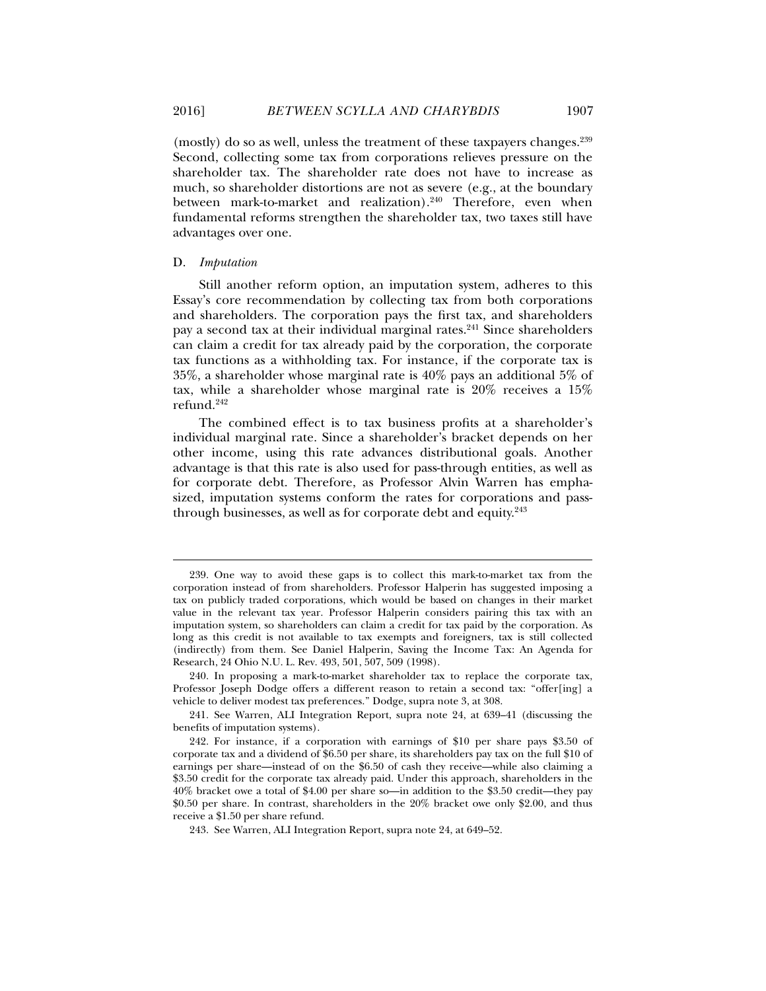(mostly) do so as well, unless the treatment of these taxpayers changes.<sup>239</sup> Second, collecting some tax from corporations relieves pressure on the shareholder tax. The shareholder rate does not have to increase as much, so shareholder distortions are not as severe (e.g., at the boundary between mark-to-market and realization).<sup>240</sup> Therefore, even when fundamental reforms strengthen the shareholder tax, two taxes still have advantages over one.

#### D. *Imputation*

l

Still another reform option, an imputation system, adheres to this Essay's core recommendation by collecting tax from both corporations and shareholders. The corporation pays the first tax, and shareholders pay a second tax at their individual marginal rates.<sup>241</sup> Since shareholders can claim a credit for tax already paid by the corporation, the corporate tax functions as a withholding tax. For instance, if the corporate tax is 35%, a shareholder whose marginal rate is 40% pays an additional 5% of tax, while a shareholder whose marginal rate is 20% receives a 15% refund.242

The combined effect is to tax business profits at a shareholder's individual marginal rate. Since a shareholder's bracket depends on her other income, using this rate advances distributional goals. Another advantage is that this rate is also used for pass-through entities, as well as for corporate debt. Therefore, as Professor Alvin Warren has emphasized, imputation systems conform the rates for corporations and passthrough businesses, as well as for corporate debt and equity.<sup>243</sup>

 241. See Warren, ALI Integration Report, supra note 24, at 639–41 (discussing the benefits of imputation systems).

 <sup>239.</sup> One way to avoid these gaps is to collect this mark-to-market tax from the corporation instead of from shareholders. Professor Halperin has suggested imposing a tax on publicly traded corporations, which would be based on changes in their market value in the relevant tax year. Professor Halperin considers pairing this tax with an imputation system, so shareholders can claim a credit for tax paid by the corporation. As long as this credit is not available to tax exempts and foreigners, tax is still collected (indirectly) from them. See Daniel Halperin, Saving the Income Tax: An Agenda for Research, 24 Ohio N.U. L. Rev. 493, 501, 507, 509 (1998).

 <sup>240.</sup> In proposing a mark-to-market shareholder tax to replace the corporate tax, Professor Joseph Dodge offers a different reason to retain a second tax: "offer[ing] a vehicle to deliver modest tax preferences." Dodge, supra note 3, at 308.

 <sup>242.</sup> For instance, if a corporation with earnings of \$10 per share pays \$3.50 of corporate tax and a dividend of \$6.50 per share, its shareholders pay tax on the full \$10 of earnings per share—instead of on the \$6.50 of cash they receive—while also claiming a \$3.50 credit for the corporate tax already paid. Under this approach, shareholders in the 40% bracket owe a total of \$4.00 per share so—in addition to the \$3.50 credit—they pay \$0.50 per share. In contrast, shareholders in the 20% bracket owe only \$2.00, and thus receive a \$1.50 per share refund.

 <sup>243.</sup> See Warren, ALI Integration Report, supra note 24, at 649–52.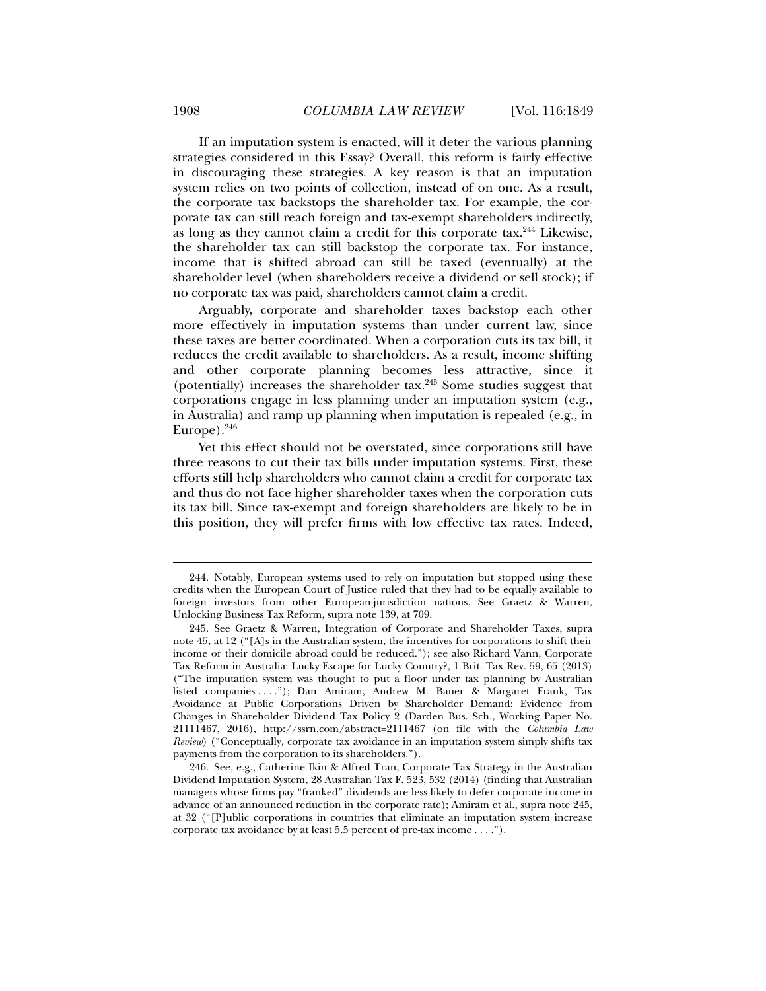If an imputation system is enacted, will it deter the various planning strategies considered in this Essay? Overall, this reform is fairly effective in discouraging these strategies. A key reason is that an imputation system relies on two points of collection, instead of on one. As a result, the corporate tax backstops the shareholder tax. For example, the corporate tax can still reach foreign and tax-exempt shareholders indirectly, as long as they cannot claim a credit for this corporate tax.244 Likewise, the shareholder tax can still backstop the corporate tax. For instance, income that is shifted abroad can still be taxed (eventually) at the shareholder level (when shareholders receive a dividend or sell stock); if no corporate tax was paid, shareholders cannot claim a credit.

Arguably, corporate and shareholder taxes backstop each other more effectively in imputation systems than under current law, since these taxes are better coordinated. When a corporation cuts its tax bill, it reduces the credit available to shareholders. As a result, income shifting and other corporate planning becomes less attractive, since it (potentially) increases the shareholder tax.245 Some studies suggest that corporations engage in less planning under an imputation system (e.g., in Australia) and ramp up planning when imputation is repealed (e.g., in Europe). $246$ 

Yet this effect should not be overstated, since corporations still have three reasons to cut their tax bills under imputation systems. First, these efforts still help shareholders who cannot claim a credit for corporate tax and thus do not face higher shareholder taxes when the corporation cuts its tax bill. Since tax-exempt and foreign shareholders are likely to be in this position, they will prefer firms with low effective tax rates. Indeed,

 <sup>244.</sup> Notably, European systems used to rely on imputation but stopped using these credits when the European Court of Justice ruled that they had to be equally available to foreign investors from other European-jurisdiction nations. See Graetz & Warren, Unlocking Business Tax Reform, supra note 139, at 709.

 <sup>245.</sup> See Graetz & Warren, Integration of Corporate and Shareholder Taxes, supra note 45, at 12 ("[A]s in the Australian system, the incentives for corporations to shift their income or their domicile abroad could be reduced."); see also Richard Vann, Corporate Tax Reform in Australia: Lucky Escape for Lucky Country?, 1 Brit. Tax Rev. 59, 65 (2013) ("The imputation system was thought to put a floor under tax planning by Australian listed companies . . . ."); Dan Amiram, Andrew M. Bauer & Margaret Frank, Tax Avoidance at Public Corporations Driven by Shareholder Demand: Evidence from Changes in Shareholder Dividend Tax Policy 2 (Darden Bus. Sch., Working Paper No. 21111467, 2016), http://ssrn.com/abstract=2111467 (on file with the *Columbia Law Review*) ("Conceptually, corporate tax avoidance in an imputation system simply shifts tax payments from the corporation to its shareholders.").

 <sup>246.</sup> See, e.g., Catherine Ikin & Alfred Tran, Corporate Tax Strategy in the Australian Dividend Imputation System, 28 Australian Tax F. 523, 532 (2014) (finding that Australian managers whose firms pay "franked" dividends are less likely to defer corporate income in advance of an announced reduction in the corporate rate); Amiram et al., supra note 245, at 32 ("[P]ublic corporations in countries that eliminate an imputation system increase corporate tax avoidance by at least 5.5 percent of pre-tax income . . . .").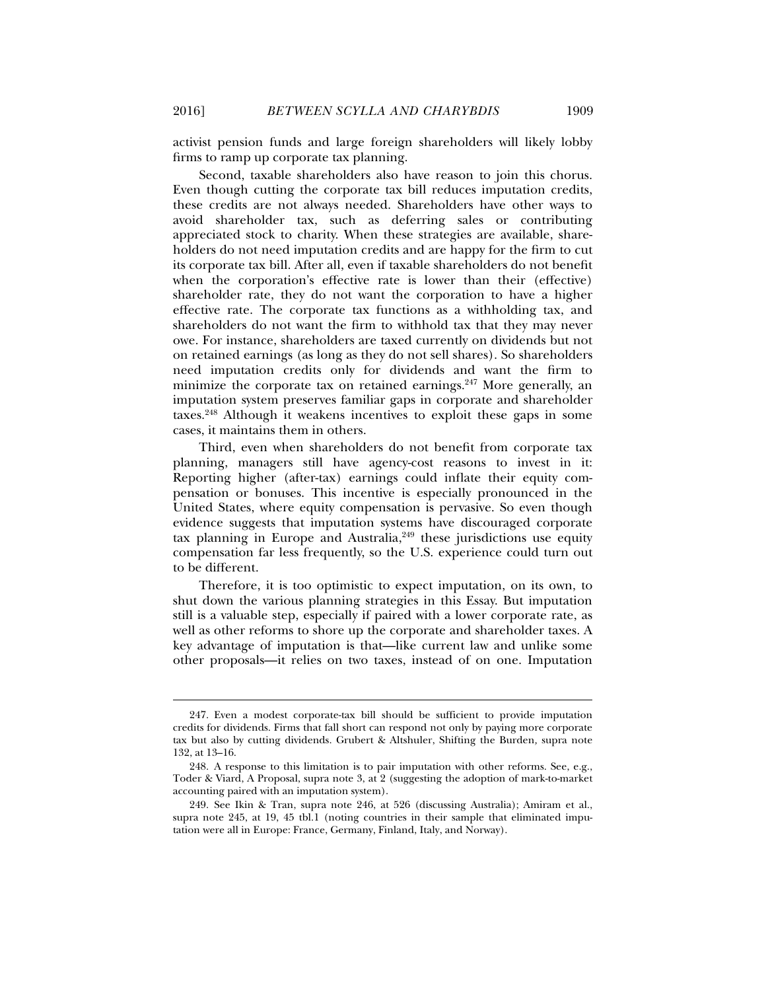activist pension funds and large foreign shareholders will likely lobby firms to ramp up corporate tax planning.

Second, taxable shareholders also have reason to join this chorus. Even though cutting the corporate tax bill reduces imputation credits, these credits are not always needed. Shareholders have other ways to avoid shareholder tax, such as deferring sales or contributing appreciated stock to charity. When these strategies are available, shareholders do not need imputation credits and are happy for the firm to cut its corporate tax bill. After all, even if taxable shareholders do not benefit when the corporation's effective rate is lower than their (effective) shareholder rate, they do not want the corporation to have a higher effective rate. The corporate tax functions as a withholding tax, and shareholders do not want the firm to withhold tax that they may never owe. For instance, shareholders are taxed currently on dividends but not on retained earnings (as long as they do not sell shares). So shareholders need imputation credits only for dividends and want the firm to minimize the corporate tax on retained earnings. $247$  More generally, an imputation system preserves familiar gaps in corporate and shareholder taxes.248 Although it weakens incentives to exploit these gaps in some cases, it maintains them in others.

Third, even when shareholders do not benefit from corporate tax planning, managers still have agency-cost reasons to invest in it: Reporting higher (after-tax) earnings could inflate their equity compensation or bonuses. This incentive is especially pronounced in the United States, where equity compensation is pervasive. So even though evidence suggests that imputation systems have discouraged corporate tax planning in Europe and Australia, $249$  these jurisdictions use equity compensation far less frequently, so the U.S. experience could turn out to be different.

Therefore, it is too optimistic to expect imputation, on its own, to shut down the various planning strategies in this Essay. But imputation still is a valuable step, especially if paired with a lower corporate rate, as well as other reforms to shore up the corporate and shareholder taxes. A key advantage of imputation is that—like current law and unlike some other proposals—it relies on two taxes, instead of on one. Imputation

 <sup>247.</sup> Even a modest corporate-tax bill should be sufficient to provide imputation credits for dividends. Firms that fall short can respond not only by paying more corporate tax but also by cutting dividends. Grubert & Altshuler, Shifting the Burden*,* supra note 132, at 13–16.

 <sup>248.</sup> A response to this limitation is to pair imputation with other reforms. See, e.g., Toder & Viard, A Proposal, supra note 3, at 2 (suggesting the adoption of mark-to-market accounting paired with an imputation system).

 <sup>249.</sup> See Ikin & Tran, supra note 246, at 526 (discussing Australia); Amiram et al., supra note 245, at 19, 45 tbl.1 (noting countries in their sample that eliminated imputation were all in Europe: France, Germany, Finland, Italy, and Norway).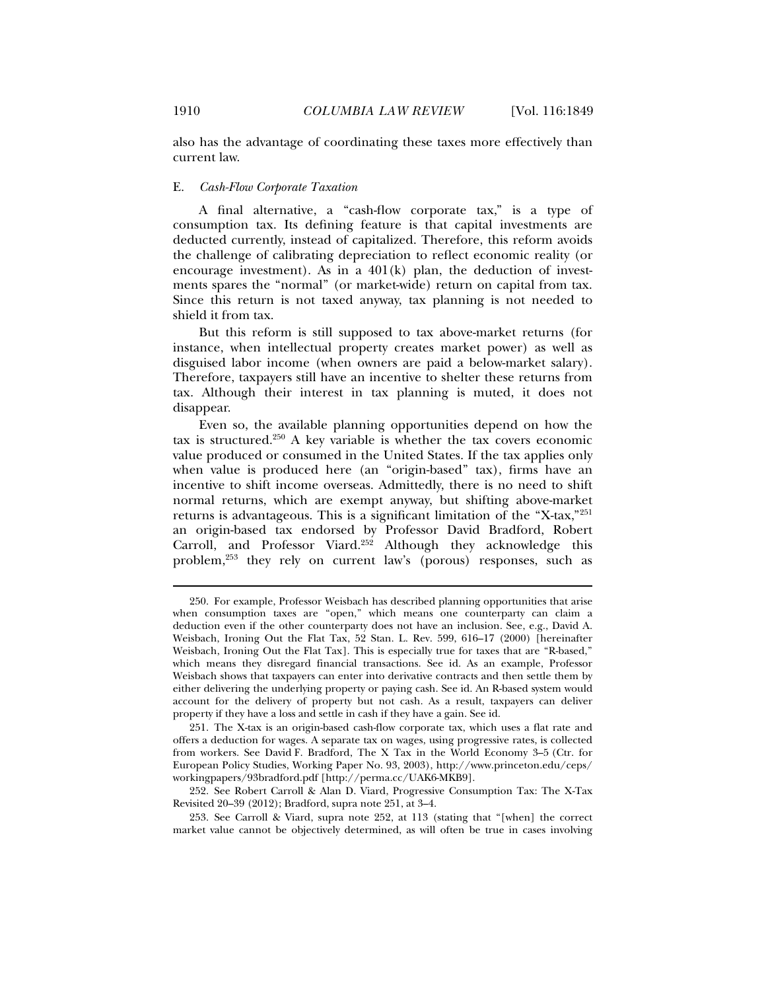also has the advantage of coordinating these taxes more effectively than current law.

#### E. *Cash-Flow Corporate Taxation*

A final alternative, a "cash-flow corporate tax," is a type of consumption tax. Its defining feature is that capital investments are deducted currently, instead of capitalized. Therefore, this reform avoids the challenge of calibrating depreciation to reflect economic reality (or encourage investment). As in a  $401(k)$  plan, the deduction of investments spares the "normal" (or market-wide) return on capital from tax. Since this return is not taxed anyway, tax planning is not needed to shield it from tax.

But this reform is still supposed to tax above-market returns (for instance, when intellectual property creates market power) as well as disguised labor income (when owners are paid a below-market salary). Therefore, taxpayers still have an incentive to shelter these returns from tax. Although their interest in tax planning is muted, it does not disappear.

Even so, the available planning opportunities depend on how the tax is structured.250 A key variable is whether the tax covers economic value produced or consumed in the United States. If the tax applies only when value is produced here (an "origin-based" tax), firms have an incentive to shift income overseas. Admittedly, there is no need to shift normal returns, which are exempt anyway, but shifting above-market returns is advantageous. This is a significant limitation of the "X-tax,"251 an origin-based tax endorsed by Professor David Bradford, Robert Carroll, and Professor Viard.<sup>252</sup> Although they acknowledge this problem,253 they rely on current law's (porous) responses, such as

 <sup>250.</sup> For example, Professor Weisbach has described planning opportunities that arise when consumption taxes are "open," which means one counterparty can claim a deduction even if the other counterparty does not have an inclusion. See, e.g., David A. Weisbach, Ironing Out the Flat Tax, 52 Stan. L. Rev. 599, 616–17 (2000) [hereinafter Weisbach, Ironing Out the Flat Tax]. This is especially true for taxes that are "R-based," which means they disregard financial transactions. See id. As an example, Professor Weisbach shows that taxpayers can enter into derivative contracts and then settle them by either delivering the underlying property or paying cash. See id. An R-based system would account for the delivery of property but not cash. As a result, taxpayers can deliver property if they have a loss and settle in cash if they have a gain. See id.

 <sup>251.</sup> The X-tax is an origin-based cash-flow corporate tax, which uses a flat rate and offers a deduction for wages. A separate tax on wages, using progressive rates, is collected from workers. See David F. Bradford, The X Tax in the World Economy 3–5 (Ctr. for European Policy Studies, Working Paper No. 93, 2003), http://www.princeton.edu/ceps/ workingpapers/93bradford.pdf [http://perma.cc/UAK6-MKB9].

 <sup>252.</sup> See Robert Carroll & Alan D. Viard, Progressive Consumption Tax: The X-Tax Revisited 20–39 (2012); Bradford, supra note 251, at 3–4.

 <sup>253.</sup> See Carroll & Viard, supra note 252, at 113 (stating that "[when] the correct market value cannot be objectively determined, as will often be true in cases involving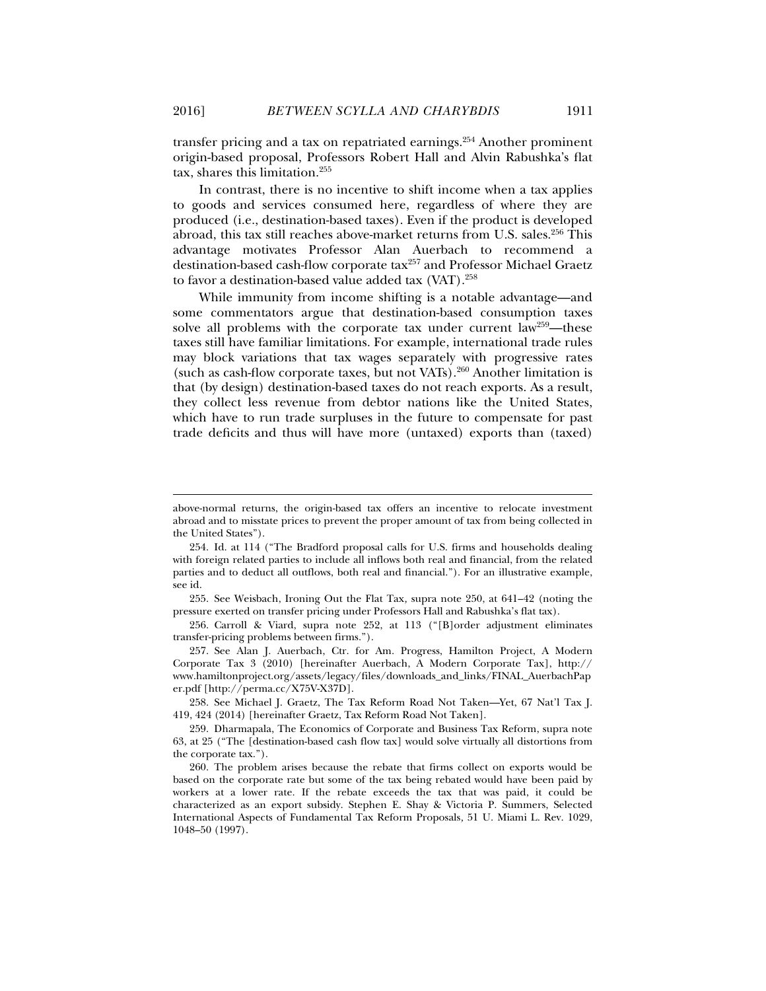transfer pricing and a tax on repatriated earnings.254 Another prominent origin-based proposal, Professors Robert Hall and Alvin Rabushka's flat tax, shares this limitation.255

In contrast, there is no incentive to shift income when a tax applies to goods and services consumed here, regardless of where they are produced (i.e., destination-based taxes). Even if the product is developed abroad, this tax still reaches above-market returns from U.S. sales.<sup>256</sup> This advantage motivates Professor Alan Auerbach to recommend a destination-based cash-flow corporate tax<sup>257</sup> and Professor Michael Graetz to favor a destination-based value added tax (VAT).<sup>258</sup>

While immunity from income shifting is a notable advantage—and some commentators argue that destination-based consumption taxes solve all problems with the corporate tax under current law<sup>259</sup>—these taxes still have familiar limitations. For example, international trade rules may block variations that tax wages separately with progressive rates (such as cash-flow corporate taxes, but not VATs).260 Another limitation is that (by design) destination-based taxes do not reach exports. As a result, they collect less revenue from debtor nations like the United States, which have to run trade surpluses in the future to compensate for past trade deficits and thus will have more (untaxed) exports than (taxed)

 256. Carroll & Viard, supra note 252, at 113 ("[B]order adjustment eliminates transfer-pricing problems between firms.").

 257. See Alan J. Auerbach, Ctr. for Am. Progress, Hamilton Project, A Modern Corporate Tax 3 (2010) [hereinafter Auerbach, A Modern Corporate Tax], http:// www.hamiltonproject.org/assets/legacy/files/downloads\_and\_links/FINAL\_AuerbachPap er.pdf [http://perma.cc/X75V-X37D].

 258. See Michael J. Graetz, The Tax Reform Road Not Taken—Yet, 67 Nat'l Tax J. 419, 424 (2014) [hereinafter Graetz, Tax Reform Road Not Taken].

above-normal returns, the origin-based tax offers an incentive to relocate investment abroad and to misstate prices to prevent the proper amount of tax from being collected in the United States").

 <sup>254.</sup> Id. at 114 ("The Bradford proposal calls for U.S. firms and households dealing with foreign related parties to include all inflows both real and financial, from the related parties and to deduct all outflows, both real and financial."). For an illustrative example, see id.

 <sup>255.</sup> See Weisbach, Ironing Out the Flat Tax*,* supra note 250, at 641–42 (noting the pressure exerted on transfer pricing under Professors Hall and Rabushka's flat tax).

 <sup>259.</sup> Dharmapala, The Economics of Corporate and Business Tax Reform, supra note 63, at 25 ("The [destination-based cash flow tax] would solve virtually all distortions from the corporate tax.").

 <sup>260.</sup> The problem arises because the rebate that firms collect on exports would be based on the corporate rate but some of the tax being rebated would have been paid by workers at a lower rate. If the rebate exceeds the tax that was paid, it could be characterized as an export subsidy. Stephen E. Shay & Victoria P. Summers, Selected International Aspects of Fundamental Tax Reform Proposals*,* 51 U. Miami L. Rev. 1029, 1048–50 (1997).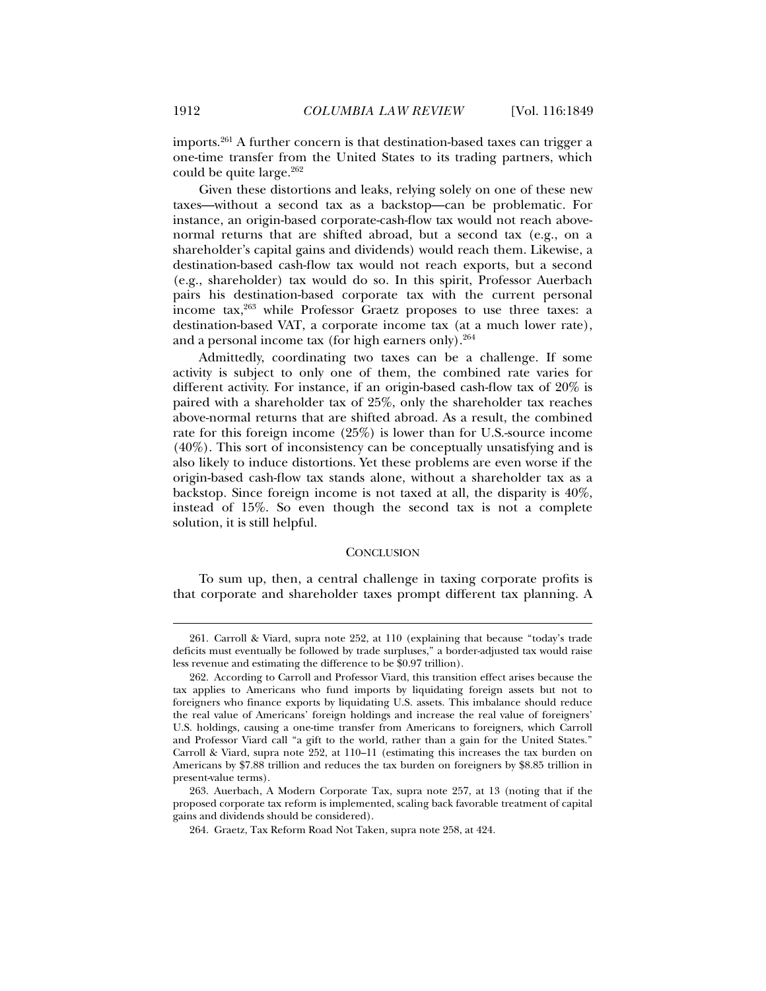imports.261 A further concern is that destination-based taxes can trigger a one-time transfer from the United States to its trading partners, which could be quite large.<sup>262</sup>

Given these distortions and leaks, relying solely on one of these new taxes—without a second tax as a backstop—can be problematic. For instance, an origin-based corporate-cash-flow tax would not reach abovenormal returns that are shifted abroad, but a second tax (e.g., on a shareholder's capital gains and dividends) would reach them. Likewise, a destination-based cash-flow tax would not reach exports, but a second (e.g., shareholder) tax would do so. In this spirit, Professor Auerbach pairs his destination-based corporate tax with the current personal income tax,263 while Professor Graetz proposes to use three taxes: a destination-based VAT, a corporate income tax (at a much lower rate), and a personal income tax (for high earners only). $264$ 

Admittedly, coordinating two taxes can be a challenge. If some activity is subject to only one of them, the combined rate varies for different activity. For instance, if an origin-based cash-flow tax of 20% is paired with a shareholder tax of 25%, only the shareholder tax reaches above-normal returns that are shifted abroad. As a result, the combined rate for this foreign income (25%) is lower than for U.S.-source income (40%). This sort of inconsistency can be conceptually unsatisfying and is also likely to induce distortions. Yet these problems are even worse if the origin-based cash-flow tax stands alone, without a shareholder tax as a backstop. Since foreign income is not taxed at all, the disparity is 40%, instead of 15%. So even though the second tax is not a complete solution, it is still helpful.

#### **CONCLUSION**

To sum up, then, a central challenge in taxing corporate profits is that corporate and shareholder taxes prompt different tax planning. A

 <sup>261.</sup> Carroll & Viard, supra note 252, at 110 (explaining that because "today's trade deficits must eventually be followed by trade surpluses," a border-adjusted tax would raise less revenue and estimating the difference to be \$0.97 trillion).

 <sup>262.</sup> According to Carroll and Professor Viard, this transition effect arises because the tax applies to Americans who fund imports by liquidating foreign assets but not to foreigners who finance exports by liquidating U.S. assets. This imbalance should reduce the real value of Americans' foreign holdings and increase the real value of foreigners' U.S. holdings, causing a one-time transfer from Americans to foreigners, which Carroll and Professor Viard call "a gift to the world, rather than a gain for the United States." Carroll & Viard, supra note 252, at 110–11 (estimating this increases the tax burden on Americans by \$7.88 trillion and reduces the tax burden on foreigners by \$8.85 trillion in present-value terms).

 <sup>263.</sup> Auerbach, A Modern Corporate Tax, supra note 257, at 13 (noting that if the proposed corporate tax reform is implemented, scaling back favorable treatment of capital gains and dividends should be considered).

 <sup>264.</sup> Graetz, Tax Reform Road Not Taken*,* supra note 258, at 424.